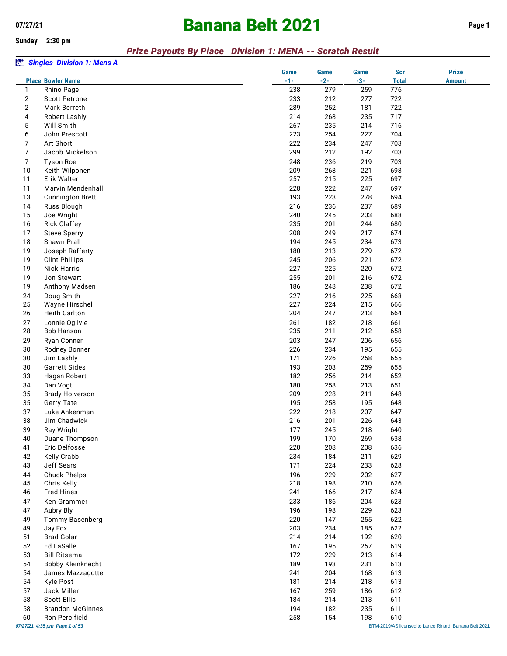# **07/27/21 Banana Belt 2021 Page 1**

**Sunday 2:30 pm**

#### *Prize Payouts By Place Division 1: MENA -- Scratch Result*

#### *Singles Division 1: Mens A*

|                |                               | <b>Game</b> | <b>Game</b> | Game  | <b>Scr</b>   | <b>Prize</b>                                          |
|----------------|-------------------------------|-------------|-------------|-------|--------------|-------------------------------------------------------|
|                | <b>Place Bowler Name</b>      | $-1-$       | $-2-$       | $-3-$ | <b>Total</b> | <b>Amount</b>                                         |
| 1              | Rhino Page                    | 238         | 279         | 259   | 776          |                                                       |
| 2              | <b>Scott Petrone</b>          | 233         | 212         | 277   | 722          |                                                       |
| 2              | Mark Berreth                  | 289         | 252         | 181   | 722          |                                                       |
| 4              | Robert Lashly                 | 214         | 268         | 235   | 717          |                                                       |
| 5              | Will Smith                    | 267         | 235         | 214   | 716          |                                                       |
| 6              | John Prescott                 | 223         | 254         | 227   | 704          |                                                       |
| 7              | Art Short                     | 222         | 234         | 247   | 703          |                                                       |
| $\overline{7}$ | Jacob Mickelson               | 299         | 212         | 192   | 703          |                                                       |
| 7              | <b>Tyson Roe</b>              | 248         | 236         | 219   | 703          |                                                       |
| 10             | Keith Wilponen                | 209         | 268         | 221   | 698          |                                                       |
| 11             | Erik Walter                   | 257         | 215         | 225   | 697          |                                                       |
|                |                               |             |             |       |              |                                                       |
| 11             | Marvin Mendenhall             | 228         | 222         | 247   | 697          |                                                       |
| 13             | <b>Cunnington Brett</b>       | 193         | 223         | 278   | 694          |                                                       |
| 14             | Russ Blough                   | 216         | 236         | 237   | 689          |                                                       |
| 15             | Joe Wright                    | 240         | 245         | 203   | 688          |                                                       |
| 16             | <b>Rick Claffey</b>           | 235         | 201         | 244   | 680          |                                                       |
| 17             | <b>Steve Sperry</b>           | 208         | 249         | 217   | 674          |                                                       |
| 18             | Shawn Prall                   | 194         | 245         | 234   | 673          |                                                       |
| 19             | Joseph Rafferty               | 180         | 213         | 279   | 672          |                                                       |
| 19             | <b>Clint Phillips</b>         | 245         | 206         | 221   | 672          |                                                       |
| 19             | <b>Nick Harris</b>            | 227         | 225         | 220   | 672          |                                                       |
| 19             | Jon Stewart                   | 255         | 201         | 216   | 672          |                                                       |
| 19             | Anthony Madsen                | 186         | 248         | 238   | 672          |                                                       |
| 24             | Doug Smith                    | 227         | 216         | 225   | 668          |                                                       |
| 25             | Wayne Hirschel                | 227         | 224         | 215   | 666          |                                                       |
| 26             | <b>Heith Carlton</b>          | 204         | 247         | 213   | 664          |                                                       |
| 27             | Lonnie Ogilvie                | 261         | 182         | 218   | 661          |                                                       |
| 28             | <b>Bob Hanson</b>             | 235         | 211         | 212   | 658          |                                                       |
| 29             | Ryan Conner                   | 203         | 247         | 206   | 656          |                                                       |
|                |                               |             |             |       |              |                                                       |
| 30             | Rodney Bonner                 | 226         | 234         | 195   | 655          |                                                       |
| 30             | Jim Lashly                    | 171         | 226         | 258   | 655          |                                                       |
| 30             | <b>Garrett Sides</b>          | 193         | 203         | 259   | 655          |                                                       |
| 33             | Hagan Robert                  | 182         | 256         | 214   | 652          |                                                       |
| 34             | Dan Vogt                      | 180         | 258         | 213   | 651          |                                                       |
| 35             | <b>Brady Holverson</b>        | 209         | 228         | 211   | 648          |                                                       |
| 35             | <b>Gerry Tate</b>             | 195         | 258         | 195   | 648          |                                                       |
| 37             | Luke Ankenman                 | 222         | 218         | 207   | 647          |                                                       |
| 38             | Jim Chadwick                  | 216         | 201         | 226   | 643          |                                                       |
| 39             | Ray Wright                    | 177         | 245         | 218   | 640          |                                                       |
| 40             | Duane Thompson                | 199         | 170         | 269   | 638          |                                                       |
| 41             | Eric Delfosse                 | 220         | 208         | 208   | 636          |                                                       |
| 42             | Kelly Crabb                   | 234         | 184         | 211   | 629          |                                                       |
| 43             | Jeff Sears                    | 171         | 224         | 233   | 628          |                                                       |
| 44             | <b>Chuck Phelps</b>           | 196         | 229         | 202   | 627          |                                                       |
| 45             | Chris Kelly                   | 218         | 198         | 210   | 626          |                                                       |
| 46             | <b>Fred Hines</b>             | 241         | 166         | 217   | 624          |                                                       |
| 47             | Ken Grammer                   | 233         | 186         | 204   | 623          |                                                       |
| 47             | Aubry Bly                     | 196         | 198         | 229   | 623          |                                                       |
| 49             | Tommy Basenberg               | 220         | 147         | 255   | 622          |                                                       |
| 49             | Jay Fox                       | 203         | 234         | 185   | 622          |                                                       |
| 51             | <b>Brad Golar</b>             | 214         | 214         | 192   | 620          |                                                       |
| 52             | Ed LaSalle                    | 167         | 195         | 257   | 619          |                                                       |
|                |                               |             |             |       |              |                                                       |
| 53             | <b>Bill Ritsema</b>           | 172         | 229         | 213   | 614          |                                                       |
| 54             | Bobby Kleinknecht             | 189         | 193         | 231   | 613          |                                                       |
| 54             | James Mazzagotte              | 241         | 204         | 168   | 613          |                                                       |
| 54             | Kyle Post                     | 181         | 214         | 218   | 613          |                                                       |
| 57             | Jack Miller                   | 167         | 259         | 186   | 612          |                                                       |
| 58             | <b>Scott Ellis</b>            | 184         | 214         | 213   | 611          |                                                       |
| 58             | <b>Brandon McGinnes</b>       | 194         | 182         | 235   | 611          |                                                       |
| 60             | Ron Percifield                | 258         | 154         | 198   | 610          |                                                       |
|                | 07/27/21 4:35 pm Page 1 of 53 |             |             |       |              | BTM-2019/AS licensed to Lance Rinard Banana Belt 2021 |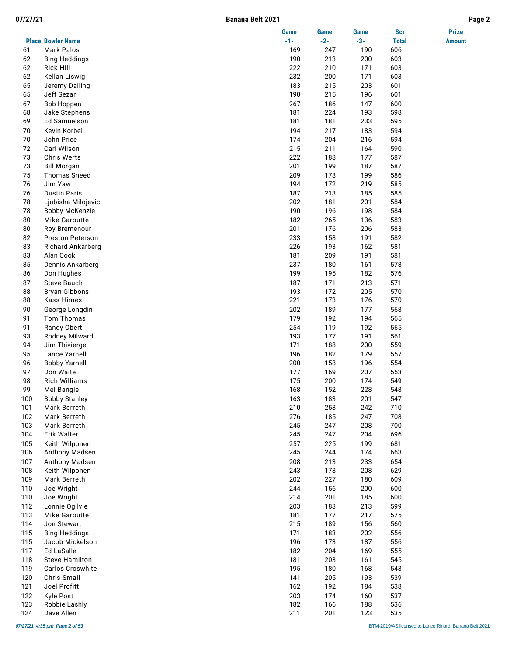|  | D | $-71$<br>7/27/: | ٠<br>ı |
|--|---|-----------------|--------|
|--|---|-----------------|--------|

J.

|            |                                           | <b>Game</b> | <b>Game</b> | <b>Game</b> | <b>Scr</b>   | <b>Prize</b>  |
|------------|-------------------------------------------|-------------|-------------|-------------|--------------|---------------|
|            | <b>Place Bowler Name</b>                  | $-1-$       | $-2-$       | $-3-$       | <b>Total</b> | <b>Amount</b> |
| 61         | <b>Mark Palos</b>                         | 169         | 247         | 190         | 606          |               |
| 62         | <b>Bing Heddings</b>                      | 190         | 213         | 200         | 603          |               |
| 62         | <b>Rick Hill</b>                          | 222         | 210         | 171         | 603          |               |
| 62         | Kellan Liswig                             | 232         | 200         | 171         | 603          |               |
| 65         | Jeremy Dailing                            | 183         | 215         | 203         | 601          |               |
| 65         | Jeff Sezar                                | 190         | 215         | 196         | 601          |               |
| 67         | <b>Bob Hoppen</b>                         | 267         | 186         | 147         | 600          |               |
| 68         | Jake Stephens                             | 181         | 224         | 193         | 598          |               |
| 69         | Ed Samuelson                              | 181         | 181         | 233         | 595          |               |
| 70         | Kevin Korbel                              | 194         | 217         | 183         | 594          |               |
| 70         | John Price                                | 174         | 204         | 216         | 594          |               |
| 72         | Carl Wilson                               | 215         | 211         | 164         | 590          |               |
| 73<br>73   | Chris Werts                               | 222<br>201  | 188<br>199  | 177<br>187  | 587<br>587   |               |
| 75         | <b>Bill Morgan</b><br><b>Thomas Sneed</b> | 209         | 178         | 199         | 586          |               |
| 76         | Jim Yaw                                   | 194         | 172         | 219         | 585          |               |
| 76         | <b>Dustin Paris</b>                       | 187         | 213         | 185         | 585          |               |
| 78         | Ljubisha Milojevic                        | 202         | 181         | 201         | 584          |               |
| 78         | <b>Bobby McKenzie</b>                     | 190         | 196         | 198         | 584          |               |
| 80         | Mike Garoutte                             | 182         | 265         | 136         | 583          |               |
| 80         | Roy Bremenour                             | 201         | 176         | 206         | 583          |               |
| 82         | Preston Peterson                          | 233         | 158         | 191         | 582          |               |
| 83         | Richard Ankarberg                         | 226         | 193         | 162         | 581          |               |
| 83         | Alan Cook                                 | 181         | 209         | 191         | 581          |               |
| 85         | Dennis Ankarberg                          | 237         | 180         | 161         | 578          |               |
| 86         | Don Hughes                                | 199         | 195         | 182         | 576          |               |
| 87         | <b>Steve Bauch</b>                        | 187         | 171         | 213         | 571          |               |
| 88         | <b>Bryan Gibbons</b>                      | 193         | 172         | 205         | 570          |               |
| 88         | <b>Kass Himes</b>                         | 221         | 173         | 176         | 570          |               |
| 90         | George Longdin                            | 202         | 189         | 177         | 568          |               |
| 91         | Tom Thomas                                | 179         | 192         | 194         | 565          |               |
| 91         | Randy Obert                               | 254         | 119         | 192         | 565          |               |
| 93         | Rodney Milward                            | 193         | 177         | 191         | 561          |               |
| 94         | Jim Thivierge                             | 171         | 188         | 200         | 559          |               |
| 95         | Lance Yarnell                             | 196         | 182         | 179         | 557          |               |
| 96         | <b>Bobby Yarnell</b>                      | 200         | 158         | 196         | 554          |               |
| 97         | Don Waite                                 | 177         | 169         | 207         | 553          |               |
| 98         | <b>Rich Williams</b>                      | 175         | 200         | 174         | 549          |               |
| 99         | Mel Bangle                                | 168         | 152         | 228         | 548          |               |
| 100        | <b>Bobby Stanley</b>                      | 163         | 183         | 201         | 547          |               |
| 101        | Mark Berreth                              | 210         | 258         | 242         | 710          |               |
| 102        | Mark Berreth                              | 276         | 185         | 247         | 708          |               |
| 103        | Mark Berreth                              | 245         | 247         | 208         | 700          |               |
| 104        | Erik Walter                               | 245         | 247         | 204         | 696          |               |
| 105        | Keith Wilponen                            | 257         | 225         | 199         | 681          |               |
| 106        | Anthony Madsen                            | 245         | 244         | 174         | 663          |               |
| 107        | Anthony Madsen                            | 208         | 213         | 233         | 654          |               |
| 108        | Keith Wilponen                            | 243         | 178         | 208         | 629          |               |
| 109        | Mark Berreth                              | 202         | 227         | 180         | 609          |               |
| 110<br>110 | Joe Wright<br>Joe Wright                  | 244<br>214  | 156<br>201  | 200<br>185  | 600<br>600   |               |
| 112        | Lonnie Ogilvie                            | 203         | 183         | 213         | 599          |               |
| 113        | Mike Garoutte                             | 181         | 177         | 217         | 575          |               |
| 114        | Jon Stewart                               | 215         | 189         | 156         | 560          |               |
| 115        | <b>Bing Heddings</b>                      | 171         | 183         | 202         | 556          |               |
| 115        | Jacob Mickelson                           | 196         | 173         | 187         | 556          |               |
| 117        | <b>Ed LaSalle</b>                         | 182         | 204         | 169         | 555          |               |
| 118        | <b>Steve Hamilton</b>                     | 181         | 203         | 161         | 545          |               |
| 119        | Carlos Croswhite                          | 195         | 180         | 168         | 543          |               |
| 120        | Chris Small                               | 141         | 205         | 193         | 539          |               |
| 121        | Joel Profitt                              | 162         | 192         | 184         | 538          |               |
| 122        | Kyle Post                                 | 203         | 174         | 160         | 537          |               |
| 123        | Robbie Lashly                             | 182         | 166         | 188         | 536          |               |
| 124        | Dave Allen                                | 211         | 201         | 123         | 535          |               |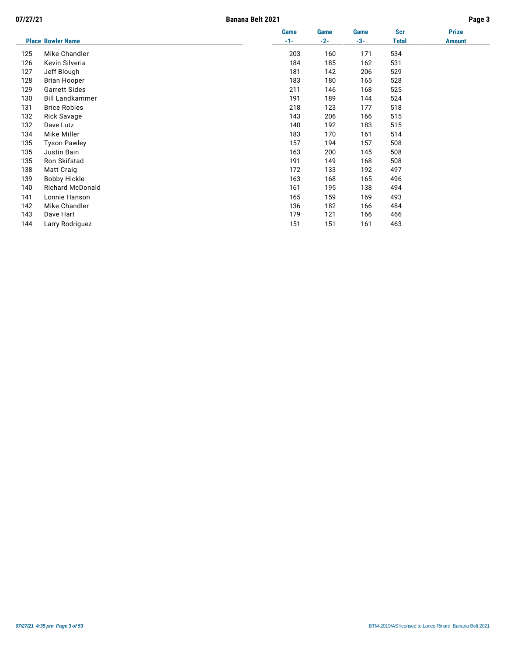| 07/27/21 |                          | <b>Banana Belt 2021</b> |       |       |       |               |  |
|----------|--------------------------|-------------------------|-------|-------|-------|---------------|--|
|          |                          | <b>Game</b>             | Game  | Game  | Scr   | <b>Prize</b>  |  |
|          | <b>Place Bowler Name</b> | $-1-$                   | $-2-$ | $-3-$ | Total | <b>Amount</b> |  |
| 125      | Mike Chandler            | 203                     | 160   | 171   | 534   |               |  |
| 126      | Kevin Silveria           | 184                     | 185   | 162   | 531   |               |  |
| 127      | Jeff Blough              | 181                     | 142   | 206   | 529   |               |  |
| 128      | <b>Brian Hooper</b>      | 183                     | 180   | 165   | 528   |               |  |
| 129      | <b>Garrett Sides</b>     | 211                     | 146   | 168   | 525   |               |  |
| 130      | <b>Bill Landkammer</b>   | 191                     | 189   | 144   | 524   |               |  |
| 131      | <b>Brice Robles</b>      | 218                     | 123   | 177   | 518   |               |  |
| 132      | <b>Rick Savage</b>       | 143                     | 206   | 166   | 515   |               |  |
| 132      | Dave Lutz                | 140                     | 192   | 183   | 515   |               |  |
| 134      | Mike Miller              | 183                     | 170   | 161   | 514   |               |  |
| 135      | <b>Tyson Pawley</b>      | 157                     | 194   | 157   | 508   |               |  |
| 135      | Justin Bain              | 163                     | 200   | 145   | 508   |               |  |
| 135      | Ron Skifstad             | 191                     | 149   | 168   | 508   |               |  |
| 138      | Matt Craig               | 172                     | 133   | 192   | 497   |               |  |
| 139      | <b>Bobby Hickle</b>      | 163                     | 168   | 165   | 496   |               |  |
| 140      | <b>Richard McDonald</b>  | 161                     | 195   | 138   | 494   |               |  |
| 141      | Lonnie Hanson            | 165                     | 159   | 169   | 493   |               |  |
| 142      | Mike Chandler            | 136                     | 182   | 166   | 484   |               |  |
| 143      | Dave Hart                | 179                     | 121   | 166   | 466   |               |  |
| 144      | Larry Rodriguez          | 151                     | 151   | 161   | 463   |               |  |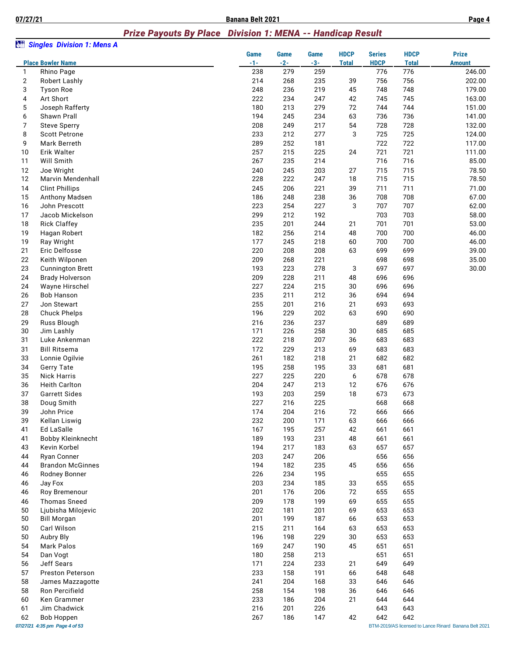**07/27/21 Banana Belt 2021 Page 4**

#### *Prize Payouts By Place Division 1: MENA -- Handicap Result*

| àn                  | <b>Singles Division 1: Mens A</b>  |            |            |            |              |               |              |                                                       |
|---------------------|------------------------------------|------------|------------|------------|--------------|---------------|--------------|-------------------------------------------------------|
|                     |                                    | Game       | Game       | Game       | <b>HDCP</b>  | <b>Series</b> | <b>HDCP</b>  | <b>Prize</b>                                          |
|                     | <b>Place Bowler Name</b>           | $-1-$      | $-2-$      | $-3-$      | <b>Total</b> | <b>HDCP</b>   | <b>Total</b> | <b>Amount</b>                                         |
| 1<br>$\overline{2}$ | Rhino Page<br><b>Robert Lashly</b> | 238<br>214 | 279<br>268 | 259<br>235 | 39           | 776<br>756    | 776<br>756   | 246.00<br>202.00                                      |
| 3                   | <b>Tyson Roe</b>                   | 248        | 236        | 219        | 45           | 748           | 748          | 179.00                                                |
| 4                   | Art Short                          | 222        | 234        | 247        | 42           | 745           | 745          | 163.00                                                |
| $\mathbf 5$         | Joseph Rafferty                    | 180        | 213        | 279        | 72           | 744           | 744          | 151.00                                                |
| 6                   | Shawn Prall                        | 194        | 245        | 234        | 63           | 736           | 736          | 141.00                                                |
| 7                   | <b>Steve Sperry</b>                | 208        | 249        | 217        | 54           | 728           | 728          | 132.00                                                |
| 8                   | <b>Scott Petrone</b>               | 233        | 212        | 277        | 3            | 725           | 725          | 124.00                                                |
| 9                   | Mark Berreth                       | 289        | 252        | 181        |              | 722           | 722          | 117.00                                                |
| 10                  | Erik Walter                        | 257        | 215        | 225        | 24           | 721           | 721          | 111.00                                                |
| 11                  | Will Smith                         | 267        | 235        | 214        |              | 716           | 716          | 85.00                                                 |
| 12<br>12            | Joe Wright<br>Marvin Mendenhall    | 240<br>228 | 245<br>222 | 203<br>247 | 27<br>18     | 715<br>715    | 715<br>715   | 78.50<br>78.50                                        |
| 14                  | <b>Clint Phillips</b>              | 245        | 206        | 221        | 39           | 711           | 711          | 71.00                                                 |
| 15                  | Anthony Madsen                     | 186        | 248        | 238        | 36           | 708           | 708          | 67.00                                                 |
| 16                  | John Prescott                      | 223        | 254        | 227        | 3            | 707           | 707          | 62.00                                                 |
| 17                  | Jacob Mickelson                    | 299        | 212        | 192        |              | 703           | 703          | 58.00                                                 |
| 18                  | <b>Rick Claffey</b>                | 235        | 201        | 244        | 21           | 701           | 701          | 53.00                                                 |
| 19                  | Hagan Robert                       | 182        | 256        | 214        | 48           | 700           | 700          | 46.00                                                 |
| 19                  | Ray Wright                         | 177        | 245        | 218        | 60           | 700           | 700          | 46.00                                                 |
| 21                  | Eric Delfosse                      | 220        | 208        | 208        | 63           | 699           | 699          | 39.00                                                 |
| 22                  | Keith Wilponen                     | 209        | 268        | 221        |              | 698           | 698          | 35.00                                                 |
| 23                  | <b>Cunnington Brett</b>            | 193        | 223        | 278        | 3            | 697           | 697          | 30.00                                                 |
| 24                  | <b>Brady Holverson</b>             | 209        | 228        | 211        | 48           | 696           | 696          |                                                       |
| 24                  | Wayne Hirschel                     | 227        | 224        | 215        | 30           | 696           | 696          |                                                       |
| 26                  | <b>Bob Hanson</b>                  | 235        | 211        | 212        | 36           | 694           | 694          |                                                       |
| 27<br>28            | Jon Stewart<br><b>Chuck Phelps</b> | 255<br>196 | 201<br>229 | 216<br>202 | 21<br>63     | 693<br>690    | 693<br>690   |                                                       |
| 29                  | Russ Blough                        | 216        | 236        | 237        |              | 689           | 689          |                                                       |
| 30                  | Jim Lashly                         | 171        | 226        | 258        | 30           | 685           | 685          |                                                       |
| 31                  | Luke Ankenman                      | 222        | 218        | 207        | 36           | 683           | 683          |                                                       |
| 31                  | <b>Bill Ritsema</b>                | 172        | 229        | 213        | 69           | 683           | 683          |                                                       |
| 33                  | Lonnie Ogilvie                     | 261        | 182        | 218        | 21           | 682           | 682          |                                                       |
| 34                  | <b>Gerry Tate</b>                  | 195        | 258        | 195        | 33           | 681           | 681          |                                                       |
| 35                  | <b>Nick Harris</b>                 | 227        | 225        | 220        | 6            | 678           | 678          |                                                       |
| 36                  | <b>Heith Carlton</b>               | 204        | 247        | 213        | 12           | 676           | 676          |                                                       |
| 37                  | <b>Garrett Sides</b>               | 193        | 203        | 259        | 18           | 673           | 673          |                                                       |
| 38                  | Doug Smith                         | 227        | 216        | 225        |              | 668           | 668          |                                                       |
| 39                  | John Price                         | 174        | 204        | 216        | 72           | 666           | 666          |                                                       |
| 39<br>41            | Kellan Liswig<br>Ed LaSalle        | 232<br>167 | 200<br>195 | 171<br>257 | 63<br>42     | 666<br>661    | 666<br>661   |                                                       |
| 41                  | Bobby Kleinknecht                  | 189        | 193        | 231        | 48           | 661           | 661          |                                                       |
| 43                  | Kevin Korbel                       | 194        | 217        | 183        | 63           | 657           | 657          |                                                       |
| 44                  | <b>Rvan Conner</b>                 | 203        | 247        | 206        |              | 656           | 656          |                                                       |
| 44                  | <b>Brandon McGinnes</b>            | 194        | 182        | 235        | 45           | 656           | 656          |                                                       |
| 46                  | Rodney Bonner                      | 226        | 234        | 195        |              | 655           | 655          |                                                       |
| 46                  | Jay Fox                            | 203        | 234        | 185        | 33           | 655           | 655          |                                                       |
| 46                  | Roy Bremenour                      | 201        | 176        | 206        | 72           | 655           | 655          |                                                       |
| 46                  | <b>Thomas Sneed</b>                | 209        | 178        | 199        | 69           | 655           | 655          |                                                       |
| 50                  | Ljubisha Milojevic                 | 202        | 181        | 201        | 69           | 653           | 653          |                                                       |
| 50                  | <b>Bill Morgan</b>                 | 201        | 199        | 187        | 66           | 653           | 653          |                                                       |
| 50                  | Carl Wilson                        | 215        | 211        | 164        | 63           | 653           | 653          |                                                       |
| 50<br>54            | Aubry Bly<br><b>Mark Palos</b>     | 196        | 198        | 229        | 30           | 653           | 653          |                                                       |
| 54                  | Dan Vogt                           | 169<br>180 | 247<br>258 | 190<br>213 | 45           | 651<br>651    | 651<br>651   |                                                       |
| 56                  | Jeff Sears                         | 171        | 224        | 233        | 21           | 649           | 649          |                                                       |
| 57                  | Preston Peterson                   | 233        | 158        | 191        | 66           | 648           | 648          |                                                       |
| 58                  | James Mazzagotte                   | 241        | 204        | 168        | 33           | 646           | 646          |                                                       |
| 58                  | Ron Percifield                     | 258        | 154        | 198        | 36           | 646           | 646          |                                                       |
| 60                  | Ken Grammer                        | 233        | 186        | 204        | 21           | 644           | 644          |                                                       |
| 61                  | Jim Chadwick                       | 216        | 201        | 226        |              | 643           | 643          |                                                       |
| 62                  | <b>Bob Hoppen</b>                  | 267        | 186        | 147        | 42           | 642           | 642          |                                                       |
|                     | 07/27/21 4:35 pm Page 4 of 53      |            |            |            |              |               |              | BTM-2019/AS licensed to Lance Rinard Banana Belt 2021 |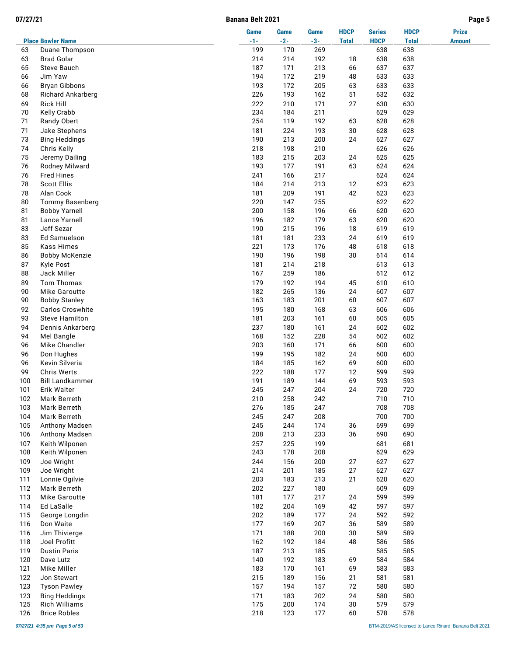| 07/27/21   |                                     | Banana Belt 2021 |            |             |              |               |              | Page 5        |
|------------|-------------------------------------|------------------|------------|-------------|--------------|---------------|--------------|---------------|
|            |                                     | Game             | Game       | <b>Game</b> | <b>HDCP</b>  | <b>Series</b> | <b>HDCP</b>  | <b>Prize</b>  |
|            | <b>Place Bowler Name</b>            | $-1-$            | $-2-$      | $-3-$       | <b>Total</b> | <b>HDCP</b>   | <b>Total</b> | <b>Amount</b> |
| 63         | Duane Thompson<br><b>Brad Golar</b> | 199<br>214       | 170<br>214 | 269         |              | 638<br>638    | 638<br>638   |               |
| 63<br>65   | Steve Bauch                         | 187              | 171        | 192<br>213  | 18<br>66     | 637           | 637          |               |
| 66         | Jim Yaw                             | 194              | 172        | 219         | 48           | 633           | 633          |               |
| 66         | <b>Bryan Gibbons</b>                | 193              | 172        | 205         | 63           | 633           | 633          |               |
| 68         | Richard Ankarberg                   | 226              | 193        | 162         | 51           | 632           | 632          |               |
| 69         | <b>Rick Hill</b>                    | 222              | 210        | 171         | 27           | 630           | 630          |               |
| 70         | Kelly Crabb                         | 234              | 184        | 211         |              | 629           | 629          |               |
| 71         | Randy Obert                         | 254              | 119        | 192         | 63           | 628           | 628          |               |
| 71         | Jake Stephens                       | 181              | 224        | 193         | 30           | 628           | 628          |               |
| 73         | <b>Bing Heddings</b>                | 190              | 213        | 200         | 24           | 627           | 627          |               |
| 74         | Chris Kelly                         | 218              | 198        | 210         |              | 626           | 626          |               |
| 75         | Jeremy Dailing                      | 183              | 215        | 203         | 24           | 625           | 625          |               |
| 76         | Rodney Milward                      | 193              | 177        | 191         | 63           | 624           | 624          |               |
| 76         | <b>Fred Hines</b>                   | 241              | 166        | 217         |              | 624           | 624          |               |
| 78         | <b>Scott Ellis</b>                  | 184              | 214        | 213         | 12           | 623           | 623          |               |
| 78         | Alan Cook                           | 181              | 209        | 191         | 42           | 623           | 623          |               |
| 80         | <b>Tommy Basenberg</b>              | 220              | 147        | 255         |              | 622           | 622          |               |
| 81         | <b>Bobby Yarnell</b>                | 200              | 158        | 196         | 66           | 620           | 620          |               |
| 81         | Lance Yarnell                       | 196              | 182        | 179         | 63           | 620           | 620          |               |
| 83         | Jeff Sezar                          | 190              | 215        | 196         | 18           | 619           | 619          |               |
| 83         | Ed Samuelson                        | 181              | 181        | 233         | 24           | 619           | 619          |               |
| 85         | <b>Kass Himes</b>                   | 221              | 173        | 176         | 48           | 618           | 618          |               |
| 86         | <b>Bobby McKenzie</b>               | 190              | 196        | 198         | 30           | 614           | 614          |               |
| 87         | <b>Kyle Post</b>                    | 181              | 214        | 218         |              | 613           | 613          |               |
| 88         | Jack Miller                         | 167              | 259        | 186         |              | 612           | 612          |               |
| 89         | Tom Thomas                          | 179              | 192        | 194         | 45           | 610           | 610          |               |
| 90         | Mike Garoutte                       | 182              | 265        | 136         | 24           | 607           | 607          |               |
| 90         | <b>Bobby Stanley</b>                | 163              | 183        | 201         | 60           | 607           | 607          |               |
| 92         | Carlos Croswhite                    | 195              | 180        | 168         | 63           | 606<br>605    | 606          |               |
| 93<br>94   | <b>Steve Hamilton</b>               | 181<br>237       | 203<br>180 | 161         | 60<br>24     | 602           | 605<br>602   |               |
| 94         | Dennis Ankarberg<br>Mel Bangle      | 168              | 152        | 161<br>228  | 54           | 602           | 602          |               |
| 96         | Mike Chandler                       | 203              | 160        | 171         | 66           | 600           | 600          |               |
| 96         | Don Hughes                          | 199              | 195        | 182         | 24           | 600           | 600          |               |
| 96         | Kevin Silveria                      | 184              | 185        | 162         | 69           | 600           | 600          |               |
| 99         | <b>Chris Werts</b>                  | 222              | 188        | 177         | 12           | 599           | 599          |               |
| 100        | <b>Bill Landkammer</b>              | 191              | 189        | 144         | 69           | 593           | 593          |               |
| 101        | Erik Walter                         | 245              | 247        | 204         | $24\,$       | 720           | 720          |               |
| 102        | Mark Berreth                        | 210              | 258        | 242         |              | 710           | 710          |               |
| 103        | Mark Berreth                        | 276              | 185        | 247         |              | 708           | 708          |               |
| 104        | Mark Berreth                        | 245              | 247        | 208         |              | 700           | 700          |               |
| 105        | Anthony Madsen                      | 245              | 244        | 174         | 36           | 699           | 699          |               |
| 106        | Anthony Madsen                      | 208              | 213        | 233         | 36           | 690           | 690          |               |
| 107        | Keith Wilponen                      | 257              | 225        | 199         |              | 681           | 681          |               |
| 108        | Keith Wilponen                      | 243              | 178        | 208         |              | 629           | 629          |               |
| 109        | Joe Wright                          | 244              | 156        | 200         | 27           | 627           | 627          |               |
| 109        | Joe Wright                          | 214              | 201        | 185         | 27           | 627           | 627          |               |
| 111        | Lonnie Ogilvie                      | 203              | 183        | 213         | 21           | 620           | 620          |               |
| 112        | Mark Berreth                        | 202              | 227        | 180         |              | 609           | 609          |               |
| 113        | Mike Garoutte                       | 181              | 177        | 217         | 24           | 599           | 599          |               |
| 114        | Ed LaSalle                          | 182              | 204        | 169         | 42           | 597           | 597          |               |
| 115        | George Longdin                      | 202              | 189        | 177         | 24           | 592           | 592          |               |
| 116        | Don Waite                           | 177              | 169        | 207         | 36           | 589           | 589          |               |
| 116        | Jim Thivierge                       | 171              | 188        | 200         | 30<br>48     | 589           | 589          |               |
| 118<br>119 | Joel Profitt                        | 162              | 192        | 184         |              | 586<br>585    | 586          |               |
| 120        | <b>Dustin Paris</b><br>Dave Lutz    | 187<br>140       | 213<br>192 | 185<br>183  | 69           | 584           | 585<br>584   |               |
| 121        | Mike Miller                         | 183              | 170        | 161         | 69           | 583           | 583          |               |
| 122        | Jon Stewart                         | 215              | 189        | 156         | 21           | 581           | 581          |               |
| 123        | <b>Tyson Pawley</b>                 | 157              | 194        | 157         | 72           | 580           | 580          |               |
| 123        | <b>Bing Heddings</b>                | 171              | 183        | 202         | 24           | 580           | 580          |               |
| 125        | Rich Williams                       | 175              | 200        | 174         | 30           | 579           | 579          |               |
| 126        | <b>Brice Robles</b>                 | 218              | 123        | 177         | 60           | 578           | 578          |               |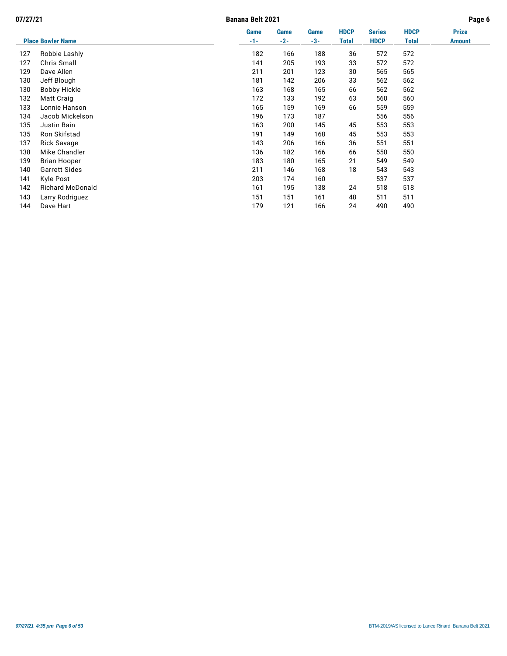| 07/27/21 |                          | Banana Belt 2021 |               |               |                      |                              |                      | Page 6                        |
|----------|--------------------------|------------------|---------------|---------------|----------------------|------------------------------|----------------------|-------------------------------|
|          | <b>Place Bowler Name</b> | Game<br>$-1-$    | Game<br>$-2-$ | Game<br>$-3-$ | <b>HDCP</b><br>Total | <b>Series</b><br><b>HDCP</b> | <b>HDCP</b><br>Total | <b>Prize</b><br><b>Amount</b> |
|          |                          |                  |               |               |                      |                              |                      |                               |
| 127      | Robbie Lashly            | 182              | 166           | 188           | 36                   | 572                          | 572                  |                               |
| 127      | Chris Small              | 141              | 205           | 193           | 33                   | 572                          | 572                  |                               |
| 129      | Dave Allen               | 211              | 201           | 123           | 30                   | 565                          | 565                  |                               |
| 130      | Jeff Blough              | 181              | 142           | 206           | 33                   | 562                          | 562                  |                               |
| 130      | <b>Bobby Hickle</b>      | 163              | 168           | 165           | 66                   | 562                          | 562                  |                               |
| 132      | Matt Craig               | 172              | 133           | 192           | 63                   | 560                          | 560                  |                               |
| 133      | Lonnie Hanson            | 165              | 159           | 169           | 66                   | 559                          | 559                  |                               |
| 134      | Jacob Mickelson          | 196              | 173           | 187           |                      | 556                          | 556                  |                               |
| 135      | Justin Bain              | 163              | 200           | 145           | 45                   | 553                          | 553                  |                               |
| 135      | Ron Skifstad             | 191              | 149           | 168           | 45                   | 553                          | 553                  |                               |
| 137      | Rick Savage              | 143              | 206           | 166           | 36                   | 551                          | 551                  |                               |
| 138      | Mike Chandler            | 136              | 182           | 166           | 66                   | 550                          | 550                  |                               |
| 139      | <b>Brian Hooper</b>      | 183              | 180           | 165           | 21                   | 549                          | 549                  |                               |
| 140      | <b>Garrett Sides</b>     | 211              | 146           | 168           | 18                   | 543                          | 543                  |                               |
| 141      | Kyle Post                | 203              | 174           | 160           |                      | 537                          | 537                  |                               |
| 142      | <b>Richard McDonald</b>  | 161              | 195           | 138           | 24                   | 518                          | 518                  |                               |
| 143      | Larry Rodriguez          | 151              | 151           | 161           | 48                   | 511                          | 511                  |                               |
| 144      | Dave Hart                | 179              | 121           | 166           | 24                   | 490                          | 490                  |                               |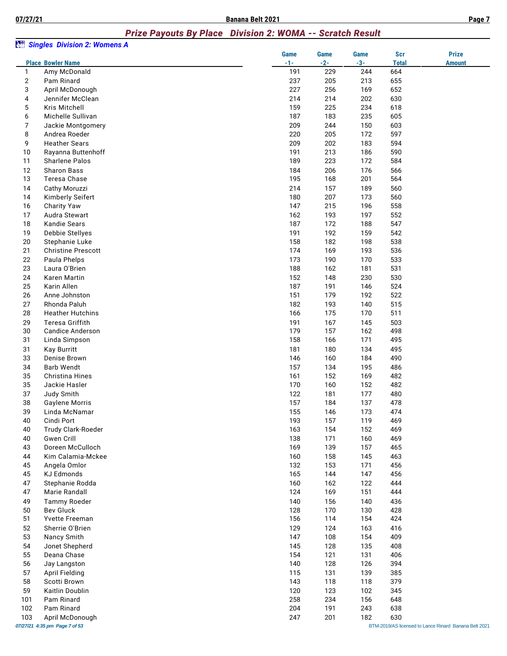# *Prize Payouts By Place Division 2: WOMA -- Scratch Result*

|                     | <b>Singles Division 2: Womens A</b>              |             |             |             |              |                                                       |
|---------------------|--------------------------------------------------|-------------|-------------|-------------|--------------|-------------------------------------------------------|
|                     |                                                  | <b>Game</b> | <b>Game</b> | <b>Game</b> | <b>Scr</b>   | <b>Prize</b>                                          |
|                     | <b>Place Bowler Name</b>                         | $-1-$       | $-2-$       | $-3-$       | <b>Total</b> | <b>Amount</b>                                         |
| $\mathbf{1}$        | Amy McDonald                                     | 191         | 229         | 244         | 664          |                                                       |
| $\overline{2}$<br>3 | Pam Rinard                                       | 237<br>227  | 205<br>256  | 213<br>169  | 655<br>652   |                                                       |
| 4                   | April McDonough<br>Jennifer McClean              | 214         | 214         | 202         | 630          |                                                       |
| 5                   | Kris Mitchell                                    | 159         | 225         | 234         | 618          |                                                       |
| 6                   | Michelle Sullivan                                | 187         | 183         | 235         | 605          |                                                       |
| 7                   | Jackie Montgomery                                | 209         | 244         | 150         | 603          |                                                       |
| 8                   | Andrea Roeder                                    | 220         | 205         | 172         | 597          |                                                       |
| 9                   | <b>Heather Sears</b>                             | 209         | 202         | 183         | 594          |                                                       |
| 10                  | Rayanna Buttenhoff                               | 191         | 213         | 186         | 590          |                                                       |
| 11                  | <b>Sharlene Palos</b>                            | 189         | 223         | 172         | 584          |                                                       |
| 12                  | <b>Sharon Bass</b>                               | 184         | 206         | 176         | 566          |                                                       |
| 13                  | Teresa Chase                                     | 195         | 168         | 201         | 564          |                                                       |
| 14                  | Cathy Moruzzi                                    | 214         | 157         | 189         | 560          |                                                       |
| 14                  | Kimberly Seifert                                 | 180         | 207         | 173         | 560          |                                                       |
| 16                  | <b>Charity Yaw</b>                               | 147         | 215         | 196         | 558          |                                                       |
| 17                  | Audra Stewart                                    | 162         | 193         | 197         | 552          |                                                       |
| 18                  | <b>Kandie Sears</b>                              | 187         | 172         | 188         | 547          |                                                       |
| 19                  | Debbie Stellyes                                  | 191         | 192         | 159         | 542          |                                                       |
| 20                  | Stephanie Luke                                   | 158         | 182         | 198         | 538          |                                                       |
| 21                  | <b>Christine Prescott</b>                        | 174         | 169         | 193         | 536          |                                                       |
| 22                  | Paula Phelps                                     | 173         | 190         | 170         | 533          |                                                       |
| 23                  | Laura O'Brien                                    | 188         | 162         | 181         | 531          |                                                       |
| 24                  | Karen Martin                                     | 152         | 148         | 230         | 530          |                                                       |
| 25                  | Karin Allen                                      | 187         | 191         | 146         | 524          |                                                       |
| 26                  | Anne Johnston                                    | 151         | 179         | 192         | 522          |                                                       |
| 27                  | Rhonda Paluh                                     | 182         | 193         | 140         | 515          |                                                       |
| 28                  | <b>Heather Hutchins</b>                          | 166         | 175         | 170         | 511          |                                                       |
| 29                  | Teresa Griffith                                  | 191         | 167         | 145         | 503          |                                                       |
| 30                  | <b>Candice Anderson</b>                          | 179         | 157         | 162         | 498          |                                                       |
| 31                  | Linda Simpson                                    | 158         | 166         | 171         | 495          |                                                       |
| 31                  | <b>Kay Burritt</b>                               | 181         | 180         | 134         | 495          |                                                       |
| 33                  | Denise Brown                                     | 146         | 160         | 184         | 490          |                                                       |
| 34                  | <b>Barb Wendt</b><br><b>Christina Hines</b>      | 157         | 134         | 195         | 486          |                                                       |
| 35<br>35            | Jackie Hasler                                    | 161<br>170  | 152<br>160  | 169<br>152  | 482<br>482   |                                                       |
| 37                  |                                                  | 122         | 181         | 177         | 480          |                                                       |
| 38                  | Judy Smith<br>Gaylene Morris                     | 157         | 184         | 137         | 478          |                                                       |
| 39                  | Linda McNamar                                    | 155         |             | 173         | 474          |                                                       |
| 40                  | Cindi Port                                       | 193         | 146<br>157  | 119         | 469          |                                                       |
| 40                  | Trudy Clark-Roeder                               | 163         | 154         | 152         | 469          |                                                       |
| 40                  | Gwen Crill                                       | 138         | 171         | 160         | 469          |                                                       |
| 43                  | Doreen McCulloch                                 | 169         | 139         | 157         | 465          |                                                       |
| 44                  | Kim Calamia-Mckee                                | 160         | 158         | 145         | 463          |                                                       |
| 45                  | Angela Omlor                                     | 132         | 153         | 171         | 456          |                                                       |
| 45                  | KJ Edmonds                                       | 165         | 144         | 147         | 456          |                                                       |
| 47                  | Stephanie Rodda                                  | 160         | 162         | 122         | 444          |                                                       |
| 47                  | Marie Randall                                    | 124         | 169         | 151         | 444          |                                                       |
| 49                  | <b>Tammy Roeder</b>                              | 140         | 156         | 140         | 436          |                                                       |
| 50                  | Bev Gluck                                        | 128         | 170         | 130         | 428          |                                                       |
| 51                  | Yvette Freeman                                   | 156         | 114         | 154         | 424          |                                                       |
| 52                  | Sherrie O'Brien                                  | 129         | 124         | 163         | 416          |                                                       |
| 53                  | Nancy Smith                                      | 147         | 108         | 154         | 409          |                                                       |
| 54                  | Jonet Shepherd                                   | 145         | 128         | 135         | 408          |                                                       |
| 55                  | Deana Chase                                      | 154         | 121         | 131         | 406          |                                                       |
| 56                  | Jay Langston                                     | 140         | 128         | 126         | 394          |                                                       |
| 57                  | <b>April Fielding</b>                            | 115         | 131         | 139         | 385          |                                                       |
| 58                  | Scotti Brown                                     | 143         | 118         | 118         | 379          |                                                       |
| 59                  | Kaitlin Doublin                                  | 120         | 123         | 102         | 345          |                                                       |
| 101                 | Pam Rinard                                       | 258         | 234         | 156         | 648          |                                                       |
| 102                 | Pam Rinard                                       | 204         | 191         | 243         | 638          |                                                       |
| 103                 | April McDonough<br>07/27/21 4:35 pm Page 7 of 53 | 247         | 201         | 182         | 630          | BTM-2019/AS licensed to Lance Rinard Banana Belt 2021 |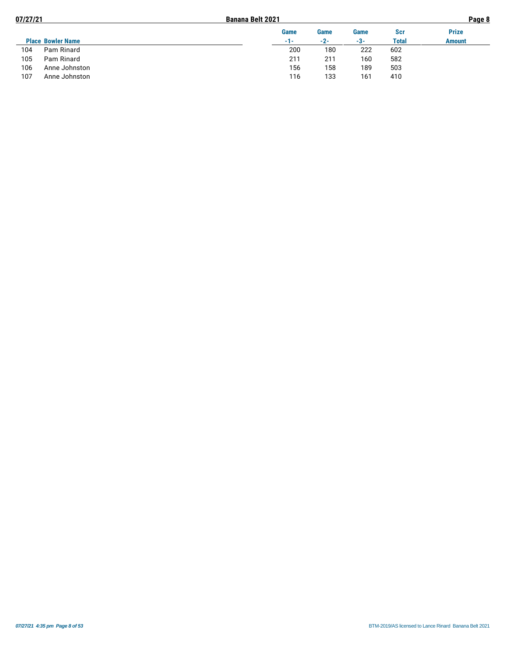| Page 8        |  |
|---------------|--|
| <b>Prize</b>  |  |
| <b>Amount</b> |  |
|               |  |
|               |  |
|               |  |
|               |  |
|               |  |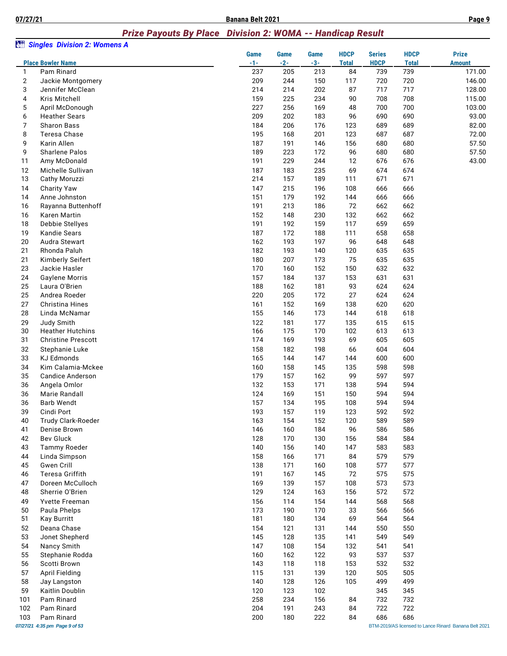#### *Prize Payouts By Place Division 2: WOMA -- Handicap Result*

| àü             | <b>Singles Division 2: Womens A</b> |               |                      |                      |                             |                              |                             |                                                       |
|----------------|-------------------------------------|---------------|----------------------|----------------------|-----------------------------|------------------------------|-----------------------------|-------------------------------------------------------|
|                | <b>Place Bowler Name</b>            | Game<br>$-1-$ | <b>Game</b><br>$-2-$ | <b>Game</b><br>$-3-$ | <b>HDCP</b><br><b>Total</b> | <b>Series</b><br><b>HDCP</b> | <b>HDCP</b><br><b>Total</b> | <b>Prize</b><br><b>Amount</b>                         |
| 1              | Pam Rinard                          | 237           | 205                  | 213                  | 84                          | 739                          | 739                         | 171.00                                                |
| $\overline{2}$ | Jackie Montgomery                   | 209           | 244                  | 150                  | 117                         | 720                          | 720                         | 146.00                                                |
| 3              | Jennifer McClean                    | 214           | 214                  | 202                  | 87                          | 717                          | 717                         | 128.00                                                |
| 4              | Kris Mitchell                       | 159           | 225                  | 234                  | 90                          | 708                          | 708                         | 115.00                                                |
| 5              | April McDonough                     | 227           | 256                  | 169                  | 48                          | 700                          | 700                         | 103.00                                                |
| 6              | <b>Heather Sears</b>                | 209           | 202                  | 183                  | 96                          | 690                          | 690                         | 93.00                                                 |
| 7              | <b>Sharon Bass</b>                  | 184           | 206                  | 176                  | 123                         | 689                          | 689                         | 82.00                                                 |
| 8              | Teresa Chase<br>Karin Allen         | 195<br>187    | 168<br>191           | 201<br>146           | 123<br>156                  | 687<br>680                   | 687<br>680                  | 72.00<br>57.50                                        |
| 9<br>9         | Sharlene Palos                      | 189           | 223                  | 172                  | 96                          | 680                          | 680                         | 57.50                                                 |
| 11             | Amy McDonald                        | 191           | 229                  | 244                  | 12                          | 676                          | 676                         | 43.00                                                 |
| 12             | Michelle Sullivan                   | 187           | 183                  | 235                  | 69                          | 674                          | 674                         |                                                       |
| 13             | Cathy Moruzzi                       | 214           | 157                  | 189                  | 111                         | 671                          | 671                         |                                                       |
| 14             | <b>Charity Yaw</b>                  | 147           | 215                  | 196                  | 108                         | 666                          | 666                         |                                                       |
| 14             | Anne Johnston                       | 151           | 179                  | 192                  | 144                         | 666                          | 666                         |                                                       |
| 16             | Rayanna Buttenhoff                  | 191           | 213                  | 186                  | 72                          | 662                          | 662                         |                                                       |
| 16             | Karen Martin                        | 152           | 148                  | 230                  | 132                         | 662                          | 662                         |                                                       |
| 18             | Debbie Stellyes                     | 191           | 192                  | 159                  | 117                         | 659                          | 659                         |                                                       |
| 19             | <b>Kandie Sears</b>                 | 187           | 172                  | 188                  | 111                         | 658                          | 658                         |                                                       |
| 20             | Audra Stewart                       | 162           | 193                  | 197                  | 96                          | 648                          | 648                         |                                                       |
| 21             | Rhonda Paluh                        | 182           | 193                  | 140                  | 120                         | 635                          | 635                         |                                                       |
| 21             | Kimberly Seifert                    | 180           | 207                  | 173                  | 75                          | 635                          | 635                         |                                                       |
| 23             | Jackie Hasler                       | 170           | 160                  | 152                  | 150                         | 632                          | 632                         |                                                       |
| 24             | <b>Gaylene Morris</b>               | 157           | 184                  | 137                  | 153                         | 631                          | 631                         |                                                       |
| 25<br>25       | Laura O'Brien<br>Andrea Roeder      | 188<br>220    | 162<br>205           | 181<br>172           | 93<br>27                    | 624<br>624                   | 624<br>624                  |                                                       |
| 27             | Christina Hines                     | 161           | 152                  | 169                  | 138                         | 620                          | 620                         |                                                       |
| 28             | Linda McNamar                       | 155           | 146                  | 173                  | 144                         | 618                          | 618                         |                                                       |
| 29             | Judy Smith                          | 122           | 181                  | 177                  | 135                         | 615                          | 615                         |                                                       |
| 30             | <b>Heather Hutchins</b>             | 166           | 175                  | 170                  | 102                         | 613                          | 613                         |                                                       |
| 31             | <b>Christine Prescott</b>           | 174           | 169                  | 193                  | 69                          | 605                          | 605                         |                                                       |
| 32             | Stephanie Luke                      | 158           | 182                  | 198                  | 66                          | 604                          | 604                         |                                                       |
| 33             | <b>KJ Edmonds</b>                   | 165           | 144                  | 147                  | 144                         | 600                          | 600                         |                                                       |
| 34             | Kim Calamia-Mckee                   | 160           | 158                  | 145                  | 135                         | 598                          | 598                         |                                                       |
| 35             | <b>Candice Anderson</b>             | 179           | 157                  | 162                  | 99                          | 597                          | 597                         |                                                       |
| 36             | Angela Omlor                        | 132           | 153                  | 171                  | 138                         | 594                          | 594                         |                                                       |
| 36             | Marie Randall                       | 124           | 169                  | 151                  | 150                         | 594                          | 594                         |                                                       |
| 36             | <b>Barb Wendt</b>                   | 157           | 134                  | 195                  | 108                         | 594                          | 594                         |                                                       |
| 39             | Cindi Port                          | 193           | 157                  | 119                  | 123                         | 592                          | 592                         |                                                       |
| 40<br>41       | Trudy Clark-Roeder<br>Denise Brown  | 163<br>146    | 154<br>160           | 152<br>184           | 120<br>96                   | 589<br>586                   | 589<br>586                  |                                                       |
| 42             | <b>Bev Gluck</b>                    | 128           | 170                  | 130                  | 156                         | 584                          | 584                         |                                                       |
| 43             | <b>Tammy Roeder</b>                 | 140           | 156                  | 140                  | 147                         | 583                          | 583                         |                                                       |
| 44             | Linda Simpson                       | 158           | 166                  | 171                  | 84                          | 579                          | 579                         |                                                       |
| 45             | Gwen Crill                          | 138           | 171                  | 160                  | 108                         | 577                          | 577                         |                                                       |
| 46             | Teresa Griffith                     | 191           | 167                  | 145                  | 72                          | 575                          | 575                         |                                                       |
| 47             | Doreen McCulloch                    | 169           | 139                  | 157                  | 108                         | 573                          | 573                         |                                                       |
| 48             | Sherrie O'Brien                     | 129           | 124                  | 163                  | 156                         | 572                          | 572                         |                                                       |
| 49             | <b>Yvette Freeman</b>               | 156           | 114                  | 154                  | 144                         | 568                          | 568                         |                                                       |
| 50             | Paula Phelps                        | 173           | 190                  | 170                  | 33                          | 566                          | 566                         |                                                       |
| 51             | <b>Kay Burritt</b>                  | 181           | 180                  | 134                  | 69                          | 564                          | 564                         |                                                       |
| 52             | Deana Chase                         | 154           | 121                  | 131                  | 144                         | 550                          | 550                         |                                                       |
| 53             | Jonet Shepherd                      | 145           | 128                  | 135                  | 141                         | 549                          | 549                         |                                                       |
| 54             | Nancy Smith                         | 147           | 108                  | 154                  | 132                         | 541                          | 541                         |                                                       |
| 55<br>56       | Stephanie Rodda<br>Scotti Brown     | 160<br>143    | 162<br>118           | 122<br>118           | 93<br>153                   | 537<br>532                   | 537<br>532                  |                                                       |
| 57             | <b>April Fielding</b>               | 115           | 131                  | 139                  | 120                         | 505                          | 505                         |                                                       |
| 58             | Jay Langston                        | 140           | 128                  | 126                  | 105                         | 499                          | 499                         |                                                       |
| 59             | Kaitlin Doublin                     | 120           | 123                  | 102                  |                             | 345                          | 345                         |                                                       |
| 101            | Pam Rinard                          | 258           | 234                  | 156                  | 84                          | 732                          | 732                         |                                                       |
| 102            | Pam Rinard                          | 204           | 191                  | 243                  | 84                          | 722                          | 722                         |                                                       |
| 103            | Pam Rinard                          | 200           | 180                  | 222                  | 84                          | 686                          | 686                         |                                                       |
|                | 07/27/21 4:35 pm Page 9 of 53       |               |                      |                      |                             |                              |                             | BTM-2019/AS licensed to Lance Rinard Banana Belt 2021 |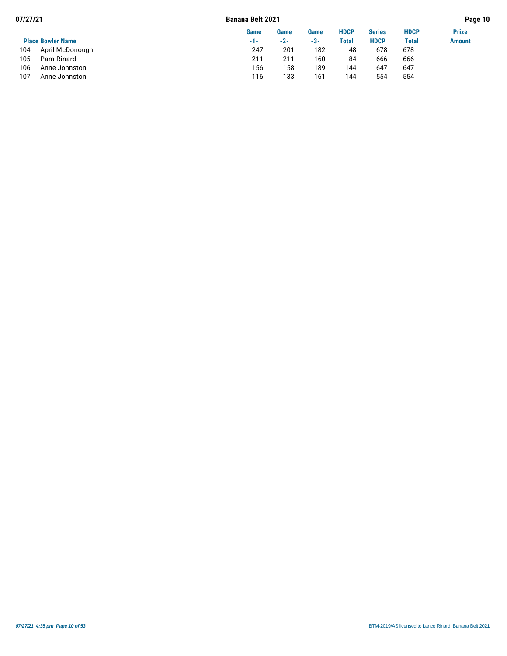| 07/27/21 |                          | <b>Banana Belt 2021</b> |       |       |              |               | Page 10     |               |  |  |
|----------|--------------------------|-------------------------|-------|-------|--------------|---------------|-------------|---------------|--|--|
|          |                          | Game                    | Game  | Game  | <b>HDCP</b>  | <b>Series</b> | <b>HDCP</b> | <b>Prize</b>  |  |  |
|          | <b>Place Bowler Name</b> | -1-                     | $-2-$ | $-3-$ | <b>Total</b> | <b>HDCP</b>   | Total       | <b>Amount</b> |  |  |
| 104      | April McDonough          | 247                     | 201   | 182   | 48           | 678           | 678         |               |  |  |
| 105      | Pam Rinard               | 211                     | 211   | 160   | 84           | 666           | 666         |               |  |  |
| 106      | Anne Johnston            | 156                     | 158   | 189   | 144          | 647           | 647         |               |  |  |
| 107      | Anne Johnston            | 116                     | 133   | 161   | 144          | 554           | 554         |               |  |  |
|          |                          |                         |       |       |              |               |             |               |  |  |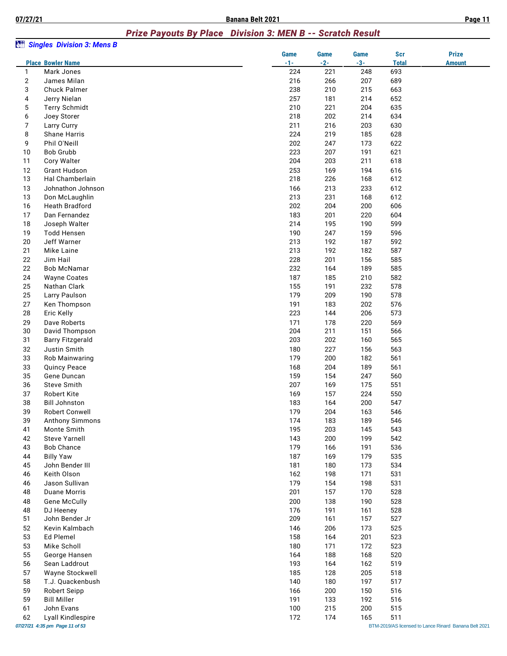#### *Prize Payouts By Place Division 3: MEN B -- Scratch Result*

| àü             | <b>Singles Division 3: Mens B</b>                   |                      |                      |                      |                            |                                                       |
|----------------|-----------------------------------------------------|----------------------|----------------------|----------------------|----------------------------|-------------------------------------------------------|
|                | <b>Place Bowler Name</b>                            | <b>Game</b><br>$-1-$ | <b>Game</b><br>$-2-$ | <b>Game</b><br>$-3-$ | <b>Scr</b><br><b>Total</b> | <b>Prize</b><br><b>Amount</b>                         |
| $\mathbf{1}$   | Mark Jones                                          | 224                  | 221                  | 248                  | 693                        |                                                       |
| $\overline{2}$ | James Milan                                         | 216                  | 266                  | 207                  | 689                        |                                                       |
| 3              | <b>Chuck Palmer</b>                                 | 238                  | 210                  | 215                  | 663                        |                                                       |
| 4              | Jerry Nielan                                        | 257                  | 181                  | 214                  | 652                        |                                                       |
| 5              | <b>Terry Schmidt</b>                                | 210                  | 221                  | 204                  | 635                        |                                                       |
| 6<br>7         | Joey Storer                                         | 218<br>211           | 202<br>216           | 214<br>203           | 634<br>630                 |                                                       |
| 8              | Larry Curry<br><b>Shane Harris</b>                  | 224                  | 219                  | 185                  | 628                        |                                                       |
| 9              | Phil O'Neill                                        | 202                  | 247                  | 173                  | 622                        |                                                       |
| 10             | <b>Bob Grubb</b>                                    | 223                  | 207                  | 191                  | 621                        |                                                       |
| 11             | Cory Walter                                         | 204                  | 203                  | 211                  | 618                        |                                                       |
| 12             | <b>Grant Hudson</b>                                 | 253                  | 169                  | 194                  | 616                        |                                                       |
| 13             | Hal Chamberlain                                     | 218                  | 226                  | 168                  | 612                        |                                                       |
| 13             | Johnathon Johnson                                   | 166                  | 213                  | 233                  | 612                        |                                                       |
| 13             | Don McLaughlin                                      | 213                  | 231                  | 168                  | 612                        |                                                       |
| 16             | <b>Heath Bradford</b>                               | 202                  | 204                  | 200                  | 606                        |                                                       |
| 17             | Dan Fernandez                                       | 183                  | 201                  | 220                  | 604                        |                                                       |
| 18             | Joseph Walter                                       | 214                  | 195                  | 190                  | 599                        |                                                       |
| 19             | <b>Todd Hensen</b>                                  | 190                  | 247                  | 159                  | 596                        |                                                       |
| 20             | Jeff Warner                                         | 213                  | 192                  | 187                  | 592                        |                                                       |
| 21             | Mike Laine<br>Jim Hail                              | 213<br>228           | 192                  | 182<br>156           | 587<br>585                 |                                                       |
| 22<br>22       | Bob McNamar                                         | 232                  | 201<br>164           | 189                  | 585                        |                                                       |
| 24             | <b>Wayne Coates</b>                                 | 187                  | 185                  | 210                  | 582                        |                                                       |
| 25             | Nathan Clark                                        | 155                  | 191                  | 232                  | 578                        |                                                       |
| 25             | Larry Paulson                                       | 179                  | 209                  | 190                  | 578                        |                                                       |
| 27             | Ken Thompson                                        | 191                  | 183                  | 202                  | 576                        |                                                       |
| 28             | Eric Kelly                                          | 223                  | 144                  | 206                  | 573                        |                                                       |
| 29             | Dave Roberts                                        | 171                  | 178                  | 220                  | 569                        |                                                       |
| 30             | David Thompson                                      | 204                  | 211                  | 151                  | 566                        |                                                       |
| 31             | <b>Barry Fitzgerald</b>                             | 203                  | 202                  | 160                  | 565                        |                                                       |
| 32             | Justin Smith                                        | 180                  | 227                  | 156                  | 563                        |                                                       |
| 33             | Rob Mainwaring                                      | 179                  | 200                  | 182                  | 561                        |                                                       |
| 33             | <b>Quincy Peace</b>                                 | 168                  | 204                  | 189                  | 561                        |                                                       |
| 35             | Gene Duncan                                         | 159                  | 154                  | 247                  | 560                        |                                                       |
| 36<br>37       | Steve Smith<br>Robert Kite                          | 207<br>169           | 169<br>157           | 175<br>224           | 551<br>550                 |                                                       |
| 38             | <b>Bill Johnston</b>                                | 183                  | 164                  | 200                  | 547                        |                                                       |
| 39             | <b>Robert Conwell</b>                               | 179                  | 204                  | 163                  | 546                        |                                                       |
| 39             | Anthony Simmons                                     | 174                  | 183                  | 189                  | 546                        |                                                       |
| 41             | Monte Smith                                         | 195                  | 203                  | 145                  | 543                        |                                                       |
| 42             | <b>Steve Yarnell</b>                                | 143                  | 200                  | 199                  | 542                        |                                                       |
| 43             | <b>Bob Chance</b>                                   | 179                  | 166                  | 191                  | 536                        |                                                       |
| 44             | <b>Billy Yaw</b>                                    | 187                  | 169                  | 179                  | 535                        |                                                       |
| 45             | John Bender III                                     | 181                  | 180                  | 173                  | 534                        |                                                       |
| 46             | Keith Olson                                         | 162                  | 198                  | 171                  | 531                        |                                                       |
| 46             | Jason Sullivan                                      | 179                  | 154                  | 198                  | 531                        |                                                       |
| 48             | <b>Duane Morris</b>                                 | 201                  | 157                  | 170                  | 528                        |                                                       |
| 48<br>48       | <b>Gene McCully</b>                                 | 200<br>176           | 138<br>191           | 190<br>161           | 528<br>528                 |                                                       |
| 51             | DJ Heeney<br>John Bender Jr                         | 209                  | 161                  | 157                  | 527                        |                                                       |
| 52             | Kevin Kalmbach                                      | 146                  | 206                  | 173                  | 525                        |                                                       |
| 53             | Ed Plemel                                           | 158                  | 164                  | 201                  | 523                        |                                                       |
| 53             | Mike Scholl                                         | 180                  | 171                  | 172                  | 523                        |                                                       |
| 55             | George Hansen                                       | 164                  | 188                  | 168                  | 520                        |                                                       |
| 56             | Sean Laddrout                                       | 193                  | 164                  | 162                  | 519                        |                                                       |
| 57             | Wayne Stockwell                                     | 185                  | 128                  | 205                  | 518                        |                                                       |
| 58             | T.J. Quackenbush                                    | 140                  | 180                  | 197                  | 517                        |                                                       |
| 59             | Robert Seipp                                        | 166                  | 200                  | 150                  | 516                        |                                                       |
| 59             | <b>Bill Miller</b>                                  | 191                  | 133                  | 192                  | 516                        |                                                       |
| 61             | John Evans                                          | 100                  | 215                  | 200                  | 515                        |                                                       |
| 62             | Lyall Kindlespire<br>07/27/21 4:35 pm Page 11 of 53 | 172                  | 174                  | 165                  | 511                        | BTM-2019/AS licensed to Lance Rinard Banana Belt 2021 |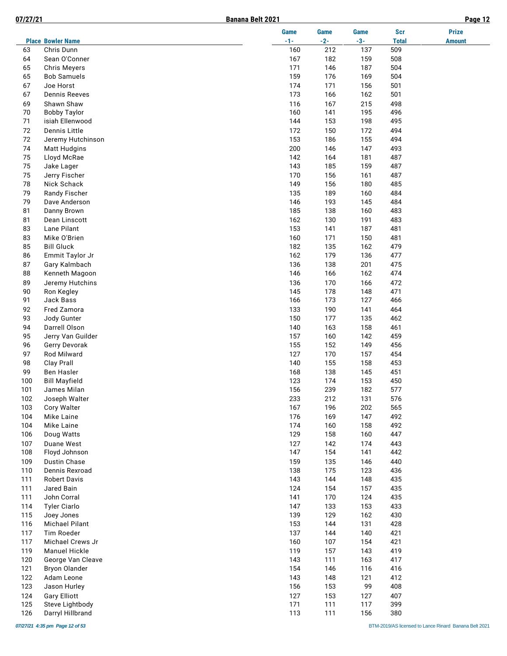|--|

| п<br>ad | ۱ρ |  |
|---------|----|--|
|         |    |  |

|            |                                      | <b>Game</b> | <b>Game</b> | <b>Game</b> | <b>Scr</b>   | <b>Prize</b>  |
|------------|--------------------------------------|-------------|-------------|-------------|--------------|---------------|
|            | <b>Place Bowler Name</b>             | $-1-$       | $-2-$       | $-3-$       | <b>Total</b> | <b>Amount</b> |
| 63         | Chris Dunn                           | 160         | 212         | 137         | 509          |               |
| 64<br>65   | Sean O'Conner<br><b>Chris Meyers</b> | 167<br>171  | 182<br>146  | 159<br>187  | 508<br>504   |               |
| 65         | <b>Bob Samuels</b>                   | 159         | 176         | 169         | 504          |               |
| 67         | Joe Horst                            | 174         | 171         | 156         | 501          |               |
| 67         | <b>Dennis Reeves</b>                 | 173         | 166         | 162         | 501          |               |
| 69         | Shawn Shaw                           | 116         | 167         | 215         | 498          |               |
| 70         | <b>Bobby Taylor</b>                  | 160         | 141         | 195         | 496          |               |
| 71         | isiah Ellenwood                      | 144         | 153         | 198         | 495          |               |
| 72         | Dennis Little                        | 172         | 150         | 172         | 494          |               |
| 72         | Jeremy Hutchinson                    | 153         | 186         | 155         | 494          |               |
| 74         | <b>Matt Hudgins</b>                  | 200         | 146         | 147         | 493          |               |
| 75         | Lloyd McRae                          | 142         | 164         | 181         | 487          |               |
| 75         | Jake Lager                           | 143         | 185         | 159         | 487          |               |
| 75         | Jerry Fischer                        | 170         | 156         | 161         | 487          |               |
| 78         | Nick Schack                          | 149         | 156         | 180         | 485          |               |
| 79         | Randy Fischer                        | 135         | 189         | 160         | 484          |               |
| 79         | Dave Anderson                        | 146         | 193         | 145         | 484          |               |
| 81         | Danny Brown                          | 185         | 138         | 160         | 483          |               |
| 81         | Dean Linscott                        | 162         | 130         | 191         | 483          |               |
| 83         | Lane Pilant                          | 153         | 141         | 187         | 481          |               |
| 83         | Mike O'Brien                         | 160         | 171         | 150         | 481          |               |
| 85         | <b>Bill Gluck</b>                    | 182         | 135         | 162         | 479          |               |
| 86         | Emmit Taylor Jr                      | 162         | 179         | 136         | 477          |               |
| 87         | Gary Kalmbach                        | 136         | 138         | 201         | 475          |               |
| 88         | Kenneth Magoon                       | 146         | 166         | 162         | 474          |               |
| 89         | Jeremy Hutchins                      | 136         | 170         | 166         | 472          |               |
| 90         | Ron Kegley                           | 145         | 178         | 148         | 471          |               |
| 91         | Jack Bass                            | 166         | 173         | 127         | 466          |               |
| 92<br>93   | Fred Zamora                          | 133<br>150  | 190<br>177  | 141<br>135  | 464<br>462   |               |
| 94         | Jody Gunter<br>Darrell Olson         | 140         | 163         | 158         | 461          |               |
| 95         | Jerry Van Guilder                    | 157         | 160         | 142         | 459          |               |
| 96         | Gerry Devorak                        | 155         | 152         | 149         | 456          |               |
| 97         | Rod Milward                          | 127         | 170         | 157         | 454          |               |
| 98         | Clay Prall                           | 140         | 155         | 158         | 453          |               |
| 99         | Ben Hasler                           | 168         | 138         | 145         | 451          |               |
| 100        | <b>Bill Mayfield</b>                 | 123         | 174         | 153         | 450          |               |
| 101        | James Milan                          | 156         | 239         | 182         | 577          |               |
| 102        | Joseph Walter                        | 233         | 212         | 131         | 576          |               |
| 103        | Cory Walter                          | 167         | 196         | 202         | 565          |               |
| 104        | Mike Laine                           | 176         | 169         | 147         | 492          |               |
| 104        | Mike Laine                           | 174         | 160         | 158         | 492          |               |
| 106        | Doug Watts                           | 129         | 158         | 160         | 447          |               |
| 107        | Duane West                           | 127         | 142         | 174         | 443          |               |
| 108        | Floyd Johnson                        | 147         | 154         | 141         | 442          |               |
| 109        | Dustin Chase                         | 159         | 135         | 146         | 440          |               |
| 110        | Dennis Rexroad                       | 138         | 175         | 123         | 436          |               |
| 111        | <b>Robert Davis</b>                  | 143         | 144         | 148         | 435          |               |
| 111        | Jared Bain                           | 124         | 154         | 157         | 435          |               |
| 111        | John Corral                          | 141         | 170         | 124         | 435          |               |
| 114        | <b>Tyler Ciarlo</b>                  | 147         | 133         | 153         | 433          |               |
| 115        | Joey Jones                           | 139         | 129         | 162         | 430          |               |
| 116        | Michael Pilant                       | 153         | 144         | 131         | 428          |               |
| 117        | Tim Roeder                           | 137         | 144         | 140         | 421          |               |
| 117        | Michael Crews Jr                     | 160         | 107         | 154         | 421          |               |
| 119<br>120 | Manuel Hickle<br>George Van Cleave   | 119<br>143  | 157<br>111  | 143<br>163  | 419<br>417   |               |
| 121        | <b>Bryon Olander</b>                 | 154         | 146         | 116         | 416          |               |
| 122        | Adam Leone                           | 143         | 148         | 121         | 412          |               |
| 123        | Jason Hurley                         | 156         | 153         | 99          | 408          |               |
| 124        | <b>Gary Elliott</b>                  | 127         | 153         | 127         | 407          |               |
| 125        | Steve Lightbody                      | 171         | 111         | 117         | 399          |               |
| 126        | Darryl Hillbrand                     | 113         | 111         | 156         | 380          |               |
|            |                                      |             |             |             |              |               |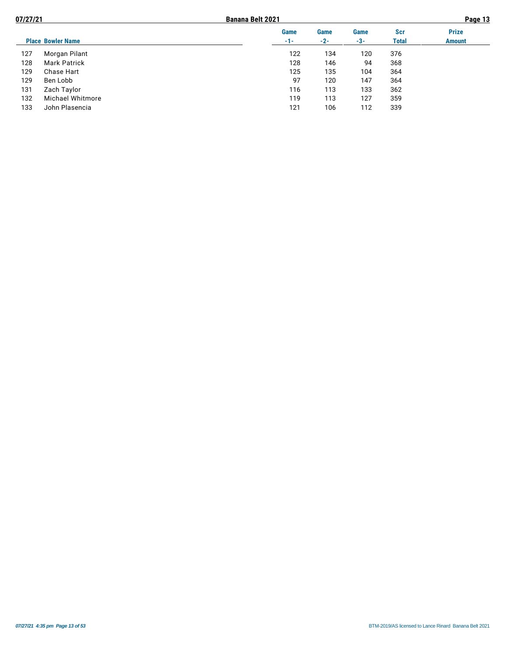| 07/27/21 |                          |             | Page 13 |             |              |               |
|----------|--------------------------|-------------|---------|-------------|--------------|---------------|
|          |                          | <b>Game</b> | Game    | <b>Game</b> | <b>Scr</b>   | <b>Prize</b>  |
|          | <b>Place Bowler Name</b> | $-1-$       | $-2-$   | -3-         | <b>Total</b> | <b>Amount</b> |
| 127      | Morgan Pilant            | 122         | 134     | 120         | 376          |               |
| 128      | <b>Mark Patrick</b>      | 128         | 146     | 94          | 368          |               |
| 129      | Chase Hart               | 125         | 135     | 104         | 364          |               |
| 129      | Ben Lobb                 | 97          | 120     | 147         | 364          |               |
| 131      | Zach Taylor              | 116         | 113     | 133         | 362          |               |
| 132      | Michael Whitmore         | 119         | 113     | 127         | 359          |               |
| 133      | John Plasencia           | 121         | 106     | 112         | 339          |               |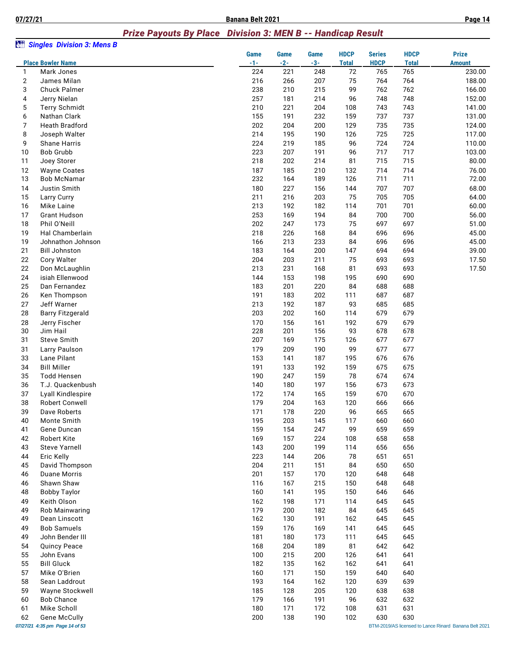#### *Prize Payouts By Place Division 3: MEN B -- Handicap Result*

| àü                | <b>Singles Division 3: Mens B</b>  |            |             |             |              |               |              |                                                       |
|-------------------|------------------------------------|------------|-------------|-------------|--------------|---------------|--------------|-------------------------------------------------------|
|                   |                                    | Game       | <b>Game</b> | <b>Game</b> | <b>HDCP</b>  | <b>Series</b> | <b>HDCP</b>  | <b>Prize</b>                                          |
|                   | <b>Place Bowler Name</b>           | $-1-$      | $-2-$       | $-3-$       | <b>Total</b> | <b>HDCP</b>   | <b>Total</b> | <b>Amount</b>                                         |
| 1                 | Mark Jones                         | 224        | 221         | 248         | 72           | 765           | 765          | 230.00                                                |
| $\mathbf{2}$<br>3 | James Milan<br><b>Chuck Palmer</b> | 216<br>238 | 266<br>210  | 207<br>215  | 75<br>99     | 764<br>762    | 764<br>762   | 188.00<br>166.00                                      |
| 4                 | Jerry Nielan                       | 257        | 181         | 214         | 96           | 748           | 748          | 152.00                                                |
| 5                 | <b>Terry Schmidt</b>               | 210        | 221         | 204         | 108          | 743           | 743          | 141.00                                                |
| 6                 | Nathan Clark                       | 155        | 191         | 232         | 159          | 737           | 737          | 131.00                                                |
| 7                 | <b>Heath Bradford</b>              | 202        | 204         | 200         | 129          | 735           | 735          | 124.00                                                |
| 8                 | Joseph Walter                      | 214        | 195         | 190         | 126          | 725           | 725          | 117.00                                                |
| 9                 | Shane Harris                       | 224        | 219         | 185         | 96           | 724           | 724          | 110.00                                                |
| 10                | <b>Bob Grubb</b>                   | 223        | 207         | 191         | 96           | 717           | 717          | 103.00                                                |
| 11                | Joey Storer                        | 218        | 202         | 214         | 81           | 715           | 715          | 80.00                                                 |
| 12                | <b>Wayne Coates</b>                | 187        | 185         | 210         | 132          | 714           | 714          | 76.00                                                 |
| 13                | Bob McNamar                        | 232        | 164         | 189         | 126          | 711           | 711          | 72.00                                                 |
| 14                | Justin Smith                       | 180        | 227         | 156         | 144          | 707           | 707          | 68.00                                                 |
| 15                | Larry Curry                        | 211        | 216         | 203         | 75           | 705           | 705          | 64.00                                                 |
| 16                | Mike Laine                         | 213        | 192         | 182         | 114          | 701           | 701          | 60.00                                                 |
| 17                | <b>Grant Hudson</b>                | 253        | 169         | 194         | 84           | 700           | 700          | 56.00                                                 |
| 18                | Phil O'Neill                       | 202        | 247         | 173         | 75           | 697           | 697          | 51.00                                                 |
| 19                | Hal Chamberlain                    | 218        | 226         | 168         | 84           | 696           | 696          | 45.00                                                 |
| 19                | Johnathon Johnson                  | 166        | 213         | 233         | 84           | 696           | 696          | 45.00                                                 |
| 21                | <b>Bill Johnston</b>               | 183        | 164         | 200         | 147          | 694           | 694          | 39.00                                                 |
| 22                | Cory Walter                        | 204        | 203         | 211         | 75           | 693           | 693          | 17.50                                                 |
| 22                | Don McLaughlin                     | 213        | 231         | 168         | 81           | 693           | 693          | 17.50                                                 |
| 24                | isiah Ellenwood                    | 144        | 153         | 198         | 195          | 690           | 690          |                                                       |
| 25                | Dan Fernandez                      | 183        | 201         | 220         | 84           | 688           | 688          |                                                       |
| 26                | Ken Thompson                       | 191        | 183         | 202         | 111          | 687           | 687          |                                                       |
| 27                | Jeff Warner                        | 213        | 192         | 187         | 93           | 685           | 685          |                                                       |
| 28                | <b>Barry Fitzgerald</b>            | 203        | 202         | 160         | 114          | 679           | 679          |                                                       |
| 28                | Jerry Fischer                      | 170        | 156         | 161         | 192          | 679           | 679          |                                                       |
| 30                | Jim Hail                           | 228        | 201         | 156         | 93           | 678           | 678          |                                                       |
| 31                | Steve Smith                        | 207        | 169         | 175         | 126          | 677           | 677          |                                                       |
| 31                | Larry Paulson                      | 179        | 209         | 190         | 99           | 677           | 677          |                                                       |
| 33                | Lane Pilant                        | 153        | 141         | 187         | 195          | 676           | 676          |                                                       |
| 34                | <b>Bill Miller</b>                 | 191        | 133         | 192         | 159          | 675           | 675          |                                                       |
| 35                | <b>Todd Hensen</b>                 | 190        | 247         | 159         | 78           | 674           | 674          |                                                       |
| 36                | T.J. Quackenbush                   | 140        | 180         | 197         | 156          | 673           | 673          |                                                       |
| 37                | Lyall Kindlespire                  | 172        | 174         | 165         | 159          | 670           | 670          |                                                       |
| 38                | <b>Robert Conwell</b>              | 179        | 204         | 163         | 120          | 666           | 666          |                                                       |
| 39                | Dave Roberts                       | 171        | 178         | 220         | 96           | 665           | 665          |                                                       |
| 40                | Monte Smith                        | 195        | 203         | 145         | 117          | 660           | 660          |                                                       |
| 41                | Gene Duncan                        | 159        | 154         | 247         | 99           | 659           | 659          |                                                       |
| 42                | <b>Robert Kite</b>                 | 169        | 157         | 224         | 108          | 658           | 658          |                                                       |
| 43                | <b>Steve Yarnell</b>               | 143        | 200         | 199         | 114          | 656           | 656          |                                                       |
| 44                | Eric Kelly                         | 223        | 144         | 206         | 78           | 651           | 651          |                                                       |
| 45                | David Thompson                     | 204        | 211         | 151         | 84           | 650           | 650          |                                                       |
| 46                | <b>Duane Morris</b>                | 201        | 157         | 170         | 120          | 648           | 648          |                                                       |
| 46                | Shawn Shaw                         | 116        | 167         | 215         | 150          | 648           | 648          |                                                       |
| 48                | <b>Bobby Taylor</b>                | 160        | 141         | 195         | 150          | 646           | 646          |                                                       |
| 49<br>49          | Keith Olson<br>Rob Mainwaring      | 162        | 198         | 171         | 114          | 645           | 645          |                                                       |
| 49                | Dean Linscott                      | 179<br>162 | 200<br>130  | 182<br>191  | 84<br>162    | 645<br>645    | 645<br>645   |                                                       |
|                   | <b>Bob Samuels</b>                 |            | 176         |             | 141          |               |              |                                                       |
| 49<br>49          | John Bender III                    | 159<br>181 | 180         | 169<br>173  | 111          | 645<br>645    | 645<br>645   |                                                       |
| 54                | <b>Quincy Peace</b>                | 168        | 204         | 189         | 81           | 642           | 642          |                                                       |
| 55                | John Evans                         | 100        | 215         | 200         | 126          | 641           | 641          |                                                       |
| 55                | <b>Bill Gluck</b>                  | 182        | 135         | 162         | 162          | 641           | 641          |                                                       |
| 57                | Mike O'Brien                       | 160        | 171         | 150         | 159          | 640           | 640          |                                                       |
| 58                | Sean Laddrout                      | 193        | 164         | 162         | 120          | 639           | 639          |                                                       |
| 59                | Wayne Stockwell                    | 185        | 128         | 205         | 120          | 638           | 638          |                                                       |
| 60                | <b>Bob Chance</b>                  | 179        | 166         | 191         | 96           | 632           | 632          |                                                       |
| 61                | Mike Scholl                        | 180        | 171         | 172         | 108          | 631           | 631          |                                                       |
| 62                | <b>Gene McCully</b>                | 200        | 138         | 190         | 102          | 630           | 630          |                                                       |
|                   | 07/27/21 4:35 pm Page 14 of 53     |            |             |             |              |               |              | BTM-2019/AS licensed to Lance Rinard Banana Belt 2021 |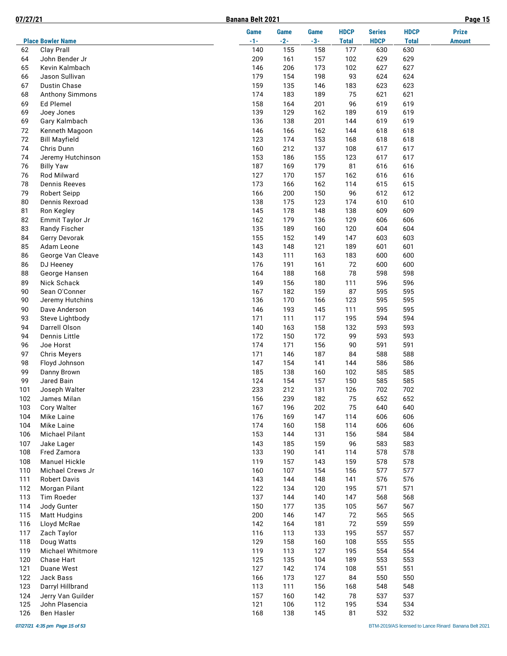**07/27/21 Banana Belt 2021 Page 15**

|            |                                     | Game       | Game       | Game       | <b>HDCP</b>  | <b>Series</b> | <b>HDCP</b>  | <b>Prize</b>  |
|------------|-------------------------------------|------------|------------|------------|--------------|---------------|--------------|---------------|
|            | <b>Place Bowler Name</b>            | $-1-$      | $-2-$      | $-3-$      | <b>Total</b> | <b>HDCP</b>   | <b>Total</b> | <b>Amount</b> |
| 62         | Clay Prall                          | 140        | 155        | 158        | 177          | 630           | 630          |               |
| 64<br>65   | John Bender Jr                      | 209<br>146 | 161<br>206 | 157<br>173 | 102<br>102   | 629<br>627    | 629          |               |
| 66         | Kevin Kalmbach<br>Jason Sullivan    | 179        | 154        | 198        | 93           | 624           | 627<br>624   |               |
| 67         | Dustin Chase                        | 159        | 135        | 146        | 183          | 623           | 623          |               |
| 68         | Anthony Simmons                     | 174        | 183        | 189        | 75           | 621           | 621          |               |
| 69         | Ed Plemel                           | 158        | 164        | 201        | 96           | 619           | 619          |               |
| 69         | Joey Jones                          | 139        | 129        | 162        | 189          | 619           | 619          |               |
| 69         | Gary Kalmbach                       | 136        | 138        | 201        | 144          | 619           | 619          |               |
| 72         | Kenneth Magoon                      | 146        | 166        | 162        | 144          | 618           | 618          |               |
| 72         | <b>Bill Mayfield</b>                | 123        | 174        | 153        | 168          | 618           | 618          |               |
| 74         | Chris Dunn                          | 160        | 212        | 137        | 108          | 617           | 617          |               |
| 74         | Jeremy Hutchinson                   | 153        | 186        | 155        | 123          | 617           | 617          |               |
| 76         | <b>Billy Yaw</b>                    | 187        | 169        | 179        | 81           | 616           | 616          |               |
| 76         | Rod Milward                         | 127        | 170        | 157        | 162          | 616           | 616          |               |
| 78         | <b>Dennis Reeves</b>                | 173        | 166        | 162        | 114          | 615           | 615          |               |
| 79         | <b>Robert Seipp</b>                 | 166        | 200        | 150        | 96           | 612           | 612          |               |
| 80         | Dennis Rexroad                      | 138        | 175        | 123        | 174          | 610           | 610          |               |
| 81         | Ron Kegley                          | 145        | 178        | 148        | 138          | 609           | 609          |               |
| 82         | Emmit Taylor Jr                     | 162        | 179        | 136        | 129          | 606           | 606          |               |
| 83         | Randy Fischer                       | 135        | 189        | 160        | 120          | 604           | 604          |               |
| 84         | Gerry Devorak                       | 155        | 152        | 149        | 147          | 603           | 603          |               |
| 85         | Adam Leone                          | 143        | 148        | 121        | 189          | 601           | 601          |               |
| 86         | George Van Cleave                   | 143        | 111        | 163        | 183          | 600           | 600          |               |
| 86         | DJ Heeney                           | 176        | 191        | 161        | 72           | 600           | 600          |               |
| 88         | George Hansen                       | 164        | 188        | 168        | 78           | 598           | 598          |               |
| 89         | Nick Schack                         | 149        | 156        | 180        | 111          | 596           | 596          |               |
| 90         | Sean O'Conner                       | 167        | 182        | 159        | 87           | 595           | 595          |               |
| 90         | Jeremy Hutchins                     | 136        | 170        | 166        | 123          | 595           | 595          |               |
| 90         | Dave Anderson                       | 146        | 193        | 145        | 111          | 595           | 595          |               |
| 93         | Steve Lightbody                     | 171        | 111        | 117        | 195          | 594           | 594          |               |
| 94         | Darrell Olson                       | 140        | 163        | 158        | 132          | 593           | 593          |               |
| 94         | Dennis Little                       | 172        | 150        | 172        | 99           | 593           | 593          |               |
| 96         | Joe Horst                           | 174        | 171        | 156        | 90           | 591           | 591          |               |
| 97         | <b>Chris Meyers</b>                 | 171        | 146        | 187        | 84           | 588           | 588          |               |
| 98         | Floyd Johnson                       | 147        | 154        | 141        | 144          | 586           | 586          |               |
| 99         | Danny Brown                         | 185        | 138        | 160        | 102          | 585           | 585          |               |
| 99         | Jared Bain                          | 124        | 154        | 157        | 150          | 585           | 585          |               |
| 101        | Joseph Walter                       | 233        | 212        | 131        | 126          | 702           | 702          |               |
| 102        | James Milan                         | 156        | 239        | 182        | 75           | 652           | 652          |               |
| 103        | Cory Walter                         | 167        | 196        | 202        | 75           | 640           | 640          |               |
| 104        | Mike Laine                          | 176        | 169        | 147        | 114          | 606           | 606          |               |
| 104<br>106 | Mike Laine<br><b>Michael Pilant</b> | 174<br>153 | 160<br>144 | 158<br>131 | 114<br>156   | 606<br>584    | 606<br>584   |               |
| 107        | Jake Lager                          | 143        | 185        | 159        | 96           | 583           | 583          |               |
| 108        | Fred Zamora                         | 133        | 190        | 141        | 114          | 578           | 578          |               |
| 108        | <b>Manuel Hickle</b>                | 119        | 157        | 143        | 159          | 578           | 578          |               |
| 110        | Michael Crews Jr                    | 160        | 107        | 154        | 156          | 577           | 577          |               |
| 111        | <b>Robert Davis</b>                 | 143        | 144        | 148        | 141          | 576           | 576          |               |
| 112        | Morgan Pilant                       | 122        | 134        | 120        | 195          | 571           | 571          |               |
| 113        | Tim Roeder                          | 137        | 144        | 140        | 147          | 568           | 568          |               |
| 114        | Jody Gunter                         | 150        | 177        | 135        | 105          | 567           | 567          |               |
| 115        | <b>Matt Hudgins</b>                 | 200        | 146        | 147        | 72           | 565           | 565          |               |
| 116        | Lloyd McRae                         | 142        | 164        | 181        | 72           | 559           | 559          |               |
| 117        | Zach Taylor                         | 116        | 113        | 133        | 195          | 557           | 557          |               |
| 118        | Doug Watts                          | 129        | 158        | 160        | 108          | 555           | 555          |               |
| 119        | Michael Whitmore                    | 119        | 113        | 127        | 195          | 554           | 554          |               |
| 120        | Chase Hart                          | 125        | 135        | 104        | 189          | 553           | 553          |               |
| 121        | Duane West                          | 127        | 142        | 174        | 108          | 551           | 551          |               |
| 122        | Jack Bass                           | 166        | 173        | 127        | 84           | 550           | 550          |               |
| 123        | Darryl Hillbrand                    | 113        | 111        | 156        | 168          | 548           | 548          |               |
| 124        | Jerry Van Guilder                   | 157        | 160        | 142        | 78           | 537           | 537          |               |
| 125        | John Plasencia                      | 121        | 106        | 112        | 195          | 534           | 534          |               |
| 126        | Ben Hasler                          | 168        | 138        | 145        | 81           | 532           | 532          |               |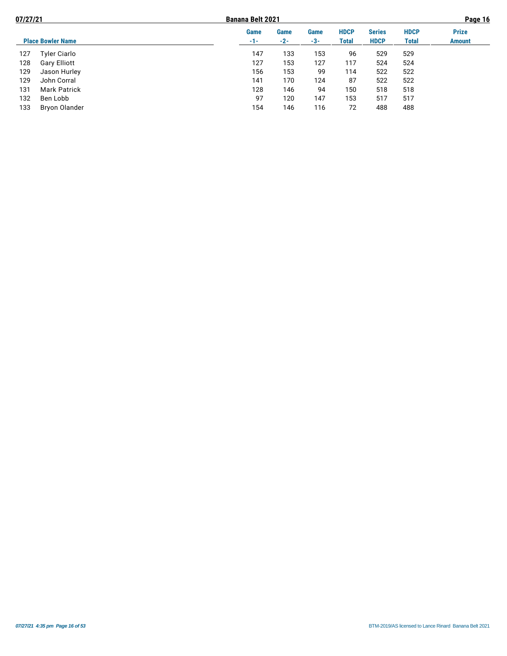| 07/27/21 |                          |             | <b>Banana Belt 2021</b> |             |                      |                              |                      | Page 16                       |  |  |
|----------|--------------------------|-------------|-------------------------|-------------|----------------------|------------------------------|----------------------|-------------------------------|--|--|
|          | <b>Place Bowler Name</b> | Game<br>-1- | Game<br>$-2-$           | Game<br>-3- | <b>HDCP</b><br>Total | <b>Series</b><br><b>HDCP</b> | <b>HDCP</b><br>Total | <b>Prize</b><br><b>Amount</b> |  |  |
|          |                          |             |                         |             |                      |                              |                      |                               |  |  |
| 127      | <b>Tyler Ciarlo</b>      | 147         | 133                     | 153         | 96                   | 529                          | 529                  |                               |  |  |
| 128      | Gary Elliott             | 127         | 153                     | 127         | 117                  | 524                          | 524                  |                               |  |  |
| 129      | Jason Hurley             | 156         | 153                     | 99          | 114                  | 522                          | 522                  |                               |  |  |
| 129      | John Corral              | 141         | 170                     | 124         | 87                   | 522                          | 522                  |                               |  |  |
| 131      | <b>Mark Patrick</b>      | 128         | 146                     | 94          | 150                  | 518                          | 518                  |                               |  |  |
| 132      | Ben Lobb                 | 97          | 120                     | 147         | 153                  | 517                          | 517                  |                               |  |  |
| 133      | Bryon Olander            | 154         | 146                     | 116         | 72                   | 488                          | 488                  |                               |  |  |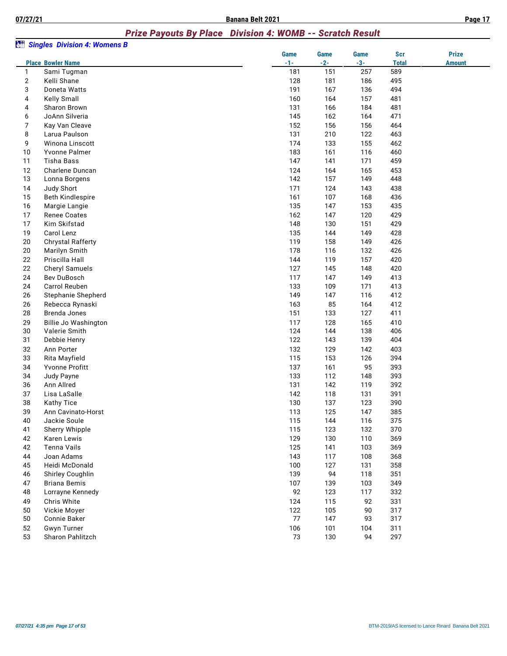# *Prize Payouts By Place Division 4: WOMB -- Scratch Result*

|              |                          | <b>Game</b> | <b>Game</b> | Game  | <b>Scr</b>   | <b>Prize</b>  |
|--------------|--------------------------|-------------|-------------|-------|--------------|---------------|
|              | <b>Place Bowler Name</b> | $-1-$       | $-2-$       | $-3-$ | <b>Total</b> | <b>Amount</b> |
| $\mathbf{1}$ | Sami Tugman              | 181         | 151         | 257   | 589          |               |
| 2            | Kelli Shane              | 128         | 181         | 186   | 495          |               |
| 3            | Doneta Watts             | 191         | 167         | 136   | 494          |               |
| 4            | Kelly Small              | 160         | 164         | 157   | 481          |               |
| 4            | Sharon Brown             | 131         | 166         | 184   | 481          |               |
| 6            | JoAnn Silveria           | 145         | 162         | 164   | 471          |               |
| 7            | Kay Van Cleave           | 152         | 156         | 156   | 464          |               |
| 8            | Larua Paulson            | 131         | 210         | 122   | 463          |               |
| 9            | Winona Linscott          | 174         | 133         | 155   | 462          |               |
| 10           | Yvonne Palmer            | 183         | 161         | 116   | 460          |               |
| 11           | <b>Tisha Bass</b>        | 147         | 141         | 171   | 459          |               |
| 12           | Charlene Duncan          | 124         | 164         | 165   | 453          |               |
| 13           | Lonna Borgens            | 142         | 157         | 149   | 448          |               |
| 14           | Judy Short               | 171         | 124         | 143   | 438          |               |
| 15           | <b>Beth Kindlespire</b>  | 161         | 107         | 168   | 436          |               |
| 16           | Margie Langie            | 135         | 147         | 153   | 435          |               |
| 17           | <b>Renee Coates</b>      | 162         | 147         | 120   | 429          |               |
| 17           | Kim Skifstad             | 148         | 130         | 151   | 429          |               |
| 19           | Carol Lenz               | 135         | 144         | 149   | 428          |               |
| 20           | <b>Chrystal Rafferty</b> | 119         | 158         | 149   | 426          |               |
| 20           | Marilyn Smith            | 178         | 116         | 132   | 426          |               |
| 22           | Priscilla Hall           | 144         | 119         | 157   | 420          |               |
| 22           | <b>Cheryl Samuels</b>    | 127         | 145         | 148   | 420          |               |
| 24           | Bev DuBosch              | 117         | 147         | 149   | 413          |               |
| 24           | Carrol Reuben            | 133         | 109         | 171   | 413          |               |
| 26           | Stephanie Shepherd       | 149         | 147         | 116   | 412          |               |
| 26           | Rebecca Rynaski          | 163         | 85          | 164   | 412          |               |
| 28           | Brenda Jones             | 151         | 133         | 127   | 411          |               |
| 29           | Billie Jo Washington     | 117         | 128         | 165   | 410          |               |
| 30           | Valerie Smith            | 124         | 144         | 138   | 406          |               |
| 31           | Debbie Henry             | 122         | 143         | 139   | 404          |               |
| 32           | Ann Porter               | 132         | 129         | 142   | 403          |               |
| 33           | Rita Mayfield            | 115         | 153         | 126   | 394          |               |
| 34           | Yvonne Profitt           | 137         | 161         | 95    | 393          |               |
| 34           | Judy Payne               | 133         | 112         | 148   | 393          |               |
| 36           | Ann Allred               | 131         | 142         | 119   | 392          |               |
| 37           | Lisa LaSalle             | 142         | 118         | 131   | 391          |               |
| 38           | <b>Kathy Tice</b>        | 130         | 137         | 123   | 390          |               |
| 39           | Ann Cavinato-Horst       | 113         | 125         | 147   | 385          |               |
| 40           | Jackie Soule             | 115         | 144         | 116   | 375          |               |
| 41           | Sherry Whipple           | 115         | 123         | 132   | 370          |               |
| 42           | Karen Lewis              | 129         | 130         | 110   | 369          |               |
| 42           | Tenna Vails              | 125         | 141         | 103   | 369          |               |
| 44           | Joan Adams               | 143         | 117         | 108   | 368          |               |
| 45           | Heidi McDonald           | 100         | 127         | 131   | 358          |               |
| 46           | Shirley Coughlin         | 139         | 94          | 118   | 351          |               |
| 47           | <b>Briana Bemis</b>      | 107         | 139         | 103   | 349          |               |
| 48           | Lorrayne Kennedy         | 92          | 123         | 117   | 332          |               |
|              | Chris White              | 124         | 115         | 92    | 331          |               |
| 49<br>50     | Vickie Moyer             | 122         | 105         | 90    | 317          |               |
| 50           | Connie Baker             | 77          | 147         | 93    |              |               |
| 52           |                          |             |             |       | 317          |               |
| 53           | <b>Gwyn Turner</b>       | 106         | 101         | 104   | 311          |               |
|              | Sharon Pahlitzch         | 73          | 130         | 94    | 297          |               |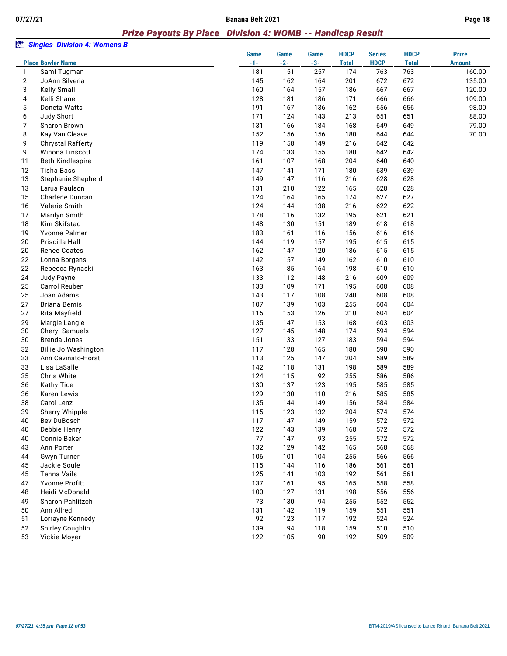#### *Prize Payouts By Place Division 4: WOMB -- Handicap Result*

| àn             | <b>Singles Division 4: Womens B</b> |               |                      |                      |                             |                              |                             |                               |
|----------------|-------------------------------------|---------------|----------------------|----------------------|-----------------------------|------------------------------|-----------------------------|-------------------------------|
|                | <b>Place Bowler Name</b>            | Game<br>$-1-$ | <b>Game</b><br>$-2-$ | <b>Game</b><br>$-3-$ | <b>HDCP</b><br><b>Total</b> | <b>Series</b><br><b>HDCP</b> | <b>HDCP</b><br><b>Total</b> | <b>Prize</b><br><b>Amount</b> |
| 1              | Sami Tugman                         | 181           | 151                  | 257                  | 174                         | 763                          | 763                         | 160.00                        |
| $\overline{2}$ | JoAnn Silveria                      | 145           | 162                  | 164                  | 201                         | 672                          | 672                         | 135.00                        |
| 3              | Kelly Small                         | 160           | 164                  | 157                  | 186                         | 667                          | 667                         | 120.00                        |
| 4              | Kelli Shane                         | 128           | 181                  | 186                  | 171                         | 666                          | 666                         | 109.00                        |
| 5              | Doneta Watts                        | 191           | 167                  | 136                  | 162                         | 656                          | 656                         | 98.00                         |
| 6              | Judy Short                          | 171           | 124                  | 143                  | 213                         | 651                          | 651                         | 88.00                         |
| 7              | Sharon Brown                        | 131           | 166                  | 184                  | 168                         | 649                          | 649                         | 79.00                         |
| 8              | Kay Van Cleave                      | 152           | 156                  | 156                  | 180                         | 644                          | 644                         | 70.00                         |
| 9              | Chrystal Rafferty                   | 119           | 158                  | 149                  | 216                         | 642                          | 642                         |                               |
| 9              | Winona Linscott                     | 174           | 133                  | 155                  | 180                         | 642                          | 642                         |                               |
| 11             | <b>Beth Kindlespire</b>             | 161           | 107                  | 168                  | 204                         | 640                          | 640                         |                               |
| 12             | <b>Tisha Bass</b>                   | 147           | 141                  | 171                  | 180                         | 639                          | 639                         |                               |
| 13             | Stephanie Shepherd                  | 149           | 147                  | 116                  | 216                         | 628                          | 628                         |                               |
| 13             | Larua Paulson                       | 131           | 210                  | 122                  | 165                         | 628                          | 628                         |                               |
| 15             | Charlene Duncan                     | 124           | 164                  | 165                  | 174                         | 627                          | 627                         |                               |
| 16             | Valerie Smith                       | 124           | 144                  | 138                  | 216                         | 622                          | 622                         |                               |
| 17             | Marilyn Smith                       | 178           | 116                  | 132                  | 195                         | 621                          | 621                         |                               |
| 18             | Kim Skifstad                        | 148           | 130                  | 151                  | 189                         | 618                          | 618                         |                               |
| 19             | Yvonne Palmer                       | 183           | 161                  | 116                  | 156                         | 616                          | 616                         |                               |
| 20             | Priscilla Hall                      | 144           | 119                  | 157                  | 195                         | 615                          | 615                         |                               |
| 20             | <b>Renee Coates</b>                 | 162           | 147                  | 120                  | 186                         | 615                          | 615                         |                               |
| 22             | Lonna Borgens                       | 142           | 157                  | 149                  | 162                         | 610                          | 610                         |                               |
| 22             | Rebecca Rynaski                     | 163           | 85                   | 164                  | 198                         | 610                          | 610                         |                               |
| 24             | Judy Payne                          | 133           | 112                  | 148                  | 216                         | 609                          | 609                         |                               |
| 25             | Carrol Reuben                       | 133           | 109                  | 171                  | 195                         | 608                          | 608                         |                               |
| 25             | Joan Adams                          | 143           | 117                  | 108                  | 240                         | 608                          | 608                         |                               |
| 27             | <b>Briana Bemis</b>                 | 107           | 139                  | 103                  | 255                         | 604                          | 604                         |                               |
| 27             | Rita Mayfield                       | 115           | 153                  | 126                  | 210                         | 604                          | 604                         |                               |
| 29             | Margie Langie                       | 135           | 147                  | 153                  | 168                         | 603                          | 603                         |                               |
| 30             | <b>Cheryl Samuels</b>               | 127           | 145                  | 148                  | 174                         | 594                          | 594                         |                               |
| 30             | Brenda Jones                        | 151           | 133                  | 127                  | 183                         | 594                          | 594                         |                               |
| 32             | <b>Billie Jo Washington</b>         | 117           | 128                  | 165                  | 180                         | 590                          | 590                         |                               |
| 33             | Ann Cavinato-Horst                  | 113           | 125                  | 147                  | 204                         | 589                          | 589                         |                               |
| 33             | Lisa LaSalle                        | 142           | 118                  | 131                  | 198                         | 589                          | 589                         |                               |
| 35             | Chris White                         | 124           | 115                  | 92                   | 255                         | 586                          | 586                         |                               |
| 36             | Kathy Tice                          | 130           | 137                  | 123                  | 195                         | 585                          | 585                         |                               |
| 36             | Karen Lewis                         | 129           | 130                  | 110                  | 216                         | 585                          | 585                         |                               |
| 38             | Carol Lenz                          | 135           | 144                  | 149                  | 156                         | 584                          | 584                         |                               |
| 39             | Sherry Whipple                      | 115           | 123                  | 132                  | 204                         | 574                          | 574                         |                               |
| 40             | Bev DuBosch                         | 117           | 147                  | 149                  | 159                         | 572                          | 572                         |                               |
| 40             | Debbie Henry                        | 122           | 143                  | 139                  | 168                         | 572                          | 572                         |                               |
| 40             | Connie Baker                        | 77            | 147                  | 93                   | 255                         | 572                          | 572                         |                               |
| 43             | Ann Porter                          | 132           | 129                  | 142                  | 165                         | 568                          | 568                         |                               |
| 44             | Gwyn Turner                         | 106           | 101                  | 104                  | 255                         | 566                          | 566                         |                               |
| 45             | Jackie Soule                        | 115           | 144                  | 116                  | 186                         | 561                          | 561                         |                               |
| 45             | Tenna Vails                         | 125           | 141                  | 103                  | 192                         | 561                          | 561                         |                               |
|                |                                     |               |                      |                      |                             |                              | 558                         |                               |
| 47<br>48       | Yvonne Profitt<br>Heidi McDonald    | 137<br>100    | 161<br>127           | 95<br>131            | 165<br>198                  | 558<br>556                   | 556                         |                               |
|                | Sharon Pahlitzch                    |               |                      |                      |                             |                              |                             |                               |
| 49<br>50       | Ann Allred                          | 73<br>131     | 130<br>142           | 94<br>119            | 255<br>159                  | 552<br>551                   | 552<br>551                  |                               |
| 51             | Lorrayne Kennedy                    | 92            | 123                  | 117                  | 192                         | 524                          | 524                         |                               |
| 52             |                                     |               | 94                   |                      |                             |                              |                             |                               |
| 53             | Shirley Coughlin                    | 139           |                      | 118                  | 159                         | 510                          | 510                         |                               |
|                | Vickie Moyer                        | 122           | 105                  | 90                   | 192                         | 509                          | 509                         |                               |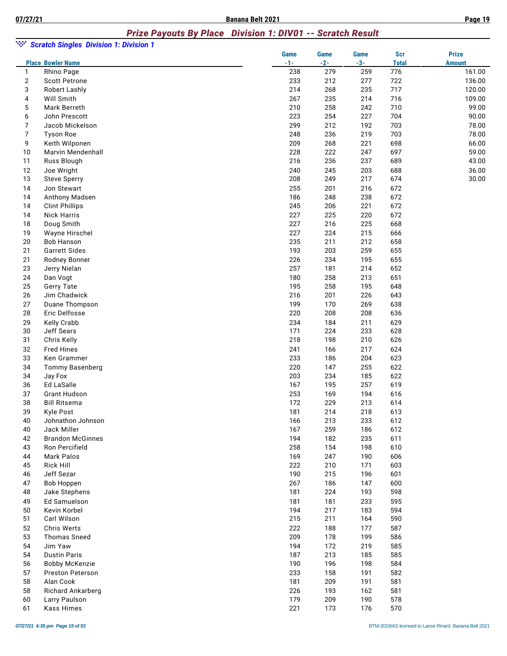# *Prize Payouts By Place Division 1: DIV01 -- Scratch Result*

| ngan.          | <b>Scratch Singles Division 1: Division 1</b> |                      |                      |                      |                            |                               |
|----------------|-----------------------------------------------|----------------------|----------------------|----------------------|----------------------------|-------------------------------|
|                | <b>Place Bowler Name</b>                      | <b>Game</b><br>$-1-$ | <b>Game</b><br>$-2-$ | <b>Game</b><br>$-3-$ | <b>Scr</b><br><b>Total</b> | <b>Prize</b><br><b>Amount</b> |
| $\mathbf{1}$   | Rhino Page                                    | 238                  | 279                  | 259                  | 776                        | 161.00                        |
| $\overline{c}$ | <b>Scott Petrone</b>                          | 233                  | 212                  | 277                  | 722                        | 136.00                        |
| 3              | <b>Robert Lashly</b>                          | 214                  | 268                  | 235                  | 717                        | 120.00                        |
| 4              | Will Smith                                    | 267                  | 235                  | 214                  | 716                        | 109.00                        |
| 5              | Mark Berreth                                  | 210                  | 258                  | 242                  | 710                        | 99.00                         |
| 6              | John Prescott                                 | 223                  | 254                  | 227                  | 704                        | 90.00                         |
| 7              | Jacob Mickelson                               | 299                  | 212                  | 192                  | 703                        | 78.00                         |
| $\overline{7}$ | <b>Tyson Roe</b>                              | 248                  | 236                  | 219                  | 703                        | 78.00                         |
| 9              | Keith Wilponen                                | 209                  | 268                  | 221                  | 698                        | 66.00                         |
| 10             | Marvin Mendenhall                             | 228                  | 222                  | 247                  | 697                        | 59.00                         |
| 11             | Russ Blough                                   | 216                  | 236                  | 237                  | 689                        | 43.00                         |
| 12             | Joe Wright                                    | 240                  | 245                  | 203                  | 688                        | 36.00                         |
| 13             | <b>Steve Sperry</b>                           | 208                  | 249                  | 217                  | 674                        | 30.00                         |
| 14             | Jon Stewart                                   | 255                  | 201                  | 216                  | 672                        |                               |
| 14             | Anthony Madsen                                | 186                  | 248                  | 238                  | 672                        |                               |
| 14             | <b>Clint Phillips</b>                         | 245                  | 206                  | 221                  | 672                        |                               |
| 14             | <b>Nick Harris</b>                            | 227                  | 225                  | 220                  | 672                        |                               |
| 18             | Doug Smith                                    | 227                  | 216                  | 225                  | 668                        |                               |
| 19             | Wayne Hirschel                                | 227                  | 224                  | 215                  | 666                        |                               |
| 20             | <b>Bob Hanson</b>                             | 235                  | 211                  | 212                  | 658                        |                               |
| 21             | <b>Garrett Sides</b>                          | 193                  | 203                  | 259                  | 655                        |                               |
| 21             | Rodney Bonner                                 | 226                  | 234                  | 195                  | 655                        |                               |
| 23             | Jerry Nielan                                  | 257                  | 181                  | 214                  | 652                        |                               |
| 24             | Dan Vogt                                      | 180                  | 258                  | 213                  | 651                        |                               |
| 25             | Gerry Tate                                    | 195                  | 258                  | 195                  | 648                        |                               |
| 26             | Jim Chadwick                                  | 216                  | 201                  | 226                  | 643                        |                               |
| 27             | Duane Thompson                                | 199                  | 170                  | 269                  | 638                        |                               |
| 28             | Eric Delfosse                                 | 220                  | 208                  | 208                  | 636                        |                               |
| 29             | Kelly Crabb                                   | 234                  | 184                  | 211                  | 629                        |                               |
| 30             | Jeff Sears                                    | 171                  | 224                  | 233                  | 628                        |                               |
| 31             | Chris Kelly                                   | 218                  | 198                  | 210                  | 626                        |                               |
| 32             | <b>Fred Hines</b>                             | 241                  | 166                  | 217                  | 624                        |                               |
| 33             | Ken Grammer                                   | 233                  | 186                  | 204                  | 623                        |                               |
| 34             | <b>Tommy Basenberg</b>                        | 220                  | 147                  | 255                  | 622                        |                               |
| 34             | Jay Fox                                       | 203                  | 234                  | 185                  | 622                        |                               |
| 36             | Ed LaSalle                                    | 167                  | 195                  | 257                  | 619                        |                               |
| 37             | <b>Grant Hudson</b>                           | 253                  | 169                  | 194                  | 616                        |                               |
| 38             | <b>Bill Ritsema</b>                           | 172                  | 229                  | 213                  | 614                        |                               |
| 39             | Kyle Post                                     | 181                  | 214                  | 218                  | 613                        |                               |
| 40             | Johnathon Johnson                             | 166                  | 213                  | 233                  | 612                        |                               |
| 40             | Jack Miller                                   | 167                  | 259                  | 186                  | 612                        |                               |
| 42             | <b>Brandon McGinnes</b>                       | 194                  | 182                  | 235                  | 611                        |                               |
| 43             | Ron Percifield                                | 258                  | 154                  | 198                  | 610                        |                               |
| 44             | <b>Mark Palos</b>                             | 169                  | 247                  | 190                  | 606                        |                               |
| 45             | Rick Hill                                     | 222                  | 210                  | 171                  | 603                        |                               |
| 46             | Jeff Sezar                                    | 190                  | 215                  | 196                  | 601                        |                               |
| 47             | <b>Bob Hoppen</b>                             | 267                  | 186                  | 147                  | 600                        |                               |
| 48             | Jake Stephens                                 | 181                  | 224                  | 193                  | 598                        |                               |
| 49             | Ed Samuelson                                  | 181                  | 181                  | 233                  | 595                        |                               |
| 50             | Kevin Korbel                                  | 194                  | 217                  | 183                  | 594                        |                               |
| 51             | Carl Wilson                                   | 215                  | 211                  | 164                  | 590                        |                               |
| 52             | Chris Werts                                   | 222                  | 188                  | 177                  | 587                        |                               |
| 53             | <b>Thomas Sneed</b>                           | 209                  | 178                  | 199                  | 586                        |                               |
| 54             | Jim Yaw                                       | 194                  | 172                  | 219                  | 585                        |                               |
| 54             | <b>Dustin Paris</b>                           | 187                  | 213                  | 185                  | 585                        |                               |
| 56             | <b>Bobby McKenzie</b>                         | 190                  | 196                  | 198                  | 584                        |                               |
| 57             | <b>Preston Peterson</b>                       | 233                  | 158                  | 191                  | 582                        |                               |
| 58             | Alan Cook                                     | 181                  | 209                  | 191                  | 581                        |                               |
| 58             | Richard Ankarberg                             | 226                  | 193                  | 162                  | 581                        |                               |
| 60             | Larry Paulson                                 | 179                  | 209                  | 190                  | 578                        |                               |
| 61             | Kass Himes                                    | 221                  | 173                  | 176                  | 570                        |                               |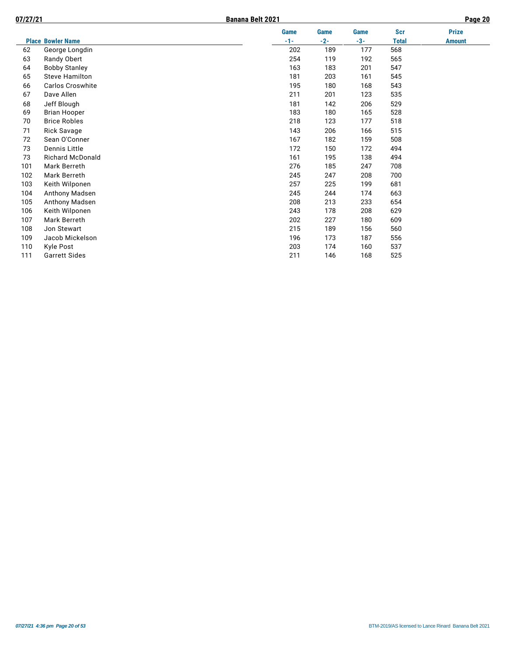| 07/27/21 |                          | Banana Belt 2021 |       |       |             |              | Page 20       |
|----------|--------------------------|------------------|-------|-------|-------------|--------------|---------------|
|          |                          |                  | Game  | Game  | <b>Game</b> | <b>Scr</b>   | <b>Prize</b>  |
|          | <b>Place Bowler Name</b> |                  | $-1-$ | $-2-$ | $-3-$       | <b>Total</b> | <b>Amount</b> |
| 62       | George Longdin           |                  | 202   | 189   | 177         | 568          |               |
| 63       | Randy Obert              |                  | 254   | 119   | 192         | 565          |               |
| 64       | <b>Bobby Stanley</b>     |                  | 163   | 183   | 201         | 547          |               |
| 65       | <b>Steve Hamilton</b>    |                  | 181   | 203   | 161         | 545          |               |
| 66       | <b>Carlos Croswhite</b>  |                  | 195   | 180   | 168         | 543          |               |
| 67       | Dave Allen               |                  | 211   | 201   | 123         | 535          |               |
| 68       | Jeff Blough              |                  | 181   | 142   | 206         | 529          |               |
| 69       | <b>Brian Hooper</b>      |                  | 183   | 180   | 165         | 528          |               |
| 70       | <b>Brice Robles</b>      |                  | 218   | 123   | 177         | 518          |               |
| 71       | <b>Rick Savage</b>       |                  | 143   | 206   | 166         | 515          |               |
| 72       | Sean O'Conner            |                  | 167   | 182   | 159         | 508          |               |
| 73       | Dennis Little            |                  | 172   | 150   | 172         | 494          |               |
| 73       | <b>Richard McDonald</b>  |                  | 161   | 195   | 138         | 494          |               |
| 101      | Mark Berreth             |                  | 276   | 185   | 247         | 708          |               |
| 102      | <b>Mark Berreth</b>      |                  | 245   | 247   | 208         | 700          |               |
| 103      | Keith Wilponen           |                  | 257   | 225   | 199         | 681          |               |
| 104      | Anthony Madsen           |                  | 245   | 244   | 174         | 663          |               |
| 105      | Anthony Madsen           |                  | 208   | 213   | 233         | 654          |               |
| 106      | Keith Wilponen           |                  | 243   | 178   | 208         | 629          |               |
| 107      | Mark Berreth             |                  | 202   | 227   | 180         | 609          |               |
| 108      | Jon Stewart              |                  | 215   | 189   | 156         | 560          |               |
| 109      | Jacob Mickelson          |                  | 196   | 173   | 187         | 556          |               |
| 110      | Kyle Post                |                  | 203   | 174   | 160         | 537          |               |
| 111      | <b>Garrett Sides</b>     |                  | 211   | 146   | 168         | 525          |               |
|          |                          |                  |       |       |             |              |               |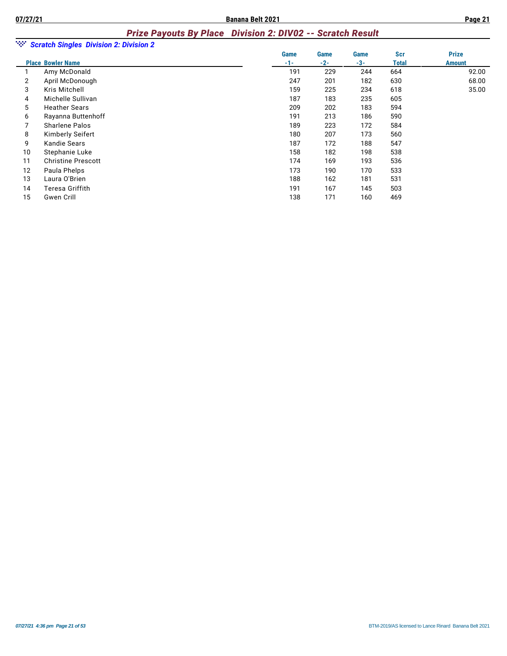#### *Prize Payouts By Place Division 2: DIV02 -- Scratch Result*

| ngan i | <b>Scratch Singles Division 2: Division 2</b> |             |       |       |            |               |
|--------|-----------------------------------------------|-------------|-------|-------|------------|---------------|
|        |                                               | <b>Game</b> | Game  | Game  | <b>Scr</b> | <b>Prize</b>  |
|        | <b>Place Bowler Name</b>                      | $-1-$       | $-2-$ | $-3-$ | Total      | <b>Amount</b> |
|        | Amy McDonald                                  | 191         | 229   | 244   | 664        | 92.00         |
| 2      | April McDonough                               | 247         | 201   | 182   | 630        | 68.00         |
| 3      | Kris Mitchell                                 | 159         | 225   | 234   | 618        | 35.00         |
| 4      | Michelle Sullivan                             | 187         | 183   | 235   | 605        |               |
| 5      | <b>Heather Sears</b>                          | 209         | 202   | 183   | 594        |               |
| 6      | Rayanna Buttenhoff                            | 191         | 213   | 186   | 590        |               |
| 7      | Sharlene Palos                                | 189         | 223   | 172   | 584        |               |
| 8      | Kimberly Seifert                              | 180         | 207   | 173   | 560        |               |
| 9      | Kandie Sears                                  | 187         | 172   | 188   | 547        |               |
| 10     | Stephanie Luke                                | 158         | 182   | 198   | 538        |               |
| 11     | <b>Christine Prescott</b>                     | 174         | 169   | 193   | 536        |               |
| 12     | Paula Phelps                                  | 173         | 190   | 170   | 533        |               |
| 13     | Laura O'Brien                                 | 188         | 162   | 181   | 531        |               |
| 14     | Teresa Griffith                               | 191         | 167   | 145   | 503        |               |
| 15     | Gwen Crill                                    | 138         | 171   | 160   | 469        |               |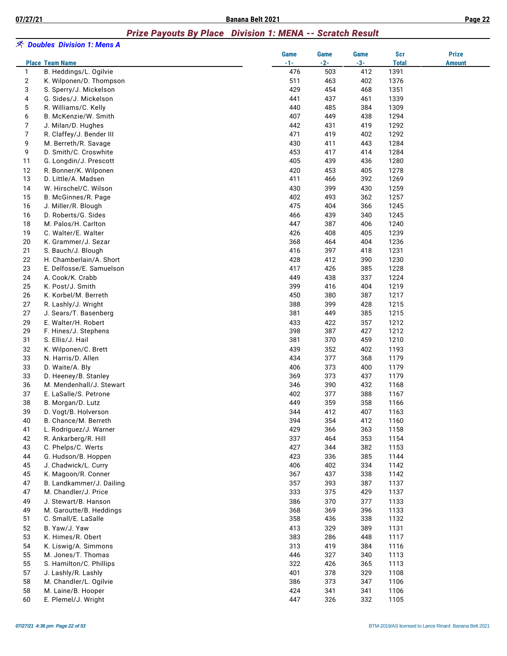# *Prize Payouts By Place Division 1: MENA -- Scratch Result*

|          | <i>へ Doubles Division 1: Mens A</i>           |               |               |               |                     |                               |
|----------|-----------------------------------------------|---------------|---------------|---------------|---------------------|-------------------------------|
|          | <b>Place Team Name</b>                        | Game<br>$-1-$ | Game<br>$-2-$ | Game<br>$-3-$ | Scr<br><b>Total</b> | <b>Prize</b><br><b>Amount</b> |
| 1        | B. Heddings/L. Ogilvie                        | 476           | 503           | 412           | 1391                |                               |
| 2        | K. Wilponen/D. Thompson                       | 511           | 463           | 402           | 1376                |                               |
| 3        | S. Sperry/J. Mickelson                        | 429           | 454           | 468           | 1351                |                               |
| 4        | G. Sides/J. Mickelson                         | 441           | 437           | 461           | 1339                |                               |
| 5        | R. Williams/C. Kelly                          | 440           | 485           | 384           | 1309                |                               |
| 6        | B. McKenzie/W. Smith                          | 407           | 449           | 438           | 1294                |                               |
| 7        | J. Milan/D. Hughes                            | 442           | 431           | 419           | 1292                |                               |
| 7        | R. Claffey/J. Bender III                      | 471           | 419           | 402           | 1292                |                               |
| 9        | M. Berreth/R. Savage                          | 430           | 411           | 443           | 1284                |                               |
| 9        | D. Smith/C. Croswhite                         | 453           | 417           | 414           | 1284                |                               |
| 11       | G. Longdin/J. Prescott                        | 405           | 439           | 436           | 1280                |                               |
| 12       | R. Bonner/K. Wilponen                         | 420           | 453           | 405           | 1278                |                               |
| 13       | D. Little/A. Madsen                           | 411           | 466           | 392           | 1269                |                               |
| 14       | W. Hirschel/C. Wilson                         | 430           | 399           | 430           | 1259                |                               |
| 15       | B. McGinnes/R. Page                           | 402           | 493           | 362           | 1257                |                               |
| 16       | J. Miller/R. Blough                           | 475           | 404           | 366           | 1245                |                               |
| 16       | D. Roberts/G. Sides                           | 466           | 439           | 340           | 1245                |                               |
| 18       | M. Palos/H. Carlton                           | 447           | 387           | 406           | 1240                |                               |
| 19       | C. Walter/E. Walter                           | 426           | 408           | 405           | 1239                |                               |
| 20       | K. Grammer/J. Sezar                           | 368           | 464           | 404           | 1236                |                               |
| 21       | S. Bauch/J. Blough                            | 416           | 397           | 418           | 1231                |                               |
| 22       | H. Chamberlain/A. Short                       | 428           | 412           | 390           | 1230                |                               |
| 23       | E. Delfosse/E. Samuelson                      | 417           | 426           | 385           | 1228                |                               |
| 24       | A. Cook/K. Crabb                              | 449           | 438           | 337           | 1224                |                               |
| 25       | K. Post/J. Smith                              | 399           | 416           | 404           | 1219                |                               |
| 26       | K. Korbel/M. Berreth                          | 450           | 380           | 387           | 1217                |                               |
| 27       | R. Lashly/J. Wright                           | 388           | 399           | 428           | 1215                |                               |
| 27       | J. Sears/T. Basenberg                         | 381           | 449           | 385           | 1215                |                               |
| 29       | E. Walter/H. Robert                           | 433           | 422           | 357           | 1212                |                               |
| 29       | F. Hines/J. Stephens                          | 398           | 387           | 427           | 1212                |                               |
| 31       | S. Ellis/J. Hail                              | 381           | 370           | 459           | 1210                |                               |
| 32       | K. Wilponen/C. Brett                          | 439           | 352           | 402           | 1193                |                               |
| 33       | N. Harris/D. Allen                            | 434           | 377           | 368           | 1179                |                               |
| 33       | D. Waite/A. Bly                               | 406           | 373           | 400           | 1179                |                               |
| 33       | D. Heeney/B. Stanley                          | 369           | 373           | 437           | 1179                |                               |
| 36       | M. Mendenhall/J. Stewart                      | 346           | 390           | 432           | 1168                |                               |
| 37       | E. LaSalle/S. Petrone                         | 402           | 377           | 388           | 1167                |                               |
| 38       | B. Morgan/D. Lutz                             | 449           | 359           | 358           | 1166                |                               |
| 39       | D. Vogt/B. Holverson                          | 344           | 412           | 407           | 1163                |                               |
| 40       | B. Chance/M. Berreth                          | 394           | 354           | 412           | 1160                |                               |
| 41       | L. Rodriguez/J. Warner                        | 429           | 366           | 363           | 1158                |                               |
| 42       | R. Ankarberg/R. Hill                          | 337           | 464           | 353           | 1154                |                               |
| 43       | C. Phelps/C. Werts                            | 427           | 344           | 382           | 1153                |                               |
| 44       | G. Hudson/B. Hoppen                           | 423           | 336           | 385           | 1144                |                               |
| 45       | J. Chadwick/L. Curry                          | 406           | 402           | 334           | 1142                |                               |
| 45       | K. Magoon/R. Conner                           | 367           | 437           | 338           | 1142                |                               |
| 47       | B. Landkammer/J. Dailing                      | 357           | 393           | 387           | 1137                |                               |
| 47       | M. Chandler/J. Price                          | 333           | 375           | 429           | 1137                |                               |
| 49       | J. Stewart/B. Hanson                          | 386           | 370           | 377           | 1133                |                               |
| 49       | M. Garoutte/B. Heddings                       | 368           | 369           | 396           | 1133                |                               |
| 51       | C. Small/E. LaSalle                           | 358           | 436           | 338           | 1132                |                               |
| 52       | B. Yaw/J. Yaw                                 | 413           | 329           | 389           | 1131                |                               |
| 53       | K. Himes/R. Obert                             | 383           | 286           | 448           | 1117                |                               |
| 54       | K. Liswig/A. Simmons                          | 313           | 419           | 384           | 1116                |                               |
| 55       | M. Jones/T. Thomas                            | 446           | 327           | 340           | 1113                |                               |
| 55       | S. Hamilton/C. Phillips                       | 322           | 426           | 365           | 1113                |                               |
|          |                                               |               |               |               |                     |                               |
| 57<br>58 | J. Lashly/R. Lashly<br>M. Chandler/L. Ogilvie | 401<br>386    | 378           | 329<br>347    | 1108<br>1106        |                               |
|          |                                               |               | 373           |               |                     |                               |
| 58       | M. Laine/B. Hooper                            | 424           | 341           | 341           | 1106                |                               |
| 60       | E. Plemel/J. Wright                           | 447           | 326           | 332           | 1105                |                               |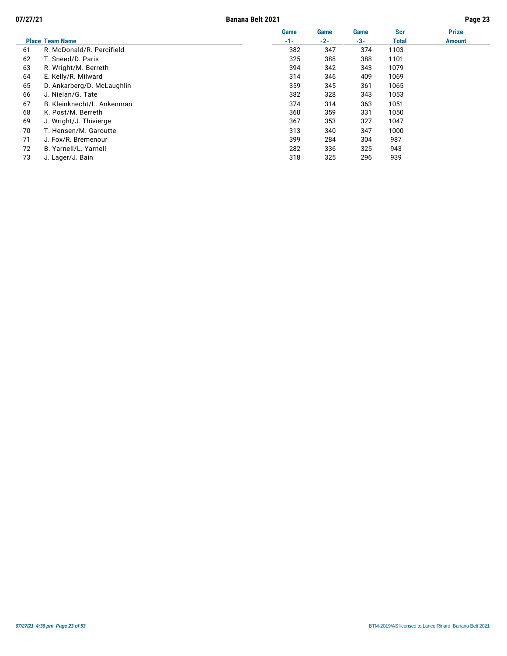| ac | о<br>ıo |  |
|----|---------|--|
|    |         |  |

|    |                            | <b>Game</b> | <b>Game</b> | Game  | <b>Scr</b> | <b>Prize</b>  |
|----|----------------------------|-------------|-------------|-------|------------|---------------|
|    | <b>Place Team Name</b>     | $-1-$       | $-2-$       | $-3-$ | Total      | <b>Amount</b> |
| 61 | R. McDonald/R. Percifield  | 382         | 347         | 374   | 1103       |               |
| 62 | T. Sneed/D. Paris          | 325         | 388         | 388   | 1101       |               |
| 63 | R. Wright/M. Berreth       | 394         | 342         | 343   | 1079       |               |
| 64 | E. Kelly/R. Milward        | 314         | 346         | 409   | 1069       |               |
| 65 | D. Ankarberg/D. McLaughlin | 359         | 345         | 361   | 1065       |               |
| 66 | J. Nielan/G. Tate          | 382         | 328         | 343   | 1053       |               |
| 67 | B. Kleinknecht/L. Ankenman | 374         | 314         | 363   | 1051       |               |
| 68 | K. Post/M. Berreth         | 360         | 359         | 331   | 1050       |               |
| 69 | J. Wright/J. Thivierge     | 367         | 353         | 327   | 1047       |               |
| 70 | T. Hensen/M. Garoutte      | 313         | 340         | 347   | 1000       |               |
| 71 | J. Fox/R. Bremenour        | 399         | 284         | 304   | 987        |               |
| 72 | B. Yarnell/L. Yarnell      | 282         | 336         | 325   | 943        |               |
| 73 | J. Lager/J. Bain           | 318         | 325         | 296   | 939        |               |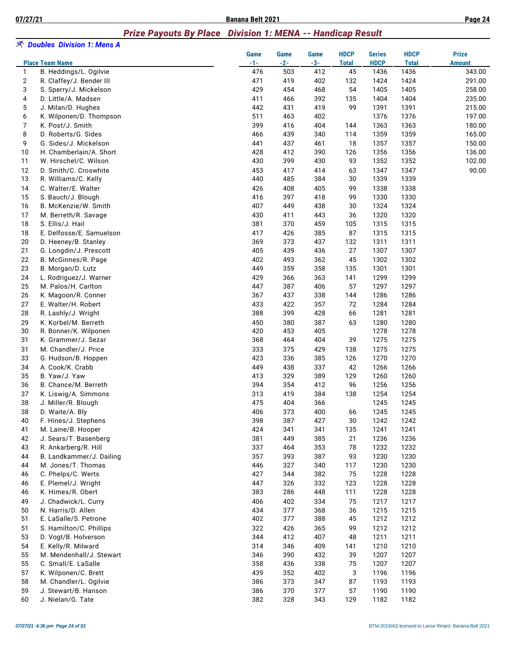#### *Prize Payouts By Place Division 1: MENA -- Handicap Result*

|              | ※ Doubles Division 1: Mens A<br><b>Place Team Name</b> | Game<br>$-1-$ | Game<br>$-2-$ | Game<br>$-3-$ | <b>HDCP</b><br><b>Total</b> | <b>Series</b><br><b>HDCP</b> | <b>HDCP</b><br><b>Total</b> | <b>Prize</b><br><b>Amount</b> |
|--------------|--------------------------------------------------------|---------------|---------------|---------------|-----------------------------|------------------------------|-----------------------------|-------------------------------|
| $\mathbf{1}$ | B. Heddings/L. Ogilvie                                 | 476           | 503           | 412           | 45                          | 1436                         | 1436                        | 343.00                        |
| 2            | R. Claffey/J. Bender III                               | 471           | 419           | 402           | 132                         | 1424                         | 1424                        | 291.00                        |
| 3            | S. Sperry/J. Mickelson                                 | 429           | 454           | 468           | 54                          | 1405                         | 1405                        | 258.00                        |
| 4            | D. Little/A. Madsen                                    | 411           | 466           | 392           | 135                         | 1404                         | 1404                        | 235.00                        |
| 5            | J. Milan/D. Hughes                                     | 442           | 431           | 419           | 99                          | 1391                         | 1391                        | 215.00                        |
| 6            | K. Wilponen/D. Thompson                                | 511           | 463           | 402           |                             | 1376                         | 1376                        | 197.00                        |
| 7            | K. Post/J. Smith                                       | 399           | 416           | 404           | 144                         | 1363                         | 1363                        | 180.00                        |
| 8            | D. Roberts/G. Sides                                    | 466           | 439           | 340           | 114                         | 1359                         | 1359                        | 165.00                        |
| 9            | G. Sides/J. Mickelson                                  | 441           | 437           | 461           | 18                          | 1357                         | 1357                        | 150.00                        |
| 10           | H. Chamberlain/A. Short                                | 428           | 412           | 390           | 126                         | 1356                         | 1356                        | 136.00                        |
| 11           | W. Hirschel/C. Wilson                                  | 430           | 399           | 430           | 93                          | 1352                         | 1352                        | 102.00                        |
| 12           | D. Smith/C. Croswhite                                  | 453           | 417           | 414           | 63                          | 1347                         | 1347                        | 90.00                         |
| 13           | R. Williams/C. Kelly                                   | 440           | 485           | 384           | 30                          | 1339                         | 1339                        |                               |
| 14           | C. Walter/E. Walter                                    | 426           | 408           | 405           | 99                          | 1338                         | 1338                        |                               |
| 15           | S. Bauch/J. Blough                                     | 416           | 397           | 418           | 99                          | 1330                         | 1330                        |                               |
| 16           | B. McKenzie/W. Smith                                   | 407           | 449           | 438           | 30                          | 1324                         | 1324                        |                               |
| 17           | M. Berreth/R. Savage                                   | 430           | 411           | 443           | 36                          | 1320                         | 1320                        |                               |
| 18           | S. Ellis/J. Hail                                       | 381           | 370           | 459           | 105                         | 1315                         | 1315                        |                               |
| 18           | E. Delfosse/E. Samuelson                               | 417           | 426           | 385           | 87                          | 1315                         | 1315                        |                               |
| 20           | D. Heeney/B. Stanley                                   | 369           | 373<br>439    | 437           | 132                         | 1311                         | 1311                        |                               |
| 21           | G. Longdin/J. Prescott                                 | 405           |               | 436           | 27                          | 1307                         | 1307                        |                               |
| 22<br>23     | B. McGinnes/R. Page                                    | 402<br>449    | 493<br>359    | 362<br>358    | 45<br>135                   | 1302<br>1301                 | 1302<br>1301                |                               |
|              | B. Morgan/D. Lutz                                      |               |               |               |                             |                              |                             |                               |
| 24<br>25     | L. Rodriguez/J. Warner<br>M. Palos/H. Carlton          | 429<br>447    | 366<br>387    | 363<br>406    | 141<br>57                   | 1299<br>1297                 | 1299<br>1297                |                               |
| 26           | K. Magoon/R. Conner                                    | 367           | 437           | 338           | 144                         | 1286                         | 1286                        |                               |
| 27           | E. Walter/H. Robert                                    | 433           | 422           | 357           | 72                          | 1284                         | 1284                        |                               |
| 28           | R. Lashly/J. Wright                                    | 388           | 399           | 428           | 66                          | 1281                         | 1281                        |                               |
| 29           | K. Korbel/M. Berreth                                   | 450           | 380           | 387           | 63                          | 1280                         | 1280                        |                               |
| 30           | R. Bonner/K. Wilponen                                  | 420           | 453           | 405           |                             | 1278                         | 1278                        |                               |
| 31           | K. Grammer/J. Sezar                                    | 368           | 464           | 404           | 39                          | 1275                         | 1275                        |                               |
| 31           | M. Chandler/J. Price                                   | 333           | 375           | 429           | 138                         | 1275                         | 1275                        |                               |
| 33           | G. Hudson/B. Hoppen                                    | 423           | 336           | 385           | 126                         | 1270                         | 1270                        |                               |
| 34           | A. Cook/K. Crabb                                       | 449           | 438           | 337           | 42                          | 1266                         | 1266                        |                               |
| 35           | B. Yaw/J. Yaw                                          | 413           | 329           | 389           | 129                         | 1260                         | 1260                        |                               |
| 36           | B. Chance/M. Berreth                                   | 394           | 354           | 412           | 96                          | 1256                         | 1256                        |                               |
| 37           | K. Liswig/A. Simmons                                   | 313           | 419           | 384           | 138                         | 1254                         | 1254                        |                               |
| 38           | J. Miller/R. Blough                                    | 475           | 404           | 366           |                             | 1245                         | 1245                        |                               |
| 38           | D. Waite/A. Bly                                        | 406           | 373           | 400           | 66                          | 1245                         | 1245                        |                               |
| 40           | F. Hines/J. Stephens                                   | 398           | 387           | 427           | 30                          | 1242                         | 1242                        |                               |
| 41           | M. Laine/B. Hooper                                     | 424           | 341           | 341           | 135                         | 1241                         | 1241                        |                               |
| 42           | J. Sears/T. Basenberg                                  | 381           | 449           | 385           | 21                          | 1236                         | 1236                        |                               |
| 43           | R. Ankarberg/R. Hill                                   | 337           | 464           | 353           | 78                          | 1232                         | 1232                        |                               |
| 44           | B. Landkammer/J. Dailing                               | 357           | 393           | 387           | 93                          | 1230                         | 1230                        |                               |
| 44           | M. Jones/T. Thomas                                     | 446           | 327           | 340           | 117                         | 1230                         | 1230                        |                               |
| 46           | C. Phelps/C. Werts                                     | 427           | 344           | 382           | 75                          | 1228                         | 1228                        |                               |
| 46           | E. Plemel/J. Wright                                    | 447           | 326           | 332           | 123                         | 1228                         | 1228                        |                               |
| 46           | K. Himes/R. Obert                                      | 383           | 286           | 448           | 111                         | 1228                         | 1228                        |                               |
| 49           | J. Chadwick/L. Curry                                   | 406           | 402           | 334           | 75                          | 1217                         | 1217                        |                               |
| 50           | N. Harris/D. Allen                                     | 434           | 377           | 368           | 36                          | 1215                         | 1215                        |                               |
| 51           | E. LaSalle/S. Petrone                                  | 402           | 377           | 388           | 45                          | 1212                         | 1212                        |                               |
| 51           | S. Hamilton/C. Phillips                                | 322           | 426           | 365           | 99                          | 1212                         | 1212                        |                               |
| 53           | D. Vogt/B. Holverson                                   | 344           | 412           | 407           | 48                          | 1211                         | 1211                        |                               |
| 54           | E. Kelly/R. Milward                                    | 314           | 346           | 409           | 141                         | 1210                         | 1210                        |                               |
| 55           | M. Mendenhall/J. Stewart                               | 346           | 390           | 432           | 39                          | 1207                         | 1207                        |                               |
| 55           | C. Small/E. LaSalle                                    | 358           | 436           | 338           | 75                          | 1207                         | 1207                        |                               |
| 57           | K. Wilponen/C. Brett                                   | 439           | 352           | 402           | 3                           | 1196                         | 1196                        |                               |
| 58           | M. Chandler/L. Ogilvie                                 | 386           | 373           | 347           | 87                          | 1193                         | 1193                        |                               |
| 59<br>60     | J. Stewart/B. Hanson<br>J. Nielan/G. Tate              | 386<br>382    | 370<br>328    | 377<br>343    | 57<br>129                   | 1190                         | 1190<br>1182                |                               |
|              |                                                        |               |               |               |                             | 1182                         |                             |                               |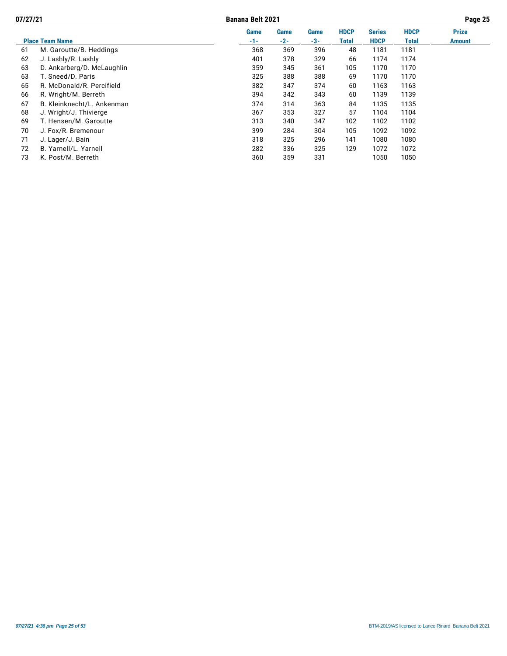**07/27/21 Banana Belt 2021 Page 25**

|    |                            | Game  | <b>Game</b> | Game | <b>HDCP</b>  | <b>Series</b> | <b>HDCP</b> | <b>Prize</b>  |
|----|----------------------------|-------|-------------|------|--------------|---------------|-------------|---------------|
|    | <b>Place Team Name</b>     | $-1-$ | $-2-$       | -3-  | <b>Total</b> | <b>HDCP</b>   | Total       | <b>Amount</b> |
| 61 | M. Garoutte/B. Heddings    | 368   | 369         | 396  | 48           | 1181          | 1181        |               |
| 62 | J. Lashly/R. Lashly        | 401   | 378         | 329  | 66           | 1174          | 1174        |               |
| 63 | D. Ankarberg/D. McLaughlin | 359   | 345         | 361  | 105          | 1170          | 1170        |               |
| 63 | T. Sneed/D. Paris          | 325   | 388         | 388  | 69           | 1170          | 1170        |               |
| 65 | R. McDonald/R. Percifield  | 382   | 347         | 374  | 60           | 1163          | 1163        |               |
| 66 | R. Wright/M. Berreth       | 394   | 342         | 343  | 60           | 1139          | 1139        |               |
| 67 | B. Kleinknecht/L. Ankenman | 374   | 314         | 363  | 84           | 1135          | 1135        |               |
| 68 | J. Wright/J. Thivierge     | 367   | 353         | 327  | 57           | 1104          | 1104        |               |
| 69 | T. Hensen/M. Garoutte      | 313   | 340         | 347  | 102          | 1102          | 1102        |               |
| 70 | J. Fox/R. Bremenour        | 399   | 284         | 304  | 105          | 1092          | 1092        |               |
| 71 | J. Lager/J. Bain           | 318   | 325         | 296  | 141          | 1080          | 1080        |               |
| 72 | B. Yarnell/L. Yarnell      | 282   | 336         | 325  | 129          | 1072          | 1072        |               |
| 73 | K. Post/M. Berreth         | 360   | 359         | 331  |              | 1050          | 1050        |               |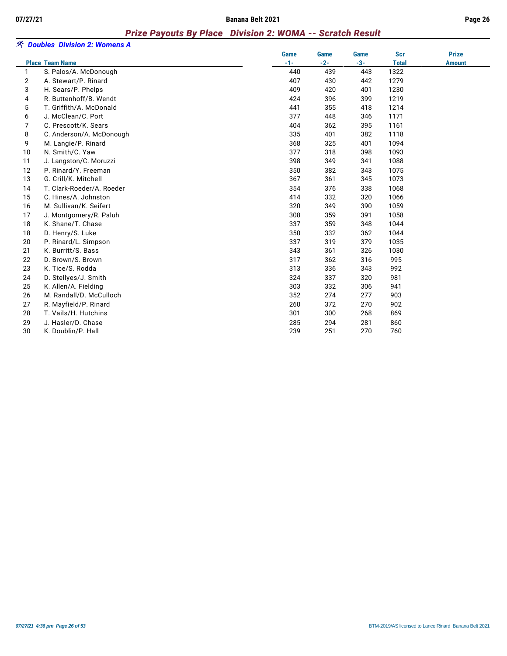#### *Prize Payouts By Place Division 2: WOMA -- Scratch Result*

|        | 冬 Doubles Division 2: Womens A |               |               |               |                            |               |
|--------|--------------------------------|---------------|---------------|---------------|----------------------------|---------------|
|        | <b>Place Team Name</b>         | Game<br>$-1-$ | Game<br>$-2-$ | Game<br>$-3-$ | <b>Scr</b><br><b>Total</b> | <b>Prize</b>  |
| 1      | S. Palos/A. McDonough          | 440           | 439           | 443           | 1322                       | <b>Amount</b> |
|        | A. Stewart/P. Rinard           | 407           | 430           | 442           | 1279                       |               |
| 2<br>3 | H. Sears/P. Phelps             | 409           | 420           | 401           | 1230                       |               |
| 4      | R. Buttenhoff/B. Wendt         | 424           | 396           | 399           | 1219                       |               |
| 5      | T. Griffith/A. McDonald        | 441           | 355           | 418           | 1214                       |               |
| 6      | J. McClean/C. Port             | 377           | 448           | 346           | 1171                       |               |
| 7      | C. Prescott/K. Sears           | 404           | 362           | 395           | 1161                       |               |
| 8      | C. Anderson/A. McDonough       | 335           | 401           | 382           | 1118                       |               |
| 9      | M. Langie/P. Rinard            | 368           | 325           | 401           | 1094                       |               |
| 10     | N. Smith/C. Yaw                | 377           | 318           | 398           | 1093                       |               |
| 11     | J. Langston/C. Moruzzi         | 398           | 349           | 341           | 1088                       |               |
| 12     | P. Rinard/Y. Freeman           | 350           | 382           | 343           | 1075                       |               |
| 13     | G. Crill/K. Mitchell           | 367           | 361           | 345           | 1073                       |               |
| 14     | T. Clark-Roeder/A. Roeder      | 354           | 376           | 338           | 1068                       |               |
| 15     | C. Hines/A. Johnston           | 414           | 332           | 320           | 1066                       |               |
| 16     | M. Sullivan/K. Seifert         | 320           | 349           | 390           | 1059                       |               |
| 17     | J. Montgomery/R. Paluh         | 308           | 359           | 391           | 1058                       |               |
| 18     | K. Shane/T. Chase              | 337           | 359           | 348           | 1044                       |               |
| 18     | D. Henry/S. Luke               | 350           | 332           | 362           | 1044                       |               |
| 20     | P. Rinard/L. Simpson           | 337           | 319           | 379           | 1035                       |               |
| 21     | K. Burritt/S. Bass             | 343           | 361           | 326           | 1030                       |               |
| 22     | D. Brown/S. Brown              | 317           | 362           | 316           | 995                        |               |
| 23     | K. Tice/S. Rodda               | 313           | 336           | 343           | 992                        |               |
| 24     | D. Stellyes/J. Smith           | 324           | 337           | 320           | 981                        |               |
| 25     | K. Allen/A. Fielding           | 303           | 332           | 306           | 941                        |               |
| 26     | M. Randall/D. McCulloch        | 352           | 274           | 277           | 903                        |               |
| 27     | R. Mayfield/P. Rinard          | 260           | 372           | 270           | 902                        |               |
| 28     | T. Vails/H. Hutchins           | 301           | 300           | 268           | 869                        |               |
| 29     | J. Hasler/D. Chase             | 285           | 294           | 281           | 860                        |               |
| 30     | K. Doublin/P. Hall             | 239           | 251           | 270           | 760                        |               |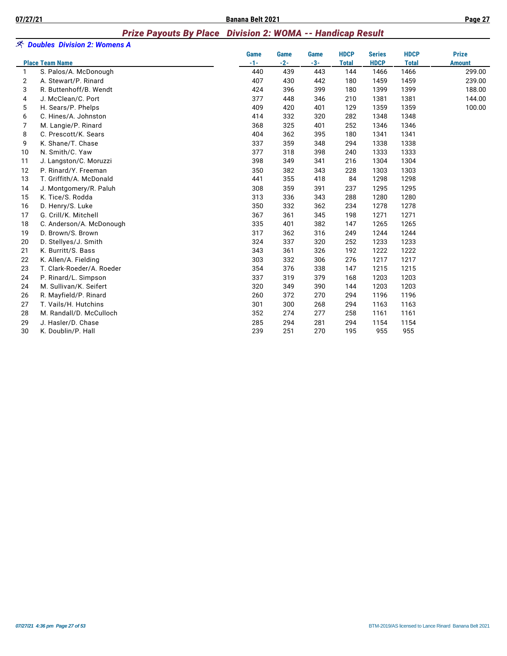#### *Prize Payouts By Place Division 2: WOMA -- Handicap Result*

|              | <b>EX</b> Doubles Division 2: Womens A |             |       |       |              |               |              |               |
|--------------|----------------------------------------|-------------|-------|-------|--------------|---------------|--------------|---------------|
|              |                                        | <b>Game</b> | Game  | Game  | <b>HDCP</b>  | <b>Series</b> | <b>HDCP</b>  | <b>Prize</b>  |
|              | <b>Place Team Name</b>                 | $-1-$       | $-2-$ | $-3-$ | <b>Total</b> | <b>HDCP</b>   | <b>Total</b> | <b>Amount</b> |
| $\mathbf{1}$ | S. Palos/A. McDonough                  | 440         | 439   | 443   | 144          | 1466          | 1466         | 299.00        |
| 2            | A. Stewart/P. Rinard                   | 407         | 430   | 442   | 180          | 1459          | 1459         | 239.00        |
| 3            | R. Buttenhoff/B. Wendt                 | 424         | 396   | 399   | 180          | 1399          | 1399         | 188.00        |
| 4            | J. McClean/C. Port                     | 377         | 448   | 346   | 210          | 1381          | 1381         | 144.00        |
| 5            | H. Sears/P. Phelps                     | 409         | 420   | 401   | 129          | 1359          | 1359         | 100.00        |
| 6            | C. Hines/A. Johnston                   | 414         | 332   | 320   | 282          | 1348          | 1348         |               |
| 7            | M. Langie/P. Rinard                    | 368         | 325   | 401   | 252          | 1346          | 1346         |               |
| 8            | C. Prescott/K. Sears                   | 404         | 362   | 395   | 180          | 1341          | 1341         |               |
| 9            | K. Shane/T. Chase                      | 337         | 359   | 348   | 294          | 1338          | 1338         |               |
| 10           | N. Smith/C. Yaw                        | 377         | 318   | 398   | 240          | 1333          | 1333         |               |
| 11           | J. Langston/C. Moruzzi                 | 398         | 349   | 341   | 216          | 1304          | 1304         |               |
| 12           | P. Rinard/Y. Freeman                   | 350         | 382   | 343   | 228          | 1303          | 1303         |               |
| 13           | T. Griffith/A. McDonald                | 441         | 355   | 418   | 84           | 1298          | 1298         |               |
| 14           | J. Montgomery/R. Paluh                 | 308         | 359   | 391   | 237          | 1295          | 1295         |               |
| 15           | K. Tice/S. Rodda                       | 313         | 336   | 343   | 288          | 1280          | 1280         |               |
| 16           | D. Henry/S. Luke                       | 350         | 332   | 362   | 234          | 1278          | 1278         |               |
| 17           | G. Crill/K. Mitchell                   | 367         | 361   | 345   | 198          | 1271          | 1271         |               |
| 18           | C. Anderson/A. McDonough               | 335         | 401   | 382   | 147          | 1265          | 1265         |               |
| 19           | D. Brown/S. Brown                      | 317         | 362   | 316   | 249          | 1244          | 1244         |               |
| 20           | D. Stellyes/J. Smith                   | 324         | 337   | 320   | 252          | 1233          | 1233         |               |
| 21           | K. Burritt/S. Bass                     | 343         | 361   | 326   | 192          | 1222          | 1222         |               |
| 22           | K. Allen/A. Fielding                   | 303         | 332   | 306   | 276          | 1217          | 1217         |               |
| 23           | T. Clark-Roeder/A. Roeder              | 354         | 376   | 338   | 147          | 1215          | 1215         |               |
| 24           | P. Rinard/L. Simpson                   | 337         | 319   | 379   | 168          | 1203          | 1203         |               |
| 24           | M. Sullivan/K. Seifert                 | 320         | 349   | 390   | 144          | 1203          | 1203         |               |
| 26           | R. Mayfield/P. Rinard                  | 260         | 372   | 270   | 294          | 1196          | 1196         |               |
| 27           | T. Vails/H. Hutchins                   | 301         | 300   | 268   | 294          | 1163          | 1163         |               |
| 28           | M. Randall/D. McCulloch                | 352         | 274   | 277   | 258          | 1161          | 1161         |               |
| 29           | J. Hasler/D. Chase                     | 285         | 294   | 281   | 294          | 1154          | 1154         |               |
| 30           | K. Doublin/P. Hall                     | 239         | 251   | 270   | 195          | 955           | 955          |               |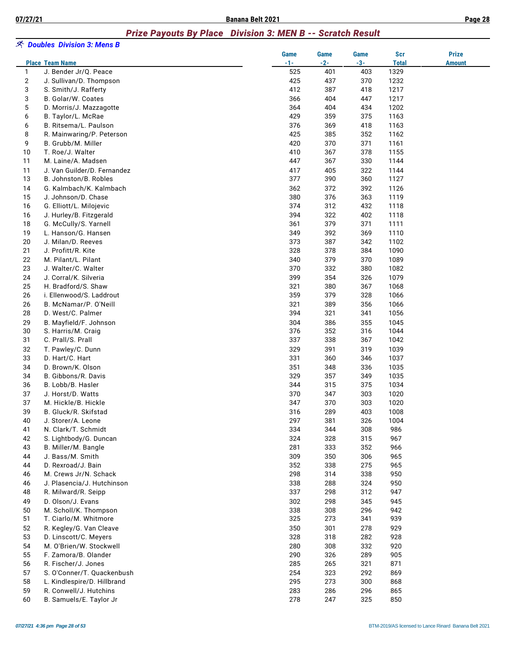# *Prize Payouts By Place Division 3: MEN B -- Scratch Result*

|    | <i>へ</i> Doubles Division 3: Mens B |               |               |               |                     |                               |
|----|-------------------------------------|---------------|---------------|---------------|---------------------|-------------------------------|
|    | <b>Place Team Name</b>              | Game<br>$-1-$ | Game<br>$-2-$ | Game<br>$-3-$ | Scr<br><b>Total</b> | <b>Prize</b><br><b>Amount</b> |
| 1  | J. Bender Jr/Q. Peace               | 525           | 401           | 403           | 1329                |                               |
| 2  | J. Sullivan/D. Thompson             | 425           | 437           | 370           | 1232                |                               |
| 3  | S. Smith/J. Rafferty                | 412           | 387           | 418           | 1217                |                               |
| 3  | B. Golar/W. Coates                  | 366           | 404           | 447           | 1217                |                               |
| 5  | D. Morris/J. Mazzagotte             | 364           | 404           | 434           | 1202                |                               |
| 6  | B. Taylor/L. McRae                  | 429           | 359           | 375           | 1163                |                               |
| 6  | B. Ritsema/L. Paulson               | 376           | 369           | 418           | 1163                |                               |
| 8  | R. Mainwaring/P. Peterson           | 425           | 385           | 352           | 1162                |                               |
| 9  | B. Grubb/M. Miller                  | 420           | 370           | 371           | 1161                |                               |
| 10 | T. Roe/J. Walter                    | 410           | 367           | 378           | 1155                |                               |
| 11 | M. Laine/A. Madsen                  | 447           | 367           | 330           | 1144                |                               |
| 11 | J. Van Guilder/D. Fernandez         | 417           | 405           | 322           | 1144                |                               |
| 13 | B. Johnston/B. Robles               | 377           | 390           | 360           | 1127                |                               |
| 14 | G. Kalmbach/K. Kalmbach             | 362           | 372           | 392           | 1126                |                               |
| 15 | J. Johnson/D. Chase                 | 380           | 376           | 363           | 1119                |                               |
| 16 | G. Elliott/L. Milojevic             | 374           | 312           | 432           | 1118                |                               |
| 16 | J. Hurley/B. Fitzgerald             | 394           | 322           | 402           | 1118                |                               |
| 18 | G. McCully/S. Yarnell               | 361           | 379           | 371           | 1111                |                               |
| 19 | L. Hanson/G. Hansen                 | 349           | 392           | 369           | 1110                |                               |
| 20 | J. Milan/D. Reeves                  | 373           | 387           | 342           | 1102                |                               |
| 21 | J. Profitt/R. Kite                  | 328           | 378           | 384           | 1090                |                               |
| 22 | M. Pilant/L. Pilant                 | 340           | 379           | 370           | 1089                |                               |
| 23 | J. Walter/C. Walter                 | 370           | 332           | 380           | 1082                |                               |
| 24 | J. Corral/K. Silveria               | 399           | 354           | 326           | 1079                |                               |
| 25 | H. Bradford/S. Shaw                 | 321           | 380           | 367           | 1068                |                               |
| 26 | i. Ellenwood/S. Laddrout            | 359           | 379           | 328           | 1066                |                               |
| 26 | B. McNamar/P. O'Neill               | 321           | 389           | 356           | 1066                |                               |
| 28 | D. West/C. Palmer                   | 394           | 321           | 341           | 1056                |                               |
| 29 | B. Mayfield/F. Johnson              | 304           | 386           | 355           | 1045                |                               |
| 30 | S. Harris/M. Craig                  | 376           | 352           | 316           | 1044                |                               |
| 31 | C. Prall/S. Prall                   | 337           | 338           | 367           | 1042                |                               |
| 32 | T. Pawley/C. Dunn                   | 329           | 391           | 319           | 1039                |                               |
| 33 | D. Hart/C. Hart                     | 331           | 360           | 346           | 1037                |                               |
| 34 | D. Brown/K. Olson                   | 351           | 348           | 336           | 1035                |                               |
| 34 | B. Gibbons/R. Davis                 | 329           | 357           | 349           | 1035                |                               |
| 36 | B. Lobb/B. Hasler                   | 344           | 315           | 375           | 1034                |                               |
| 37 | J. Horst/D. Watts                   | 370           | 347           | 303           | 1020                |                               |
| 37 | M. Hickle/B. Hickle                 | 347           | 370           | 303           | 1020                |                               |
| 39 | B. Gluck/R. Skifstad                | 316           | 289           | 403           | 1008                |                               |
| 40 | J. Storer/A. Leone                  | 297           | 381           | 326           | 1004                |                               |
| 41 | N. Clark/T. Schmidt                 | 334           | 344           | 308           | 986                 |                               |
| 42 | S. Lightbody/G. Duncan              | 324           | 328           | 315           | 967                 |                               |
| 43 | B. Miller/M. Bangle                 | 281           | 333           | 352           | 966                 |                               |
| 44 | J. Bass/M. Smith                    | 309           | 350           | 306           | 965                 |                               |
| 44 | D. Rexroad/J. Bain                  | 352           | 338           | 275           | 965                 |                               |
| 46 | M. Crews Jr/N. Schack               | 298           | 314           | 338           | 950                 |                               |
| 46 | J. Plasencia/J. Hutchinson          | 338           | 288           | 324           | 950                 |                               |
| 48 | R. Milward/R. Seipp                 | 337           | 298           | 312           | 947                 |                               |
| 49 | D. Olson/J. Evans                   | 302           | 298           | 345           | 945                 |                               |
| 50 | M. Scholl/K. Thompson               | 338           | 308           | 296           | 942                 |                               |
| 51 | T. Ciarlo/M. Whitmore               | 325           | 273           | 341           | 939                 |                               |
| 52 | R. Kegley/G. Van Cleave             | 350           | 301           | 278           | 929                 |                               |
| 53 | D. Linscott/C. Meyers               | 328           | 318           | 282           | 928                 |                               |
| 54 | M. O'Brien/W. Stockwell             | 280           | 308           | 332           | 920                 |                               |
| 55 | F. Zamora/B. Olander                | 290           | 326           | 289           | 905                 |                               |
| 56 | R. Fischer/J. Jones                 | 285           | 265           | 321           | 871                 |                               |
| 57 | S. O'Conner/T. Quackenbush          | 254           | 323           | 292           | 869                 |                               |
| 58 | L. Kindlespire/D. Hillbrand         | 295           | 273           | 300           | 868                 |                               |
| 59 | R. Conwell/J. Hutchins              | 283           | 286           | 296           | 865                 |                               |
| 60 | B. Samuels/E. Taylor Jr             | 278           | 247           | 325           | 850                 |                               |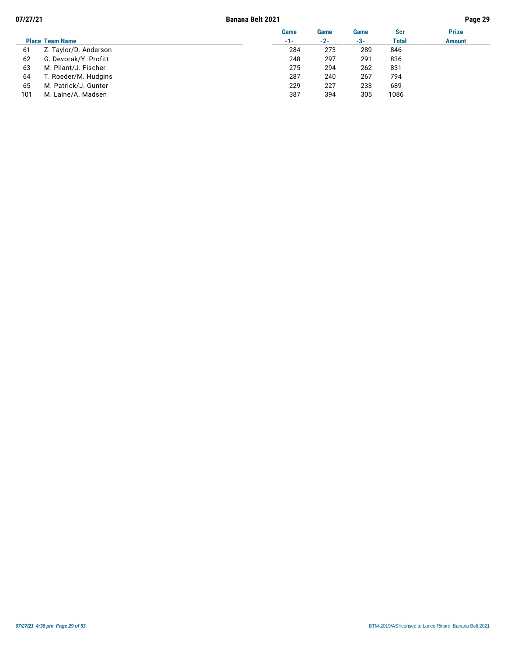| 07/27/21 |                        | <b>Banana Belt 2021</b> |       |       |              | Page 29       |
|----------|------------------------|-------------------------|-------|-------|--------------|---------------|
|          |                        | Game                    | Game  | Game  | Scr          | <b>Prize</b>  |
|          | <b>Place Team Name</b> | $-1-$                   | $-2-$ | $-3-$ | <b>Total</b> | <b>Amount</b> |
| 61       | Z. Taylor/D. Anderson  | 284                     | 273   | 289   | 846          |               |
| 62       | G. Devorak/Y. Profitt  | 248                     | 297   | 291   | 836          |               |
| 63       | M. Pilant/J. Fischer   | 275                     | 294   | 262   | 831          |               |
| 64       | T. Roeder/M. Hudgins   | 287                     | 240   | 267   | 794          |               |
| 65       | M. Patrick/J. Gunter   | 229                     | 227   | 233   | 689          |               |
| 101      | M. Laine/A. Madsen     | 387                     | 394   | 305   | 1086         |               |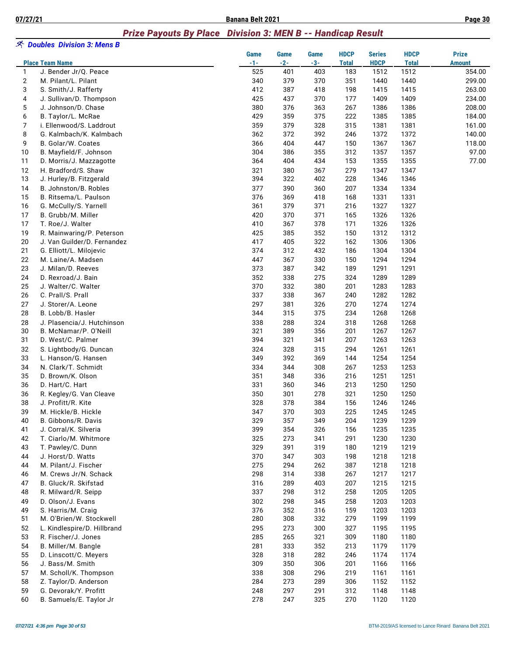### *Prize Payouts By Place Division 3: MEN B -- Handicap Result*

|                | <i>へ</i> Doubles Division 3: Mens B |               |                      |                      |                             |                              |                             |                               |
|----------------|-------------------------------------|---------------|----------------------|----------------------|-----------------------------|------------------------------|-----------------------------|-------------------------------|
|                | <b>Place Team Name</b>              | Game<br>$-1-$ | <b>Game</b><br>$-2-$ | <b>Game</b><br>$-3-$ | <b>HDCP</b><br><b>Total</b> | <b>Series</b><br><b>HDCP</b> | <b>HDCP</b><br><b>Total</b> | <b>Prize</b><br><b>Amount</b> |
| $\mathbf{1}$   | J. Bender Jr/Q. Peace               | 525           | 401                  | 403                  | 183                         | 1512                         | 1512                        | 354.00                        |
| $\overline{2}$ | M. Pilant/L. Pilant                 | 340           | 379                  | 370                  | 351                         | 1440                         | 1440                        | 299.00                        |
| 3              | S. Smith/J. Rafferty                | 412           | 387                  | 418                  | 198                         | 1415                         | 1415                        | 263.00                        |
| 4              | J. Sullivan/D. Thompson             | 425           | 437                  | 370                  | 177                         | 1409                         | 1409                        | 234.00                        |
| 5              | J. Johnson/D. Chase                 | 380           | 376                  | 363                  | 267                         | 1386                         | 1386                        | 208.00                        |
| 6              | B. Taylor/L. McRae                  | 429           | 359                  | 375                  | 222                         | 1385                         | 1385                        | 184.00                        |
| $\overline{7}$ | i. Ellenwood/S. Laddrout            | 359           | 379                  | 328                  | 315                         | 1381                         | 1381                        | 161.00                        |
| 8              | G. Kalmbach/K. Kalmbach             | 362           | 372                  | 392                  | 246                         | 1372                         | 1372                        | 140.00                        |
| 9              | B. Golar/W. Coates                  | 366           | 404                  | 447                  | 150                         | 1367                         | 1367                        | 118.00                        |
| 10             | B. Mayfield/F. Johnson              | 304           | 386                  | 355                  | 312                         | 1357                         | 1357                        | 97.00                         |
| 11             | D. Morris/J. Mazzagotte             | 364           | 404                  | 434                  | 153                         | 1355                         | 1355                        | 77.00                         |
| 12             | H. Bradford/S. Shaw                 | 321           | 380                  | 367                  | 279                         | 1347                         | 1347                        |                               |
| 13             | J. Hurley/B. Fitzgerald             | 394           | 322                  | 402                  | 228                         | 1346                         | 1346                        |                               |
| 14             | B. Johnston/B. Robles               | 377           | 390                  | 360                  | 207                         | 1334                         | 1334                        |                               |
| 15             | B. Ritsema/L. Paulson               | 376           | 369                  | 418                  | 168                         | 1331                         | 1331                        |                               |
| 16             | G. McCully/S. Yarnell               | 361           | 379                  | 371                  | 216                         | 1327                         | 1327                        |                               |
| 17             | B. Grubb/M. Miller                  | 420           | 370                  | 371                  | 165                         | 1326                         | 1326                        |                               |
| 17             | T. Roe/J. Walter                    | 410           | 367                  | 378                  | 171                         | 1326                         | 1326                        |                               |
| 19             | R. Mainwaring/P. Peterson           | 425           | 385                  | 352                  | 150                         | 1312                         | 1312                        |                               |
| 20             | J. Van Guilder/D. Fernandez         | 417           | 405                  | 322                  | 162                         | 1306                         | 1306                        |                               |
| 21             | G. Elliott/L. Milojevic             | 374           | 312                  | 432                  | 186                         | 1304                         | 1304                        |                               |
| 22             | M. Laine/A. Madsen                  | 447           | 367                  | 330                  | 150                         | 1294                         | 1294                        |                               |
| 23             | J. Milan/D. Reeves                  | 373           | 387                  | 342                  | 189                         | 1291                         | 1291                        |                               |
| 24             | D. Rexroad/J. Bain                  | 352           | 338                  | 275                  | 324                         | 1289                         | 1289                        |                               |
| 25             | J. Walter/C. Walter                 | 370           | 332                  | 380                  | 201                         | 1283                         | 1283                        |                               |
| 26             | C. Prall/S. Prall                   | 337           | 338                  | 367                  | 240                         | 1282                         | 1282                        |                               |
| 27             | J. Storer/A. Leone                  | 297           | 381                  | 326                  | 270                         | 1274                         | 1274                        |                               |
| 28             | B. Lobb/B. Hasler                   | 344           | 315                  | 375                  | 234                         | 1268                         | 1268                        |                               |
| 28             | J. Plasencia/J. Hutchinson          | 338           | 288                  | 324                  | 318                         | 1268                         | 1268                        |                               |
| 30             | B. McNamar/P. O'Neill               | 321           | 389                  | 356                  | 201                         | 1267                         | 1267                        |                               |
| 31             | D. West/C. Palmer                   | 394           | 321                  | 341                  | 207                         | 1263                         | 1263                        |                               |
| 32             | S. Lightbody/G. Duncan              | 324           | 328                  | 315                  | 294                         | 1261                         | 1261                        |                               |
| 33             | L. Hanson/G. Hansen                 | 349           | 392                  | 369                  | 144                         | 1254                         | 1254                        |                               |
| 34             | N. Clark/T. Schmidt                 | 334           | 344                  | 308                  | 267                         | 1253                         | 1253                        |                               |
| 35             | D. Brown/K. Olson                   | 351           | 348                  | 336                  | 216                         | 1251                         | 1251                        |                               |
| 36             | D. Hart/C. Hart                     | 331           | 360                  | 346                  | 213                         | 1250                         | 1250                        |                               |
| 36             | R. Kegley/G. Van Cleave             | 350           | 301                  | 278                  | 321                         | 1250                         | 1250                        |                               |
| 38             | J. Profitt/R. Kite                  | 328           | 378                  | 384                  | 156                         | 1246                         | 1246                        |                               |
| 39             | M. Hickle/B. Hickle                 | 347           | 370                  | 303                  | 225                         | 1245                         | 1245                        |                               |
| 40             | B. Gibbons/R. Davis                 | 329           | 357                  | 349                  | 204                         | 1239                         | 1239                        |                               |
| 41             | J. Corral/K. Silveria               | 399           | 354                  | 326                  | 156                         | 1235                         | 1235                        |                               |
| 42             | T. Ciarlo/M. Whitmore               | 325           | 273                  | 341                  | 291                         | 1230                         | 1230                        |                               |
| 43             | T. Pawley/C. Dunn                   | 329           | 391                  | 319                  | 180                         | 1219                         | 1219                        |                               |
| 44             | J. Horst/D. Watts                   | 370           | 347                  | 303                  | 198                         | 1218                         | 1218                        |                               |
| 44             | M. Pilant/J. Fischer                | 275           | 294                  | 262                  | 387                         | 1218                         | 1218                        |                               |
| 46             | M. Crews Jr/N. Schack               | 298           | 314                  | 338                  | 267                         | 1217                         | 1217                        |                               |
| 47             | B. Gluck/R. Skifstad                | 316           | 289                  | 403                  | 207                         | 1215                         | 1215                        |                               |
| 48             | R. Milward/R. Seipp                 | 337           | 298                  | 312                  | 258                         | 1205                         | 1205                        |                               |
| 49             | D. Olson/J. Evans                   | 302           | 298                  | 345                  | 258                         | 1203                         | 1203                        |                               |
| 49             | S. Harris/M. Craig                  | 376           | 352                  | 316                  | 159                         | 1203                         | 1203                        |                               |
| 51             | M. O'Brien/W. Stockwell             | 280           | 308                  | 332                  | 279                         | 1199                         | 1199                        |                               |
| 52             | L. Kindlespire/D. Hillbrand         | 295           | 273                  | 300                  | 327                         | 1195                         | 1195                        |                               |
| 53             | R. Fischer/J. Jones                 | 285           | 265                  | 321                  | 309                         | 1180                         | 1180                        |                               |
| 54             | B. Miller/M. Bangle                 | 281           | 333                  | 352                  | 213                         | 1179                         | 1179                        |                               |
| 55             | D. Linscott/C. Meyers               | 328           | 318                  | 282                  | 246                         | 1174                         | 1174                        |                               |
| 56             | J. Bass/M. Smith                    | 309           | 350                  | 306                  | 201                         | 1166                         | 1166                        |                               |
| 57             | M. Scholl/K. Thompson               | 338           | 308                  | 296                  | 219                         | 1161                         | 1161                        |                               |
| 58             | Z. Taylor/D. Anderson               | 284           | 273                  | 289                  | 306                         | 1152                         | 1152                        |                               |
| 59             | G. Devorak/Y. Profitt               | 248           | 297                  | 291                  | 312                         | 1148                         | 1148                        |                               |
| 60             | B. Samuels/E. Taylor Jr             | 278           | 247                  | 325                  | 270                         | 1120                         | 1120                        |                               |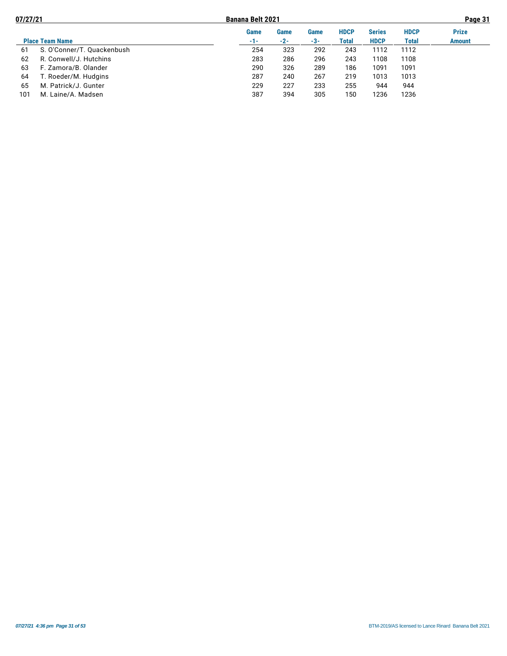| 07/27/21 |                            |       | <b>Banana Belt 2021</b> |      |             |               |              | Page 31       |  |  |
|----------|----------------------------|-------|-------------------------|------|-------------|---------------|--------------|---------------|--|--|
|          |                            | Game  | Game                    | Game | <b>HDCP</b> | <b>Series</b> | <b>HDCP</b>  | <b>Prize</b>  |  |  |
|          | <b>Place Team Name</b>     | $-1-$ | $-2-$                   | -3-  | Total       | <b>HDCP</b>   | <b>Total</b> | <b>Amount</b> |  |  |
| 61       | S. O'Conner/T. Quackenbush | 254   | 323                     | 292  | 243         | 1112          | 1112         |               |  |  |
| 62       | R. Conwell/J. Hutchins     | 283   | 286                     | 296  | 243         | 1108          | 1108         |               |  |  |
| 63       | F. Zamora/B. Olander       | 290   | 326                     | 289  | 186         | 1091          | 1091         |               |  |  |
| 64       | Г. Roeder/M. Hudgins       | 287   | 240                     | 267  | 219         | 1013          | 1013         |               |  |  |
| 65       | M. Patrick/J. Gunter       | 229   | 227                     | 233  | 255         | 944           | 944          |               |  |  |
| 101      | M. Laine/A. Madsen         | 387   | 394                     | 305  | 150         | 1236          | 1236         |               |  |  |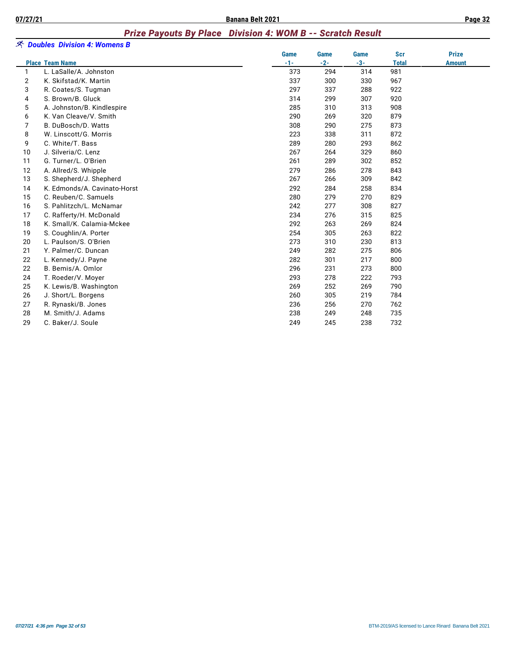#### *Prize Payouts By Place Division 4: WOM B -- Scratch Result*

|                |                              | Game  | Game  | Game  | <b>Scr</b>   | <b>Prize</b>  |
|----------------|------------------------------|-------|-------|-------|--------------|---------------|
|                | <b>Place Team Name</b>       | $-1-$ | $-2-$ | $-3-$ | <b>Total</b> | <b>Amount</b> |
| $\mathbf{1}$   | L. LaSalle/A. Johnston       | 373   | 294   | 314   | 981          |               |
| $\overline{2}$ | K. Skifstad/K. Martin        | 337   | 300   | 330   | 967          |               |
| 3              | R. Coates/S. Tugman          | 297   | 337   | 288   | 922          |               |
| 4              | S. Brown/B. Gluck            | 314   | 299   | 307   | 920          |               |
| 5              | A. Johnston/B. Kindlespire   | 285   | 310   | 313   | 908          |               |
| 6              | K. Van Cleave/V. Smith       | 290   | 269   | 320   | 879          |               |
| 7              | B. DuBosch/D. Watts          | 308   | 290   | 275   | 873          |               |
| 8              | W. Linscott/G. Morris        | 223   | 338   | 311   | 872          |               |
| 9              | C. White/T. Bass             | 289   | 280   | 293   | 862          |               |
| 10             | J. Silveria/C. Lenz          | 267   | 264   | 329   | 860          |               |
| 11             | G. Turner/L. O'Brien         | 261   | 289   | 302   | 852          |               |
| 12             | A. Allred/S. Whipple         | 279   | 286   | 278   | 843          |               |
| 13             | S. Shepherd/J. Shepherd      | 267   | 266   | 309   | 842          |               |
| 14             | K. Edmonds/A. Cavinato-Horst | 292   | 284   | 258   | 834          |               |
| 15             | C. Reuben/C. Samuels         | 280   | 279   | 270   | 829          |               |
| 16             | S. Pahlitzch/L. McNamar      | 242   | 277   | 308   | 827          |               |
| 17             | C. Rafferty/H. McDonald      | 234   | 276   | 315   | 825          |               |
| 18             | K. Small/K. Calamia-Mckee    | 292   | 263   | 269   | 824          |               |
| 19             | S. Coughlin/A. Porter        | 254   | 305   | 263   | 822          |               |
| 20             | L. Paulson/S. O'Brien        | 273   | 310   | 230   | 813          |               |
| 21             | Y. Palmer/C. Duncan          | 249   | 282   | 275   | 806          |               |
| 22             | L. Kennedy/J. Payne          | 282   | 301   | 217   | 800          |               |
| 22             | B. Bemis/A. Omlor            | 296   | 231   | 273   | 800          |               |
| 24             | T. Roeder/V. Moyer           | 293   | 278   | 222   | 793          |               |
| 25             | K. Lewis/B. Washington       | 269   | 252   | 269   | 790          |               |
| 26             | J. Short/L. Borgens          | 260   | 305   | 219   | 784          |               |
| 27             | R. Rynaski/B. Jones          | 236   | 256   | 270   | 762          |               |
| 28             | M. Smith/J. Adams            | 238   | 249   | 248   | 735          |               |
| 29             | C. Baker/J. Soule            | 249   | 245   | 238   | 732          |               |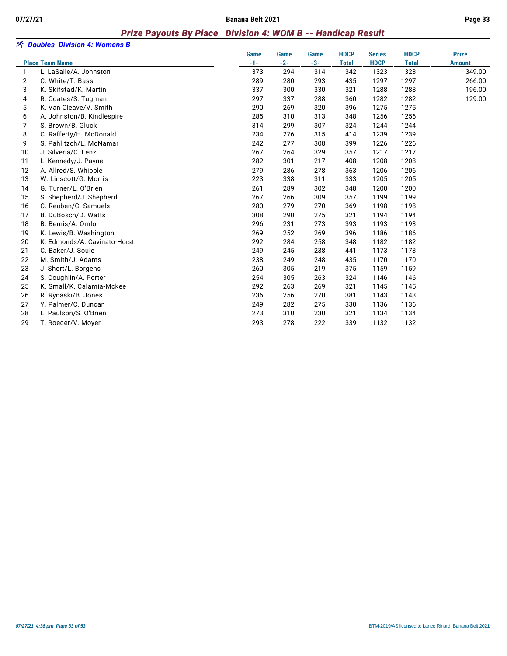#### *Prize Payouts By Place Division 4: WOM B -- Handicap Result*

|                | ※ Doubles Division 4: Womens B |             |             |       |              |               |              |               |
|----------------|--------------------------------|-------------|-------------|-------|--------------|---------------|--------------|---------------|
|                |                                | <b>Game</b> | <b>Game</b> | Game  | <b>HDCP</b>  | <b>Series</b> | <b>HDCP</b>  | <b>Prize</b>  |
|                | <b>Place Team Name</b>         | $-1-$       | $-2-$       | $-3-$ | <b>Total</b> | <b>HDCP</b>   | <b>Total</b> | <b>Amount</b> |
| 1              | L. LaSalle/A. Johnston         | 373         | 294         | 314   | 342          | 1323          | 1323         | 349.00        |
| $\overline{2}$ | C. White/T. Bass               | 289         | 280         | 293   | 435          | 1297          | 1297         | 266.00        |
| 3              | K. Skifstad/K. Martin          | 337         | 300         | 330   | 321          | 1288          | 1288         | 196.00        |
| 4              | R. Coates/S. Tugman            | 297         | 337         | 288   | 360          | 1282          | 1282         | 129.00        |
| 5              | K. Van Cleave/V. Smith         | 290         | 269         | 320   | 396          | 1275          | 1275         |               |
| 6              | A. Johnston/B. Kindlespire     | 285         | 310         | 313   | 348          | 1256          | 1256         |               |
| 7              | S. Brown/B. Gluck              | 314         | 299         | 307   | 324          | 1244          | 1244         |               |
| 8              | C. Rafferty/H. McDonald        | 234         | 276         | 315   | 414          | 1239          | 1239         |               |
| 9              | S. Pahlitzch/L. McNamar        | 242         | 277         | 308   | 399          | 1226          | 1226         |               |
| 10             | J. Silveria/C. Lenz            | 267         | 264         | 329   | 357          | 1217          | 1217         |               |
| 11             | L. Kennedy/J. Payne            | 282         | 301         | 217   | 408          | 1208          | 1208         |               |
| 12             | A. Allred/S. Whipple           | 279         | 286         | 278   | 363          | 1206          | 1206         |               |
| 13             | W. Linscott/G. Morris          | 223         | 338         | 311   | 333          | 1205          | 1205         |               |
| 14             | G. Turner/L. O'Brien           | 261         | 289         | 302   | 348          | 1200          | 1200         |               |
| 15             | S. Shepherd/J. Shepherd        | 267         | 266         | 309   | 357          | 1199          | 1199         |               |
| 16             | C. Reuben/C. Samuels           | 280         | 279         | 270   | 369          | 1198          | 1198         |               |
| 17             | B. DuBosch/D. Watts            | 308         | 290         | 275   | 321          | 1194          | 1194         |               |
| 18             | B. Bemis/A. Omlor              | 296         | 231         | 273   | 393          | 1193          | 1193         |               |
| 19             | K. Lewis/B. Washington         | 269         | 252         | 269   | 396          | 1186          | 1186         |               |
| 20             | K. Edmonds/A. Cavinato-Horst   | 292         | 284         | 258   | 348          | 1182          | 1182         |               |
| 21             | C. Baker/J. Soule              | 249         | 245         | 238   | 441          | 1173          | 1173         |               |
| 22             | M. Smith/J. Adams              | 238         | 249         | 248   | 435          | 1170          | 1170         |               |
| 23             | J. Short/L. Borgens            | 260         | 305         | 219   | 375          | 1159          | 1159         |               |
| 24             | S. Coughlin/A. Porter          | 254         | 305         | 263   | 324          | 1146          | 1146         |               |
| 25             | K. Small/K. Calamia-Mckee      | 292         | 263         | 269   | 321          | 1145          | 1145         |               |
| 26             | R. Rynaski/B. Jones            | 236         | 256         | 270   | 381          | 1143          | 1143         |               |
| 27             | Y. Palmer/C. Duncan            | 249         | 282         | 275   | 330          | 1136          | 1136         |               |
| 28             | L. Paulson/S. O'Brien          | 273         | 310         | 230   | 321          | 1134          | 1134         |               |
| 29             | T. Roeder/V. Moyer             | 293         | 278         | 222   | 339          | 1132          | 1132         |               |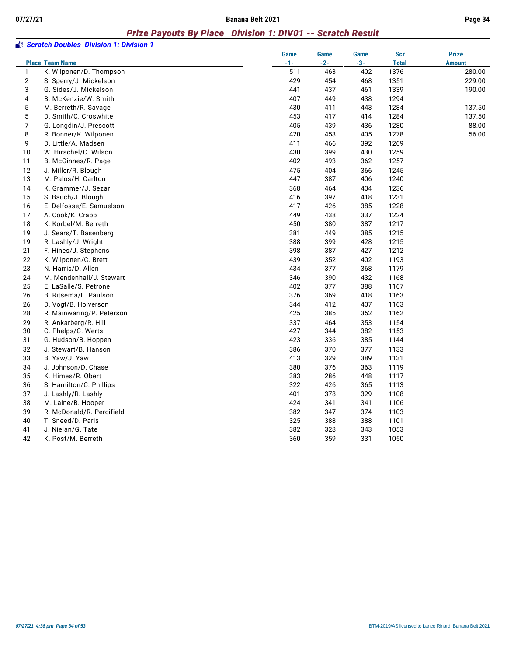#### *Prize Payouts By Place Division 1: DIV01 -- Scratch Result*

|                | Scratch Doubles Division 1: Division 1 |       |       |       |              |               |
|----------------|----------------------------------------|-------|-------|-------|--------------|---------------|
|                |                                        | Game  | Game  | Game  | <b>Scr</b>   | <b>Prize</b>  |
|                | <b>Place Team Name</b>                 | $-1-$ | $-2-$ | $-3-$ | <b>Total</b> | <b>Amount</b> |
| $\mathbf{1}$   | K. Wilponen/D. Thompson                | 511   | 463   | 402   | 1376         | 280.00        |
| $\overline{2}$ | S. Sperry/J. Mickelson                 | 429   | 454   | 468   | 1351         | 229.00        |
| 3              | G. Sides/J. Mickelson                  | 441   | 437   | 461   | 1339         | 190.00        |
| 4              | B. McKenzie/W. Smith                   | 407   | 449   | 438   | 1294         |               |
| 5              | M. Berreth/R. Savage                   | 430   | 411   | 443   | 1284         | 137.50        |
| 5              | D. Smith/C. Croswhite                  | 453   | 417   | 414   | 1284         | 137.50        |
| $\overline{7}$ | G. Longdin/J. Prescott                 | 405   | 439   | 436   | 1280         | 88.00         |
| 8              | R. Bonner/K. Wilponen                  | 420   | 453   | 405   | 1278         | 56.00         |
| 9              | D. Little/A. Madsen                    | 411   | 466   | 392   | 1269         |               |
| 10             | W. Hirschel/C. Wilson                  | 430   | 399   | 430   | 1259         |               |
| 11             | B. McGinnes/R. Page                    | 402   | 493   | 362   | 1257         |               |
| 12             | J. Miller/R. Blough                    | 475   | 404   | 366   | 1245         |               |
| 13             | M. Palos/H. Carlton                    | 447   | 387   | 406   | 1240         |               |
| 14             | K. Grammer/J. Sezar                    | 368   | 464   | 404   | 1236         |               |
| 15             | S. Bauch/J. Blough                     | 416   | 397   | 418   | 1231         |               |
| 16             | E. Delfosse/E. Samuelson               | 417   | 426   | 385   | 1228         |               |
| 17             | A. Cook/K. Crabb                       | 449   | 438   | 337   | 1224         |               |
| 18             | K. Korbel/M. Berreth                   | 450   | 380   | 387   | 1217         |               |
| 19             | J. Sears/T. Basenberg                  | 381   | 449   | 385   | 1215         |               |
| 19             | R. Lashly/J. Wright                    | 388   | 399   | 428   | 1215         |               |
| 21             | F. Hines/J. Stephens                   | 398   | 387   | 427   | 1212         |               |
| 22             | K. Wilponen/C. Brett                   | 439   | 352   | 402   | 1193         |               |
| 23             | N. Harris/D. Allen                     | 434   | 377   | 368   | 1179         |               |
| 24             | M. Mendenhall/J. Stewart               | 346   | 390   | 432   | 1168         |               |
| 25             | E. LaSalle/S. Petrone                  | 402   | 377   | 388   | 1167         |               |
| 26             | B. Ritsema/L. Paulson                  | 376   | 369   | 418   | 1163         |               |
| 26             | D. Vogt/B. Holverson                   | 344   | 412   | 407   | 1163         |               |
| 28             | R. Mainwaring/P. Peterson              | 425   | 385   | 352   | 1162         |               |
| 29             | R. Ankarberg/R. Hill                   | 337   | 464   | 353   | 1154         |               |
| 30             | C. Phelps/C. Werts                     | 427   | 344   | 382   | 1153         |               |
| 31             | G. Hudson/B. Hoppen                    | 423   | 336   | 385   | 1144         |               |
| 32             | J. Stewart/B. Hanson                   | 386   | 370   | 377   | 1133         |               |
| 33             | B. Yaw/J. Yaw                          | 413   | 329   | 389   | 1131         |               |
| 34             | J. Johnson/D. Chase                    | 380   | 376   | 363   | 1119         |               |
| 35             | K. Himes/R. Obert                      | 383   | 286   | 448   | 1117         |               |
| 36             | S. Hamilton/C. Phillips                | 322   | 426   | 365   | 1113         |               |
| 37             | J. Lashly/R. Lashly                    | 401   | 378   | 329   | 1108         |               |
| 38             | M. Laine/B. Hooper                     | 424   | 341   | 341   | 1106         |               |
| 39             | R. McDonald/R. Percifield              | 382   | 347   | 374   | 1103         |               |
| 40             | T. Sneed/D. Paris                      | 325   | 388   | 388   | 1101         |               |
| 41             | J. Nielan/G. Tate                      | 382   | 328   | 343   | 1053         |               |
| 42             | K. Post/M. Berreth                     | 360   | 359   | 331   | 1050         |               |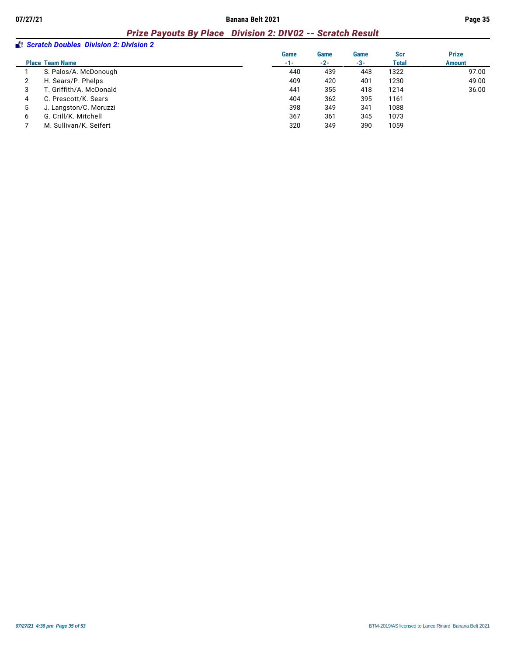# *Prize Payouts By Place Division 2: DIV02 -- Scratch Result*

|   | Scratch Doubles Division 2: Division 2 |       |       |       |              |               |
|---|----------------------------------------|-------|-------|-------|--------------|---------------|
|   |                                        | Game  | Game  | Game  | Scr          | <b>Prize</b>  |
|   | <b>Place Team Name</b>                 | $-1-$ | $-2-$ | $-3-$ | <b>Total</b> | <b>Amount</b> |
|   | S. Palos/A. McDonough                  | 440   | 439   | 443   | 1322         | 97.00         |
|   | H. Sears/P. Phelps                     | 409   | 420   | 401   | 1230         | 49.00         |
| 3 | T. Griffith/A. McDonald                | 441   | 355   | 418   | 1214         | 36.00         |
| 4 | C. Prescott/K. Sears                   | 404   | 362   | 395   | 1161         |               |
| 5 | J. Langston/C. Moruzzi                 | 398   | 349   | 341   | 1088         |               |
| 6 | G. Crill/K. Mitchell                   | 367   | 361   | 345   | 1073         |               |
|   | M. Sullivan/K. Seifert                 | 320   | 349   | 390   | 1059         |               |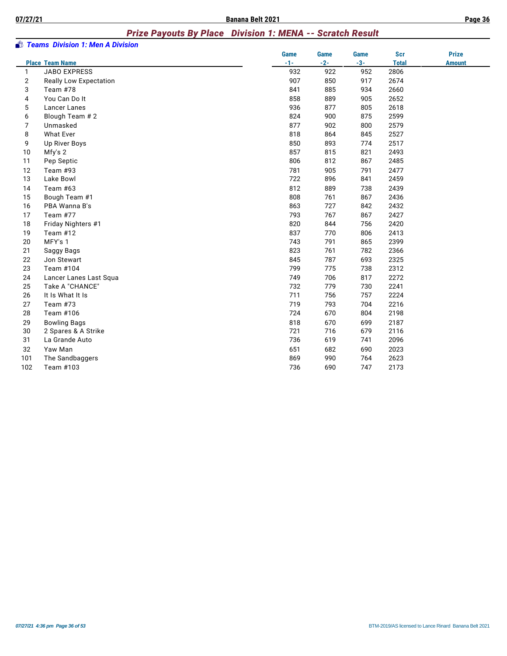#### *Prize Payouts By Place Division 1: MENA -- Scratch Result*

|                | Teams Division 1: Men A Division |             |             |             |              |               |
|----------------|----------------------------------|-------------|-------------|-------------|--------------|---------------|
|                |                                  | <b>Game</b> | <b>Game</b> | <b>Game</b> | <b>Scr</b>   | <b>Prize</b>  |
|                | <b>Place Team Name</b>           | $-1-$       | $-2-$       | $-3-$       | <b>Total</b> | <b>Amount</b> |
| $\mathbf{1}$   | <b>JABO EXPRESS</b>              | 932         | 922         | 952         | 2806         |               |
| 2              | <b>Really Low Expectation</b>    | 907         | 850         | 917         | 2674         |               |
| 3              | Team #78                         | 841         | 885         | 934         | 2660         |               |
| 4              | You Can Do It                    | 858         | 889         | 905         | 2652         |               |
| 5              | Lancer Lanes                     | 936         | 877         | 805         | 2618         |               |
| 6              | Blough Team # 2                  | 824         | 900         | 875         | 2599         |               |
| $\overline{7}$ | Unmasked                         | 877         | 902         | 800         | 2579         |               |
| 8              | <b>What Ever</b>                 | 818         | 864         | 845         | 2527         |               |
| 9              | Up River Boys                    | 850         | 893         | 774         | 2517         |               |
| 10             | Mfy's 2                          | 857         | 815         | 821         | 2493         |               |
| 11             | Pep Septic                       | 806         | 812         | 867         | 2485         |               |
| 12             | Team #93                         | 781         | 905         | 791         | 2477         |               |
| 13             | Lake Bowl                        | 722         | 896         | 841         | 2459         |               |
| 14             | Team #63                         | 812         | 889         | 738         | 2439         |               |
| 15             | Bough Team #1                    | 808         | 761         | 867         | 2436         |               |
| 16             | PBA Wanna B's                    | 863         | 727         | 842         | 2432         |               |
| 17             | Team #77                         | 793         | 767         | 867         | 2427         |               |
| 18             | Friday Nighters #1               | 820         | 844         | 756         | 2420         |               |
| 19             | Team $#12$                       | 837         | 770         | 806         | 2413         |               |
| 20             | MFY's 1                          | 743         | 791         | 865         | 2399         |               |
| 21             | Saggy Bags                       | 823         | 761         | 782         | 2366         |               |
| 22             | Jon Stewart                      | 845         | 787         | 693         | 2325         |               |
| 23             | Team #104                        | 799         | 775         | 738         | 2312         |               |
| 24             | Lancer Lanes Last Squa           | 749         | 706         | 817         | 2272         |               |
| 25             | Take A "CHANCE"                  | 732         | 779         | 730         | 2241         |               |
| 26             | It Is What It Is                 | 711         | 756         | 757         | 2224         |               |
| 27             | Team #73                         | 719         | 793         | 704         | 2216         |               |
| 28             | Team #106                        | 724         | 670         | 804         | 2198         |               |
| 29             | <b>Bowling Bags</b>              | 818         | 670         | 699         | 2187         |               |
| 30             | 2 Spares & A Strike              | 721         | 716         | 679         | 2116         |               |
| 31             | La Grande Auto                   | 736         | 619         | 741         | 2096         |               |
| 32             | Yaw Man                          | 651         | 682         | 690         | 2023         |               |
| 101            | The Sandbaggers                  | 869         | 990         | 764         | 2623         |               |
| 102            | Team #103                        | 736         | 690         | 747         | 2173         |               |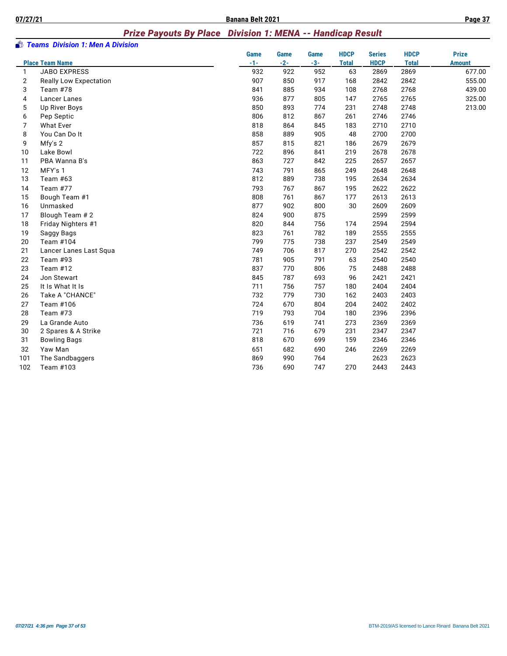#### *Prize Payouts By Place Division 1: MENA -- Handicap Result*

|                | Teams Division 1: Men A Division |             |             |             |              |               |              |               |
|----------------|----------------------------------|-------------|-------------|-------------|--------------|---------------|--------------|---------------|
|                |                                  | <b>Game</b> | <b>Game</b> | <b>Game</b> | <b>HDCP</b>  | <b>Series</b> | <b>HDCP</b>  | <b>Prize</b>  |
|                | <b>Place Team Name</b>           | $-1-$       | $-2-$       | $-3-$       | <b>Total</b> | <b>HDCP</b>   | <b>Total</b> | <b>Amount</b> |
| 1              | <b>JABO EXPRESS</b>              | 932         | 922         | 952         | 63           | 2869          | 2869         | 677.00        |
| $\overline{2}$ | Really Low Expectation           | 907         | 850         | 917         | 168          | 2842          | 2842         | 555.00        |
| 3              | Team #78                         | 841         | 885         | 934         | 108          | 2768          | 2768         | 439.00        |
| 4              | <b>Lancer Lanes</b>              | 936         | 877         | 805         | 147          | 2765          | 2765         | 325.00        |
| 5              | Up River Boys                    | 850         | 893         | 774         | 231          | 2748          | 2748         | 213.00        |
| 6              | Pep Septic                       | 806         | 812         | 867         | 261          | 2746          | 2746         |               |
| 7              | <b>What Ever</b>                 | 818         | 864         | 845         | 183          | 2710          | 2710         |               |
| 8              | You Can Do It                    | 858         | 889         | 905         | 48           | 2700          | 2700         |               |
| 9              | Mfy's 2                          | 857         | 815         | 821         | 186          | 2679          | 2679         |               |
| 10             | Lake Bowl                        | 722         | 896         | 841         | 219          | 2678          | 2678         |               |
| 11             | PBA Wanna B's                    | 863         | 727         | 842         | 225          | 2657          | 2657         |               |
| 12             | MFY's 1                          | 743         | 791         | 865         | 249          | 2648          | 2648         |               |
| 13             | Team $#63$                       | 812         | 889         | 738         | 195          | 2634          | 2634         |               |
| 14             | Team #77                         | 793         | 767         | 867         | 195          | 2622          | 2622         |               |
| 15             | Bough Team #1                    | 808         | 761         | 867         | 177          | 2613          | 2613         |               |
| 16             | Unmasked                         | 877         | 902         | 800         | 30           | 2609          | 2609         |               |
| 17             | Blough Team # 2                  | 824         | 900         | 875         |              | 2599          | 2599         |               |
| 18             | Friday Nighters #1               | 820         | 844         | 756         | 174          | 2594          | 2594         |               |
| 19             | Saggy Bags                       | 823         | 761         | 782         | 189          | 2555          | 2555         |               |
| 20             | Team #104                        | 799         | 775         | 738         | 237          | 2549          | 2549         |               |
| 21             | Lancer Lanes Last Squa           | 749         | 706         | 817         | 270          | 2542          | 2542         |               |
| 22             | Team #93                         | 781         | 905         | 791         | 63           | 2540          | 2540         |               |
| 23             | Team #12                         | 837         | 770         | 806         | 75           | 2488          | 2488         |               |
| 24             | Jon Stewart                      | 845         | 787         | 693         | 96           | 2421          | 2421         |               |
| 25             | It Is What It Is                 | 711         | 756         | 757         | 180          | 2404          | 2404         |               |
| 26             | Take A "CHANCE"                  | 732         | 779         | 730         | 162          | 2403          | 2403         |               |
| 27             | Team #106                        | 724         | 670         | 804         | 204          | 2402          | 2402         |               |
| 28             | Team #73                         | 719         | 793         | 704         | 180          | 2396          | 2396         |               |
| 29             | La Grande Auto                   | 736         | 619         | 741         | 273          | 2369          | 2369         |               |
| 30             | 2 Spares & A Strike              | 721         | 716         | 679         | 231          | 2347          | 2347         |               |
| 31             | <b>Bowling Bags</b>              | 818         | 670         | 699         | 159          | 2346          | 2346         |               |
| 32             | Yaw Man                          | 651         | 682         | 690         | 246          | 2269          | 2269         |               |
| 101            | The Sandbaggers                  | 869         | 990         | 764         |              | 2623          | 2623         |               |
| 102            | Team #103                        | 736         | 690         | 747         | 270          | 2443          | 2443         |               |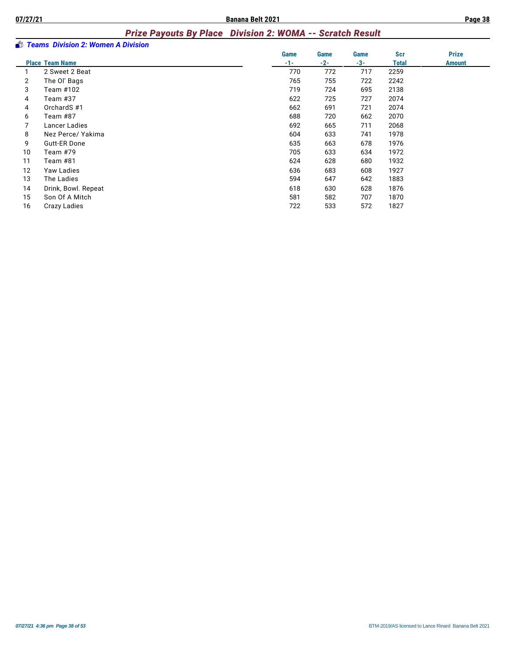#### *Prize Payouts By Place Division 2: WOMA -- Scratch Result*

|    | <b>By Teams Division 2: Women A Division</b> |       |       |       |              |               |
|----|----------------------------------------------|-------|-------|-------|--------------|---------------|
|    |                                              | Game  | Game  | Game  | Scr          | <b>Prize</b>  |
|    | <b>Place Team Name</b>                       | $-1-$ | $-2-$ | $-3-$ | <b>Total</b> | <b>Amount</b> |
|    | 2 Sweet 2 Beat                               | 770   | 772   | 717   | 2259         |               |
| 2  | The OI' Bags                                 | 765   | 755   | 722   | 2242         |               |
| 3  | Team #102                                    | 719   | 724   | 695   | 2138         |               |
| 4  | Team #37                                     | 622   | 725   | 727   | 2074         |               |
| 4  | OrchardS#1                                   | 662   | 691   | 721   | 2074         |               |
| 6  | Team #87                                     | 688   | 720   | 662   | 2070         |               |
|    | Lancer Ladies                                | 692   | 665   | 711   | 2068         |               |
| 8  | Nez Perce/ Yakima                            | 604   | 633   | 741   | 1978         |               |
| 9  | <b>Gutt-ER Done</b>                          | 635   | 663   | 678   | 1976         |               |
| 10 | Team #79                                     | 705   | 633   | 634   | 1972         |               |
| 11 | Team #81                                     | 624   | 628   | 680   | 1932         |               |
| 12 | Yaw Ladies                                   | 636   | 683   | 608   | 1927         |               |
| 13 | The Ladies                                   | 594   | 647   | 642   | 1883         |               |
| 14 | Drink, Bowl. Repeat                          | 618   | 630   | 628   | 1876         |               |
| 15 | Son Of A Mitch                               | 581   | 582   | 707   | 1870         |               |
| 16 | Crazy Ladies                                 | 722   | 533   | 572   | 1827         |               |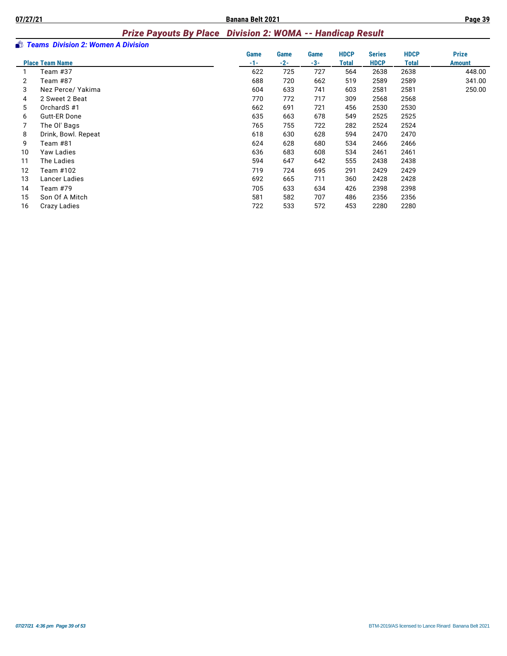### *Prize Payouts By Place Division 2: WOMA -- Handicap Result*

|    | <b>By Teams Division 2: Women A Division</b> |       |             |       |              |               |              |               |
|----|----------------------------------------------|-------|-------------|-------|--------------|---------------|--------------|---------------|
|    |                                              | Game  | <b>Game</b> | Game  | <b>HDCP</b>  | <b>Series</b> | <b>HDCP</b>  | <b>Prize</b>  |
|    | <b>Place Team Name</b>                       | $-1-$ | $-2-$       | $-3-$ | <b>Total</b> | <b>HDCP</b>   | <b>Total</b> | <b>Amount</b> |
|    | Team #37                                     | 622   | 725         | 727   | 564          | 2638          | 2638         | 448.00        |
| 2  | Team #87                                     | 688   | 720         | 662   | 519          | 2589          | 2589         | 341.00        |
| 3  | Nez Perce/ Yakima                            | 604   | 633         | 741   | 603          | 2581          | 2581         | 250.00        |
| 4  | 2 Sweet 2 Beat                               | 770   | 772         | 717   | 309          | 2568          | 2568         |               |
| 5  | OrchardS#1                                   | 662   | 691         | 721   | 456          | 2530          | 2530         |               |
| 6  | <b>Gutt-ER Done</b>                          | 635   | 663         | 678   | 549          | 2525          | 2525         |               |
|    | The OI' Bags                                 | 765   | 755         | 722   | 282          | 2524          | 2524         |               |
| 8  | Drink, Bowl. Repeat                          | 618   | 630         | 628   | 594          | 2470          | 2470         |               |
| 9  | Team #81                                     | 624   | 628         | 680   | 534          | 2466          | 2466         |               |
| 10 | Yaw Ladies                                   | 636   | 683         | 608   | 534          | 2461          | 2461         |               |
| 11 | The Ladies                                   | 594   | 647         | 642   | 555          | 2438          | 2438         |               |
| 12 | Team #102                                    | 719   | 724         | 695   | 291          | 2429          | 2429         |               |
| 13 | Lancer Ladies                                | 692   | 665         | 711   | 360          | 2428          | 2428         |               |
| 14 | Team #79                                     | 705   | 633         | 634   | 426          | 2398          | 2398         |               |
| 15 | Son Of A Mitch                               | 581   | 582         | 707   | 486          | 2356          | 2356         |               |
| 16 | Crazy Ladies                                 | 722   | 533         | 572   | 453          | 2280          | 2280         |               |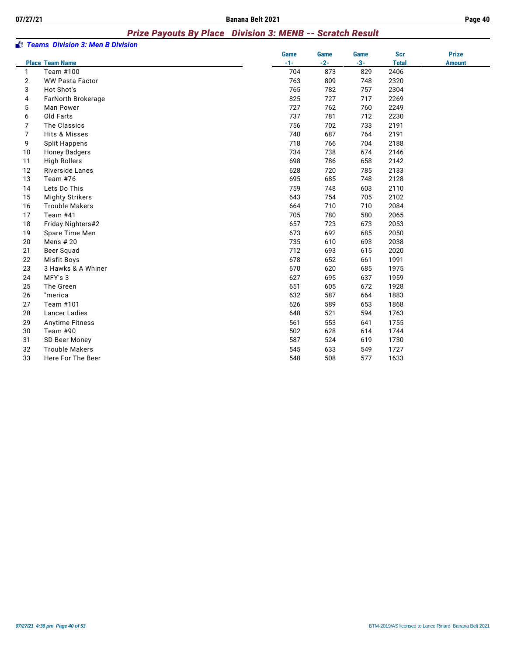#### *Prize Payouts By Place Division 3: MENB -- Scratch Result*

|                | <b><i>Stams Division 3: Men B Division</i></b> |       |       |       |              |               |
|----------------|------------------------------------------------|-------|-------|-------|--------------|---------------|
|                |                                                | Game  | Game  | Game  | Scr          | <b>Prize</b>  |
|                | <b>Place Team Name</b>                         | $-1-$ | $-2-$ | $-3-$ | <b>Total</b> | <b>Amount</b> |
| 1              | Team #100                                      | 704   | 873   | 829   | 2406         |               |
| $\overline{2}$ | <b>WW Pasta Factor</b>                         | 763   | 809   | 748   | 2320         |               |
| 3              | Hot Shot's                                     | 765   | 782   | 757   | 2304         |               |
| 4              | FarNorth Brokerage                             | 825   | 727   | 717   | 2269         |               |
| 5              | Man Power                                      | 727   | 762   | 760   | 2249         |               |
| 6              | Old Farts                                      | 737   | 781   | 712   | 2230         |               |
| 7              | The Classics                                   | 756   | 702   | 733   | 2191         |               |
| $\overline{7}$ | Hits & Misses                                  | 740   | 687   | 764   | 2191         |               |
| 9              | <b>Split Happens</b>                           | 718   | 766   | 704   | 2188         |               |
| 10             | <b>Honey Badgers</b>                           | 734   | 738   | 674   | 2146         |               |
| 11             | <b>High Rollers</b>                            | 698   | 786   | 658   | 2142         |               |
| 12             | <b>Riverside Lanes</b>                         | 628   | 720   | 785   | 2133         |               |
| 13             | Team $#76$                                     | 695   | 685   | 748   | 2128         |               |
| 14             | Lets Do This                                   | 759   | 748   | 603   | 2110         |               |
| 15             | <b>Mighty Strikers</b>                         | 643   | 754   | 705   | 2102         |               |
| 16             | <b>Trouble Makers</b>                          | 664   | 710   | 710   | 2084         |               |
| 17             | Team #41                                       | 705   | 780   | 580   | 2065         |               |
| 18             | Friday Nighters#2                              | 657   | 723   | 673   | 2053         |               |
| 19             | Spare Time Men                                 | 673   | 692   | 685   | 2050         |               |
| 20             | Mens # 20                                      | 735   | 610   | 693   | 2038         |               |
| 21             | Beer Squad                                     | 712   | 693   | 615   | 2020         |               |
| 22             | <b>Misfit Boys</b>                             | 678   | 652   | 661   | 1991         |               |
| 23             | 3 Hawks & A Whiner                             | 670   | 620   | 685   | 1975         |               |
| 24             | MFY's 3                                        | 627   | 695   | 637   | 1959         |               |
| 25             | The Green                                      | 651   | 605   | 672   | 1928         |               |
| 26             | "merica                                        | 632   | 587   | 664   | 1883         |               |
| 27             | Team #101                                      | 626   | 589   | 653   | 1868         |               |
| 28             | <b>Lancer Ladies</b>                           | 648   | 521   | 594   | 1763         |               |
| 29             | Anytime Fitness                                | 561   | 553   | 641   | 1755         |               |
| 30             | Team #90                                       | 502   | 628   | 614   | 1744         |               |
| 31             | SD Beer Money                                  | 587   | 524   | 619   | 1730         |               |
| 32             | <b>Trouble Makers</b>                          | 545   | 633   | 549   | 1727         |               |
| 33             | Here For The Beer                              | 548   | 508   | 577   | 1633         |               |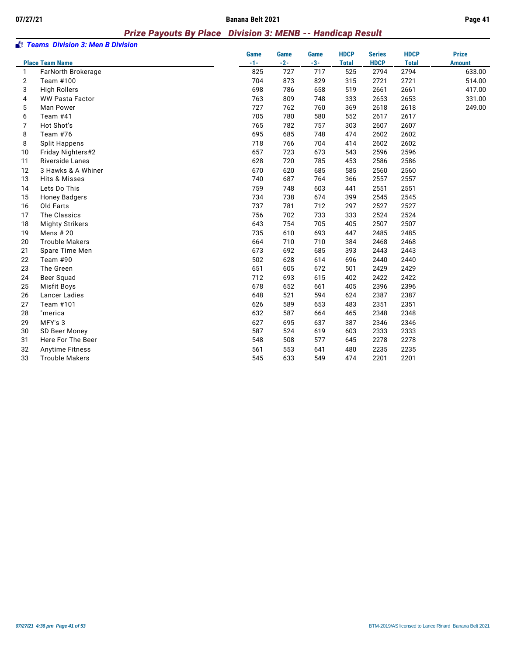#### *Prize Payouts By Place Division 3: MENB -- Handicap Result*

|    | <b><i>Stams Division 3: Men B Division</i></b> |             |             |       |              |               |              |               |
|----|------------------------------------------------|-------------|-------------|-------|--------------|---------------|--------------|---------------|
|    |                                                | <b>Game</b> | <b>Game</b> | Game  | <b>HDCP</b>  | <b>Series</b> | <b>HDCP</b>  | <b>Prize</b>  |
|    | <b>Place Team Name</b>                         | $-1-$       | $-2-$       | $-3-$ | <b>Total</b> | <b>HDCP</b>   | <b>Total</b> | <b>Amount</b> |
| 1  | FarNorth Brokerage                             | 825         | 727         | 717   | 525          | 2794          | 2794         | 633.00        |
| 2  | Team #100                                      | 704         | 873         | 829   | 315          | 2721          | 2721         | 514.00        |
| 3  | <b>High Rollers</b>                            | 698         | 786         | 658   | 519          | 2661          | 2661         | 417.00        |
| 4  | <b>WW Pasta Factor</b>                         | 763         | 809         | 748   | 333          | 2653          | 2653         | 331.00        |
| 5  | Man Power                                      | 727         | 762         | 760   | 369          | 2618          | 2618         | 249.00        |
| 6  | Team #41                                       | 705         | 780         | 580   | 552          | 2617          | 2617         |               |
| 7  | Hot Shot's                                     | 765         | 782         | 757   | 303          | 2607          | 2607         |               |
| 8  | Team #76                                       | 695         | 685         | 748   | 474          | 2602          | 2602         |               |
| 8  | <b>Split Happens</b>                           | 718         | 766         | 704   | 414          | 2602          | 2602         |               |
| 10 | Friday Nighters#2                              | 657         | 723         | 673   | 543          | 2596          | 2596         |               |
| 11 | <b>Riverside Lanes</b>                         | 628         | 720         | 785   | 453          | 2586          | 2586         |               |
| 12 | 3 Hawks & A Whiner                             | 670         | 620         | 685   | 585          | 2560          | 2560         |               |
| 13 | Hits & Misses                                  | 740         | 687         | 764   | 366          | 2557          | 2557         |               |
| 14 | Lets Do This                                   | 759         | 748         | 603   | 441          | 2551          | 2551         |               |
| 15 | <b>Honey Badgers</b>                           | 734         | 738         | 674   | 399          | 2545          | 2545         |               |
| 16 | Old Farts                                      | 737         | 781         | 712   | 297          | 2527          | 2527         |               |
| 17 | The Classics                                   | 756         | 702         | 733   | 333          | 2524          | 2524         |               |
| 18 | <b>Mighty Strikers</b>                         | 643         | 754         | 705   | 405          | 2507          | 2507         |               |
| 19 | Mens # 20                                      | 735         | 610         | 693   | 447          | 2485          | 2485         |               |
| 20 | <b>Trouble Makers</b>                          | 664         | 710         | 710   | 384          | 2468          | 2468         |               |
| 21 | Spare Time Men                                 | 673         | 692         | 685   | 393          | 2443          | 2443         |               |
| 22 | Team #90                                       | 502         | 628         | 614   | 696          | 2440          | 2440         |               |
| 23 | The Green                                      | 651         | 605         | 672   | 501          | 2429          | 2429         |               |
| 24 | Beer Squad                                     | 712         | 693         | 615   | 402          | 2422          | 2422         |               |
| 25 | Misfit Boys                                    | 678         | 652         | 661   | 405          | 2396          | 2396         |               |
| 26 | Lancer Ladies                                  | 648         | 521         | 594   | 624          | 2387          | 2387         |               |
| 27 | Team #101                                      | 626         | 589         | 653   | 483          | 2351          | 2351         |               |
| 28 | "merica                                        | 632         | 587         | 664   | 465          | 2348          | 2348         |               |
| 29 | MFY's 3                                        | 627         | 695         | 637   | 387          | 2346          | 2346         |               |
| 30 | SD Beer Money                                  | 587         | 524         | 619   | 603          | 2333          | 2333         |               |
| 31 | Here For The Beer                              | 548         | 508         | 577   | 645          | 2278          | 2278         |               |
| 32 | <b>Anytime Fitness</b>                         | 561         | 553         | 641   | 480          | 2235          | 2235         |               |
| 33 | <b>Trouble Makers</b>                          | 545         | 633         | 549   | 474          | 2201          | 2201         |               |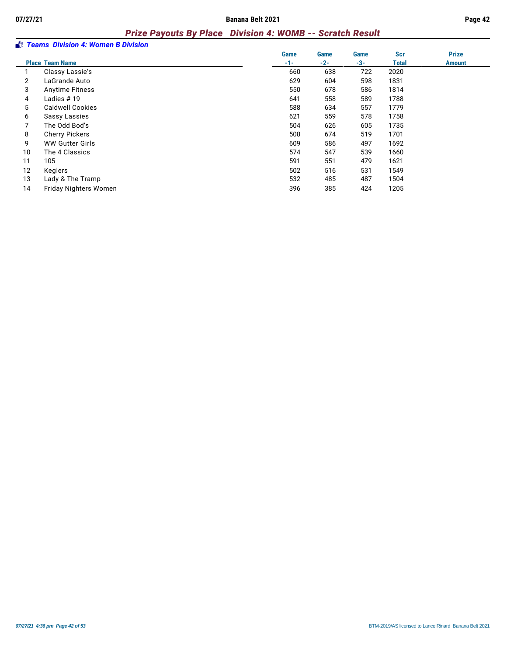#### *Prize Payouts By Place Division 4: WOMB -- Scratch Result*

|    | <b>Boston Industry Teams Division 4: Women B Division</b> |       |       |             |            |               |
|----|-----------------------------------------------------------|-------|-------|-------------|------------|---------------|
|    |                                                           | Game  | Game  | <b>Game</b> | <b>Scr</b> | <b>Prize</b>  |
|    | <b>Place Team Name</b>                                    | $-1-$ | $-2-$ | $-3-$       | Total      | <b>Amount</b> |
|    | Classy Lassie's                                           | 660   | 638   | 722         | 2020       |               |
| 2  | LaGrande Auto                                             | 629   | 604   | 598         | 1831       |               |
| 3  | <b>Anytime Fitness</b>                                    | 550   | 678   | 586         | 1814       |               |
| 4  | Ladies $# 19$                                             | 641   | 558   | 589         | 1788       |               |
| 5  | <b>Caldwell Cookies</b>                                   | 588   | 634   | 557         | 1779       |               |
| 6  | <b>Sassy Lassies</b>                                      | 621   | 559   | 578         | 1758       |               |
|    | The Odd Bod's                                             | 504   | 626   | 605         | 1735       |               |
| 8  | <b>Cherry Pickers</b>                                     | 508   | 674   | 519         | 1701       |               |
| 9  | <b>WW Gutter Girls</b>                                    | 609   | 586   | 497         | 1692       |               |
| 10 | The 4 Classics                                            | 574   | 547   | 539         | 1660       |               |
| 11 | 105                                                       | 591   | 551   | 479         | 1621       |               |
| 12 | Keglers                                                   | 502   | 516   | 531         | 1549       |               |
| 13 | Lady & The Tramp                                          | 532   | 485   | 487         | 1504       |               |
| 14 | <b>Friday Nighters Women</b>                              | 396   | 385   | 424         | 1205       |               |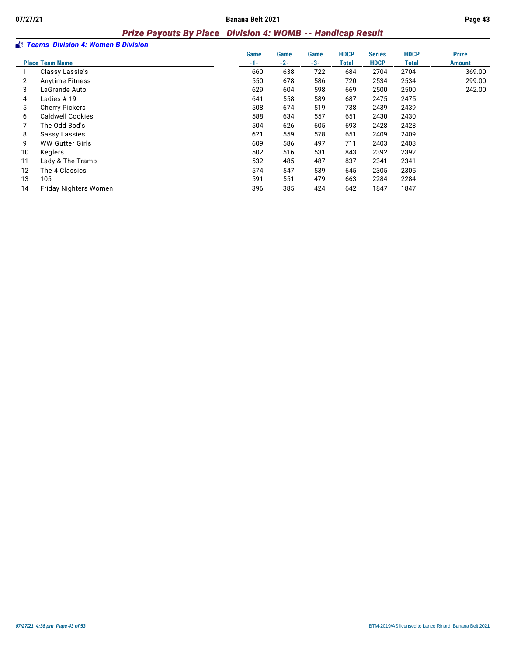# *Prize Payouts By Place Division 4: WOMB -- Handicap Result*

|    | <b>Boston Industry Teams Division 4: Women B Division</b> |       |       |      |             |               |             |               |
|----|-----------------------------------------------------------|-------|-------|------|-------------|---------------|-------------|---------------|
|    |                                                           | Game  | Game  | Game | <b>HDCP</b> | <b>Series</b> | <b>HDCP</b> | <b>Prize</b>  |
|    | <b>Place Team Name</b>                                    | $-1-$ | $-2-$ | -3-  | Total       | <b>HDCP</b>   | Total       | <b>Amount</b> |
|    | Classy Lassie's                                           | 660   | 638   | 722  | 684         | 2704          | 2704        | 369.00        |
| 2  | <b>Anytime Fitness</b>                                    | 550   | 678   | 586  | 720         | 2534          | 2534        | 299.00        |
| 3  | LaGrande Auto                                             | 629   | 604   | 598  | 669         | 2500          | 2500        | 242.00        |
| 4  | Ladies # 19                                               | 641   | 558   | 589  | 687         | 2475          | 2475        |               |
| 5  | <b>Cherry Pickers</b>                                     | 508   | 674   | 519  | 738         | 2439          | 2439        |               |
| 6  | <b>Caldwell Cookies</b>                                   | 588   | 634   | 557  | 651         | 2430          | 2430        |               |
|    | The Odd Bod's                                             | 504   | 626   | 605  | 693         | 2428          | 2428        |               |
| 8  | Sassy Lassies                                             | 621   | 559   | 578  | 651         | 2409          | 2409        |               |
| 9  | <b>WW Gutter Girls</b>                                    | 609   | 586   | 497  | 711         | 2403          | 2403        |               |
| 10 | Keglers                                                   | 502   | 516   | 531  | 843         | 2392          | 2392        |               |
| 11 | Lady & The Tramp                                          | 532   | 485   | 487  | 837         | 2341          | 2341        |               |
| 12 | The 4 Classics                                            | 574   | 547   | 539  | 645         | 2305          | 2305        |               |
| 13 | 105                                                       | 591   | 551   | 479  | 663         | 2284          | 2284        |               |
| 14 | Friday Nighters Women                                     | 396   | 385   | 424  | 642         | 1847          | 1847        |               |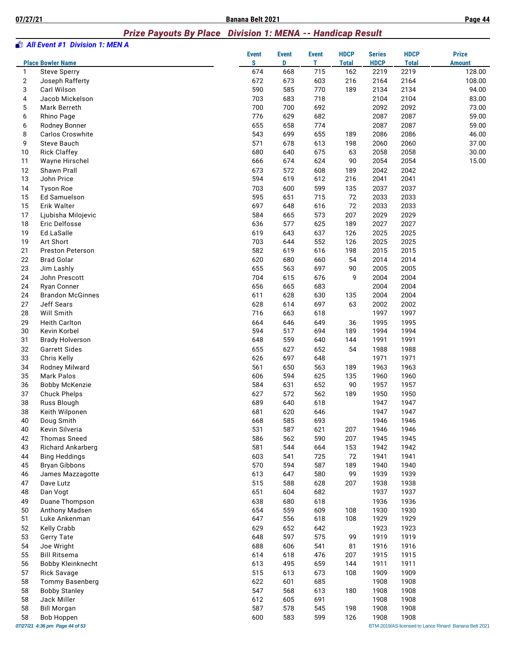#### *Prize Payouts By Place Division 1: MENA -- Handicap Result*

|              | <b>All Event #1 Division 1: MEN A</b> |                    |                   |                   |                             |                              |                             |                                                      |
|--------------|---------------------------------------|--------------------|-------------------|-------------------|-----------------------------|------------------------------|-----------------------------|------------------------------------------------------|
|              | <b>Place Bowler Name</b>              | <b>Event</b><br>S. | <b>Event</b><br>D | <b>Event</b><br>т | <b>HDCP</b><br><b>Total</b> | <b>Series</b><br><b>HDCP</b> | <b>HDCP</b><br><b>Total</b> | <b>Prize</b><br><b>Amount</b>                        |
| $\mathbf{1}$ | <b>Steve Sperry</b>                   | 674                | 668               | 715               | 162                         | 2219                         | 2219                        | 128.00                                               |
| $\mathbf{2}$ | Joseph Rafferty                       | 672                | 673               | 603               | 216                         | 2164                         | 2164                        | 108.00                                               |
| 3            | Carl Wilson                           | 590                | 585               | 770               | 189                         | 2134                         | 2134                        | 94.00                                                |
| 4            | Jacob Mickelson                       | 703                | 683               | 718               |                             | 2104                         | 2104                        | 83.00                                                |
| 5            | Mark Berreth                          | 700                | 700               | 692               |                             | 2092                         | 2092                        | 73.00                                                |
| 6            | Rhino Page                            | 776                | 629               | 682               |                             | 2087                         | 2087                        | 59.00                                                |
| 6            | Rodney Bonner                         | 655                | 658               | 774               |                             | 2087                         | 2087                        | 59.00                                                |
| 8            | Carlos Croswhite                      | 543                | 699               | 655               | 189                         | 2086                         | 2086                        | 46.00                                                |
| 9            | <b>Steve Bauch</b>                    | 571                | 678               | 613               | 198                         | 2060                         | 2060                        | 37.00                                                |
| 10           | <b>Rick Claffey</b>                   | 680                | 640               | 675               | 63                          | 2058                         | 2058                        | 30.00                                                |
| 11           | Wayne Hirschel                        | 666                | 674               | 624               | 90                          | 2054                         | 2054                        | 15.00                                                |
| 12           | Shawn Prall                           | 673                | 572               | 608               | 189                         | 2042                         | 2042                        |                                                      |
| 13           | John Price                            | 594                | 619               | 612               | 216                         | 2041                         | 2041                        |                                                      |
| 14           | <b>Tyson Roe</b>                      | 703                | 600               | 599               | 135                         | 2037                         | 2037                        |                                                      |
| 15<br>15     | Ed Samuelson                          | 595                | 651               | 715               | 72<br>72                    | 2033                         | 2033                        |                                                      |
|              | Erik Walter                           | 697                | 648               | 616               |                             | 2033                         | 2033                        |                                                      |
| 17<br>18     | Ljubisha Milojevic                    | 584                | 665<br>577        | 573               | 207<br>189                  | 2029                         | 2029                        |                                                      |
|              | Eric Delfosse                         | 636                |                   | 625               |                             | 2027                         | 2027                        |                                                      |
| 19<br>19     | Ed LaSalle                            | 619<br>703         | 643               | 637               | 126                         | 2025                         | 2025                        |                                                      |
| 21           | Art Short<br>Preston Peterson         | 582                | 644<br>619        | 552<br>616        | 126<br>198                  | 2025<br>2015                 | 2025<br>2015                |                                                      |
|              | <b>Brad Golar</b>                     |                    | 680               | 660               | 54                          |                              |                             |                                                      |
| 22<br>23     |                                       | 620<br>655         | 563               | 697               | 90                          | 2014<br>2005                 | 2014<br>2005                |                                                      |
| 24           | Jim Lashly<br>John Prescott           | 704                | 615               |                   | 9                           | 2004                         | 2004                        |                                                      |
| 24           | <b>Ryan Conner</b>                    | 656                | 665               | 676<br>683        |                             | 2004                         | 2004                        |                                                      |
| 24           | <b>Brandon McGinnes</b>               | 611                | 628               | 630               | 135                         | 2004                         | 2004                        |                                                      |
| 27           | Jeff Sears                            | 628                | 614               | 697               | 63                          | 2002                         | 2002                        |                                                      |
| 28           | Will Smith                            | 716                | 663               | 618               |                             | 1997                         | 1997                        |                                                      |
| 29           | <b>Heith Carlton</b>                  | 664                | 646               | 649               | 36                          | 1995                         | 1995                        |                                                      |
| 30           | Kevin Korbel                          | 594                | 517               | 694               | 189                         | 1994                         | 1994                        |                                                      |
| 31           | <b>Brady Holverson</b>                | 648                | 559               | 640               | 144                         | 1991                         | 1991                        |                                                      |
| 32           | <b>Garrett Sides</b>                  | 655                | 627               | 652               | 54                          | 1988                         | 1988                        |                                                      |
| 33           | Chris Kelly                           | 626                | 697               | 648               |                             | 1971                         | 1971                        |                                                      |
| 34           | Rodney Milward                        | 561                | 650               | 563               | 189                         | 1963                         | 1963                        |                                                      |
| 35           | <b>Mark Palos</b>                     | 606                | 594               | 625               | 135                         | 1960                         | 1960                        |                                                      |
| 36           | <b>Bobby McKenzie</b>                 | 584                | 631               | 652               | 90                          | 1957                         | 1957                        |                                                      |
| 37           | <b>Chuck Phelps</b>                   | 627                | 572               | 562               | 189                         | 1950                         | 1950                        |                                                      |
| 38           | Russ Blough                           | 689                | 640               | 618               |                             | 1947                         | 1947                        |                                                      |
| 38           | Keith Wilponen                        | 681                | 620               | 646               |                             | 1947                         | 1947                        |                                                      |
| 40           | Doug Smith                            | 668                | 585               | 693               |                             | 1946                         | 1946                        |                                                      |
| 40           | Kevin Silveria                        | 531                | 587               | 621               | 207                         | 1946                         | 1946                        |                                                      |
| 42           | <b>Thomas Sneed</b>                   | 586                | 562               | 590               | 207                         | 1945                         | 1945                        |                                                      |
| 43           | <b>Richard Ankarberg</b>              | 581                | 544               | 664               | 153                         | 1942                         | 1942                        |                                                      |
| 44           | <b>Bing Heddings</b>                  | 603                | 541               | 725               | 72                          | 1941                         | 1941                        |                                                      |
| 45           | <b>Bryan Gibbons</b>                  | 570                | 594               | 587               | 189                         | 1940                         | 1940                        |                                                      |
| 46           | James Mazzagotte                      | 613                | 647               | 580               | 99                          | 1939                         | 1939                        |                                                      |
| 47           | Dave Lutz                             | 515                | 588               | 628               | 207                         | 1938                         | 1938                        |                                                      |
| 48           | Dan Vogt                              | 651                | 604               | 682               |                             | 1937                         | 1937                        |                                                      |
| 49           | Duane Thompson                        | 638                | 680               | 618               |                             | 1936                         | 1936                        |                                                      |
| 50           | Anthony Madsen                        | 654                | 559               | 609               | 108                         | 1930                         | 1930                        |                                                      |
| 51           | Luke Ankenman                         | 647                | 556               | 618               | 108                         | 1929                         | 1929                        |                                                      |
| 52           | Kelly Crabb                           | 629                | 652               | 642               |                             | 1923                         | 1923                        |                                                      |
| 53           | Gerry Tate                            | 648                | 597               | 575               | 99                          | 1919                         | 1919                        |                                                      |
| 54           | Joe Wright                            | 688                | 606               | 541               | 81                          | 1916                         | 1916                        |                                                      |
| 55           | <b>Bill Ritsema</b>                   | 614                | 618               | 476               | 207                         | 1915                         | 1915                        |                                                      |
| 56           | <b>Bobby Kleinknecht</b>              | 613                | 495               | 659               | 144                         | 1911                         | 1911                        |                                                      |
| 57           | <b>Rick Savage</b>                    | 515                | 613               | 673               | 108                         | 1909                         | 1909                        |                                                      |
| 58           | Tommy Basenberg                       | 622                | 601               | 685               |                             | 1908                         | 1908                        |                                                      |
| 58           | <b>Bobby Stanley</b>                  | 547                | 568               | 613               | 180                         | 1908                         | 1908                        |                                                      |
| 58           | Jack Miller                           | 612                | 605               | 691               |                             | 1908                         | 1908                        |                                                      |
| 58           | <b>Bill Morgan</b>                    | 587                | 578               | 545               | 198                         | 1908                         | 1908                        |                                                      |
| 58           | <b>Bob Hoppen</b>                     | 600                | 583               | 599               | 126                         | 1908                         | 1908                        |                                                      |
|              | 07/27/21 4:36 pm Page 44 of 53        |                    |                   |                   |                             |                              |                             | BTM-2019/AS licensed to Lance Rinard Banana Belt 202 |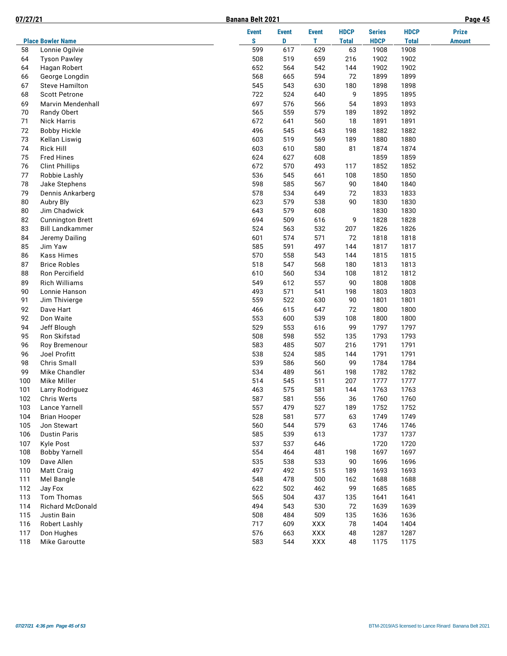|--|

| 07/27/21 |                                     | Banana Belt 2021 |              |              |                    |                     |                      | Page 45       |
|----------|-------------------------------------|------------------|--------------|--------------|--------------------|---------------------|----------------------|---------------|
|          |                                     | <b>Event</b>     | <b>Event</b> | <b>Event</b> | <b>HDCP</b>        | <b>Series</b>       | <b>HDCP</b>          | <b>Prize</b>  |
| 58       | <b>Place Bowler Name</b>            | S<br>599         | D<br>617     | T.<br>629    | <b>Total</b><br>63 | <b>HDCP</b><br>1908 | <b>Total</b><br>1908 | <b>Amount</b> |
|          | Lonnie Ogilvie                      |                  |              |              |                    |                     | 1902                 |               |
| 64<br>64 | <b>Tyson Pawley</b><br>Hagan Robert | 508<br>652       | 519<br>564   | 659<br>542   | 216<br>144         | 1902<br>1902        | 1902                 |               |
| 66       | George Longdin                      | 568              | 665          | 594          | 72                 | 1899                | 1899                 |               |
| 67       | <b>Steve Hamilton</b>               | 545              | 543          |              |                    | 1898                | 1898                 |               |
|          |                                     | 722              |              | 630          | 180                |                     |                      |               |
| 68       | <b>Scott Petrone</b>                |                  | 524          | 640          | 9                  | 1895                | 1895                 |               |
| 69       | Marvin Mendenhall                   | 697              | 576<br>559   | 566          | 54                 | 1893                | 1893                 |               |
| 70<br>71 | Randy Obert<br><b>Nick Harris</b>   | 565<br>672       | 641          | 579<br>560   | 189<br>18          | 1892<br>1891        | 1892<br>1891         |               |
|          |                                     |                  |              |              |                    |                     |                      |               |
| 72<br>73 | <b>Bobby Hickle</b>                 | 496              | 545          | 643<br>569   | 198                | 1882                | 1882                 |               |
|          | Kellan Liswig                       | 603              | 519          |              | 189                | 1880                | 1880                 |               |
| 74       | <b>Rick Hill</b>                    | 603              | 610          | 580          | 81                 | 1874                | 1874                 |               |
| 75       | <b>Fred Hines</b>                   | 624              | 627          | 608          |                    | 1859                | 1859                 |               |
| 76       | <b>Clint Phillips</b>               | 672              | 570          | 493          | 117                | 1852                | 1852                 |               |
| 77       | Robbie Lashly                       | 536              | 545          | 661          | 108                | 1850                | 1850                 |               |
| 78       | Jake Stephens                       | 598              | 585          | 567          | 90                 | 1840                | 1840                 |               |
| 79       | Dennis Ankarberg                    | 578              | 534          | 649          | 72                 | 1833                | 1833                 |               |
| 80       | Aubry Bly                           | 623              | 579          | 538          | 90                 | 1830                | 1830                 |               |
| 80       | Jim Chadwick                        | 643              | 579          | 608          |                    | 1830                | 1830                 |               |
| 82       | <b>Cunnington Brett</b>             | 694              | 509          | 616          | 9                  | 1828                | 1828                 |               |
| 83       | <b>Bill Landkammer</b>              | 524              | 563          | 532          | 207                | 1826                | 1826                 |               |
| 84       | Jeremy Dailing                      | 601              | 574          | 571          | 72                 | 1818                | 1818                 |               |
| 85       | Jim Yaw                             | 585              | 591          | 497          | 144                | 1817                | 1817                 |               |
| 86       | <b>Kass Himes</b>                   | 570              | 558          | 543          | 144                | 1815                | 1815                 |               |
| 87       | <b>Brice Robles</b>                 | 518              | 547          | 568          | 180                | 1813                | 1813                 |               |
| 88       | Ron Percifield                      | 610              | 560          | 534          | 108                | 1812                | 1812                 |               |
| 89       | Rich Williams                       | 549              | 612          | 557          | 90                 | 1808                | 1808                 |               |
| 90       | Lonnie Hanson                       | 493              | 571          | 541          | 198                | 1803                | 1803                 |               |
| 91       | Jim Thivierge                       | 559              | 522          | 630          | 90                 | 1801                | 1801                 |               |
| 92       | Dave Hart                           | 466              | 615          | 647          | 72                 | 1800                | 1800                 |               |
| 92       | Don Waite                           | 553              | 600          | 539          | 108                | 1800                | 1800                 |               |
| 94       | Jeff Blough                         | 529              | 553          | 616          | 99                 | 1797                | 1797                 |               |
| 95       | Ron Skifstad                        | 508              | 598          | 552          | 135                | 1793                | 1793                 |               |
| 96       | Roy Bremenour                       | 583              | 485          | 507          | 216                | 1791                | 1791                 |               |
| 96       | Joel Profitt                        | 538              | 524          | 585          | 144                | 1791                | 1791                 |               |
| 98       | Chris Small                         | 539              | 586          | 560          | 99                 | 1784                | 1784                 |               |
| 99       | Mike Chandler                       | 534              | 489          | 561          | 198                | 1782                | 1782                 |               |
| 100      | Mike Miller                         | 514              | 545          | 511          | 207                | 1777                | 1777                 |               |
| 101      | Larry Rodriguez                     | 463              | 575          | 581          | 144                | 1763                | 1763                 |               |
| 102      | Chris Werts                         | 587              | 581          | 556          | 36                 | 1760                | 1760                 |               |
| 103      | Lance Yarnell                       | 557              | 479          | 527          | 189                | 1752                | 1752                 |               |
| 104      | <b>Brian Hooper</b>                 | 528              | 581          | 577          | 63                 | 1749                | 1749                 |               |
| 105      | Jon Stewart                         | 560              | 544          | 579          | 63                 | 1746                | 1746                 |               |
| 106      | <b>Dustin Paris</b>                 | 585              | 539          | 613          |                    | 1737                | 1737                 |               |
| 107      | <b>Kyle Post</b>                    | 537              | 537          | 646          |                    | 1720                | 1720                 |               |
| 108      | <b>Bobby Yarnell</b>                | 554              | 464          | 481          | 198                | 1697                | 1697                 |               |
| 109      | Dave Allen                          | 535              | 538          | 533          | 90                 | 1696                | 1696                 |               |
| 110      | Matt Craig                          | 497              | 492          | 515          | 189                | 1693                | 1693                 |               |
| 111      | Mel Bangle                          | 548              | 478          | 500          | 162                | 1688                | 1688                 |               |
| 112      | Jay Fox                             | 622              | 502          | 462          | 99                 | 1685                | 1685                 |               |
| 113      | Tom Thomas                          | 565              | 504          | 437          | 135                | 1641                | 1641                 |               |
| 114      | Richard McDonald                    | 494              | 543          | 530          | 72                 | 1639                | 1639                 |               |
| 115      | Justin Bain                         | 508              | 484          | 509          | 135                | 1636                | 1636                 |               |
| 116      | Robert Lashly                       | 717              | 609          | <b>XXX</b>   | 78                 | 1404                | 1404                 |               |
| 117      | Don Hughes                          | 576              | 663          | XXX          | 48                 | 1287                | 1287                 |               |
| 118      | Mike Garoutte                       | 583              | 544          | XXX          | 48                 | 1175                | 1175                 |               |
|          |                                     |                  |              |              |                    |                     |                      |               |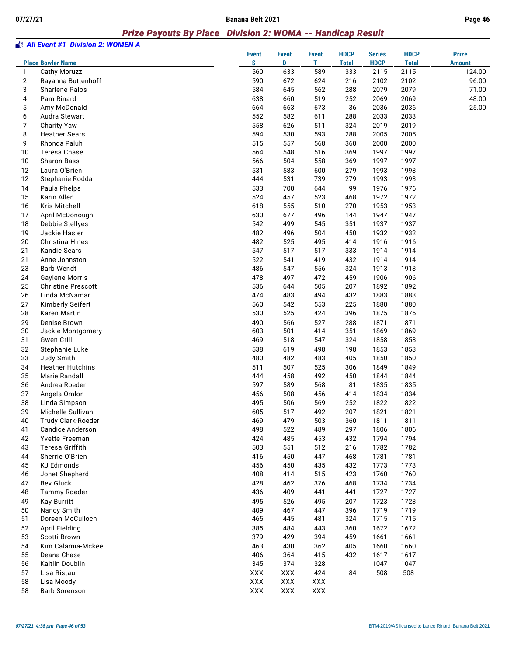#### *Prize Payouts By Place Division 2: WOMA -- Handicap Result*

|                | <b>All Event #1 Division 2: WOMEN A</b> |                   |                   |                   |                             |                              |                             |                               |
|----------------|-----------------------------------------|-------------------|-------------------|-------------------|-----------------------------|------------------------------|-----------------------------|-------------------------------|
|                | <b>Place Bowler Name</b>                | <b>Event</b><br>S | <b>Event</b><br>D | <b>Event</b><br>т | <b>HDCP</b><br><b>Total</b> | <b>Series</b><br><b>HDCP</b> | <b>HDCP</b><br><b>Total</b> | <b>Prize</b><br><b>Amount</b> |
| 1              | Cathy Moruzzi                           | 560               | 633               | 589               | 333                         | 2115                         | 2115                        | 124.00                        |
| $\overline{2}$ | Rayanna Buttenhoff                      | 590               | 672               | 624               | 216                         | 2102                         | 2102                        | 96.00                         |
| 3              | <b>Sharlene Palos</b>                   | 584               | 645               | 562               | 288                         | 2079                         | 2079                        | 71.00                         |
| 4              | Pam Rinard                              | 638               | 660               | 519               | 252                         | 2069                         | 2069                        | 48.00                         |
| 5              | Amy McDonald                            | 664               | 663               | 673               | 36                          | 2036                         | 2036                        | 25.00                         |
| 6              | Audra Stewart                           | 552               | 582               | 611               | 288                         | 2033                         | 2033                        |                               |
| 7              | <b>Charity Yaw</b>                      | 558               | 626               | 511               | 324                         | 2019                         | 2019                        |                               |
| 8              | <b>Heather Sears</b>                    | 594               | 530               | 593               | 288                         | 2005                         | 2005                        |                               |
| 9              | Rhonda Paluh                            | 515               | 557               | 568               | 360                         | 2000                         | 2000                        |                               |
| 10             | Teresa Chase                            | 564               | 548               | 516               | 369                         | 1997                         | 1997                        |                               |
| 10             | Sharon Bass                             | 566               | 504               | 558               | 369                         | 1997                         | 1997                        |                               |
| 12             | Laura O'Brien                           | 531               | 583               | 600               | 279                         | 1993                         | 1993                        |                               |
| 12             | Stephanie Rodda                         | 444               | 531               | 739               | 279                         | 1993                         | 1993                        |                               |
| 14             | Paula Phelps                            | 533               | 700               | 644               | 99                          | 1976                         | 1976                        |                               |
| 15             | Karin Allen                             | 524               | 457               | 523               | 468                         | 1972                         | 1972                        |                               |
| 16             | Kris Mitchell                           | 618               | 555               | 510               | 270                         | 1953                         | 1953                        |                               |
| 17             | April McDonough                         | 630               | 677               | 496               | 144                         | 1947                         | 1947                        |                               |
| 18             | Debbie Stellyes                         | 542               | 499               | 545               | 351                         | 1937                         | 1937                        |                               |
| 19             | Jackie Hasler                           | 482               | 496               | 504               | 450                         | 1932                         | 1932                        |                               |
| 20             | Christina Hines                         | 482               | 525               | 495               | 414                         | 1916                         | 1916                        |                               |
| 21             | Kandie Sears                            | 547               | 517               | 517               | 333                         | 1914                         | 1914                        |                               |
| 21             | Anne Johnston                           | 522               | 541               | 419               | 432                         | 1914                         | 1914                        |                               |
| 23             | <b>Barb Wendt</b>                       | 486               | 547               | 556               | 324                         | 1913                         | 1913                        |                               |
| 24             | <b>Gaylene Morris</b>                   | 478               | 497               | 472               | 459                         | 1906                         | 1906                        |                               |
| 25             | <b>Christine Prescott</b>               | 536               | 644               | 505               | 207                         | 1892                         | 1892                        |                               |
| 26             | Linda McNamar                           | 474               | 483               | 494               | 432                         | 1883                         | 1883                        |                               |
| 27             | Kimberly Seifert                        | 560               | 542               | 553               | 225                         | 1880                         | 1880                        |                               |
| 28             | Karen Martin                            | 530               | 525               | 424               | 396                         | 1875                         | 1875                        |                               |
| 29             | Denise Brown                            | 490               | 566               | 527               | 288                         | 1871                         | 1871                        |                               |
| 30             | Jackie Montgomery                       | 603               | 501               | 414               | 351                         | 1869                         | 1869                        |                               |
| 31             | <b>Gwen Crill</b>                       | 469               | 518               | 547               | 324                         | 1858                         | 1858                        |                               |
| 32             | Stephanie Luke                          | 538               | 619               | 498               | 198                         | 1853                         | 1853                        |                               |
| 33             | Judy Smith                              | 480               | 482               | 483               | 405                         | 1850                         | 1850                        |                               |
| 34             | <b>Heather Hutchins</b>                 | 511               | 507               | 525               | 306                         | 1849                         | 1849                        |                               |
| 35             | Marie Randall                           | 444               | 458               | 492               | 450                         | 1844                         | 1844                        |                               |
| 36             | Andrea Roeder                           | 597               | 589               | 568               | 81                          | 1835                         | 1835                        |                               |
| 37             | Angela Omlor                            | 456               | 508               | 456               | 414                         | 1834                         | 1834                        |                               |
| 38             | Linda Simpson                           | 495               | 506               | 569               | 252                         | 1822                         | 1822                        |                               |
| 39             | Michelle Sullivan                       | 605               | 517               | 492               | 207                         | 1821                         | 1821                        |                               |
| 40             | Trudy Clark-Roeder                      | 469               | 479               | 503               | 360                         | 1811                         | 1811                        |                               |
| 41             | <b>Candice Anderson</b>                 | 498               | 522               | 489               | 297                         | 1806                         | 1806                        |                               |
| 42             | Yvette Freeman                          | 424               | 485               | 453               | 432                         | 1794                         | 1794                        |                               |
| 43             | Teresa Griffith                         | 503               | 551               | 512               | 216                         | 1782                         | 1782                        |                               |
| 44             | Sherrie O'Brien                         | 416               | 450               | 447               | 468                         | 1781                         | 1781                        |                               |
| 45<br>46       | <b>KJ Edmonds</b>                       | 456               | 450               | 435               | 432                         | 1773                         | 1773                        |                               |
|                | Jonet Shepherd                          | 408               | 414               | 515               | 423                         | 1760                         | 1760                        |                               |
| 47             | <b>Bev Gluck</b>                        | 428               | 462               | 376               | 468                         | 1734                         | 1734                        |                               |
| 48             | <b>Tammy Roeder</b>                     | 436               | 409               | 441               | 441                         | 1727                         | 1727                        |                               |
| 49             | <b>Kay Burritt</b>                      | 495               | 526               | 495               | 207                         | 1723                         | 1723                        |                               |
| 50             | Nancy Smith                             | 409               | 467               | 447               | 396                         | 1719                         | 1719                        |                               |
| 51             | Doreen McCulloch                        | 465               | 445               | 481               | 324                         | 1715                         | 1715                        |                               |
| 52             | <b>April Fielding</b>                   | 385               | 484               | 443               | 360                         | 1672                         | 1672                        |                               |
| 53             | Scotti Brown                            | 379               | 429               | 394               | 459                         | 1661                         | 1661                        |                               |
| 54             | Kim Calamia-Mckee                       | 463               | 430               | 362               | 405                         | 1660                         | 1660                        |                               |
| 55             | Deana Chase                             | 406               | 364               | 415               | 432                         | 1617                         | 1617                        |                               |
| 56             | Kaitlin Doublin                         | 345               | 374               | 328               |                             | 1047                         | 1047                        |                               |
| 57             | Lisa Ristau                             | XXX               | XXX               | 424               | 84                          | 508                          | 508                         |                               |
| 58             | Lisa Moody                              | XXX               | XXX               | XXX               |                             |                              |                             |                               |
| 58             | <b>Barb Sorenson</b>                    | XXX               | XXX               | XXX               |                             |                              |                             |                               |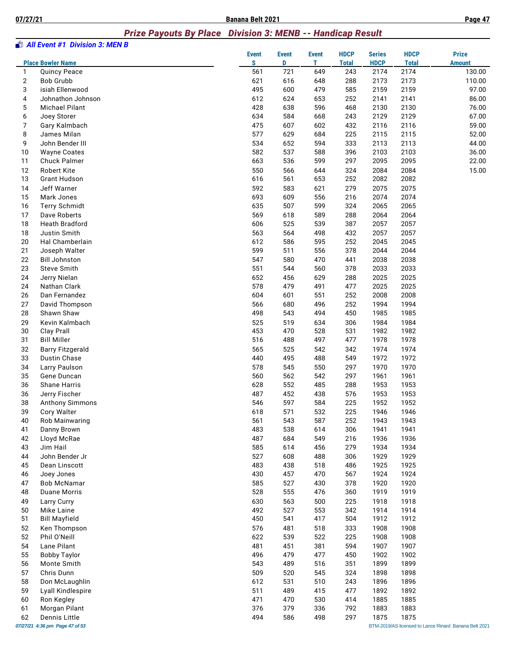#### *Prize Payouts By Place Division 3: MENB -- Handicap Result*

|                | <b>All Event #1 Division 3: MEN B</b>     |                   |                   |                   |                             |                              |                             |                                                       |
|----------------|-------------------------------------------|-------------------|-------------------|-------------------|-----------------------------|------------------------------|-----------------------------|-------------------------------------------------------|
|                | <b>Place Bowler Name</b>                  | <b>Event</b><br>S | <b>Event</b><br>D | <b>Event</b><br>т | <b>HDCP</b><br><b>Total</b> | <b>Series</b><br><b>HDCP</b> | <b>HDCP</b><br><b>Total</b> | <b>Prize</b><br><b>Amount</b>                         |
| 1              | <b>Quincy Peace</b>                       | 561               | 721               | 649               | 243                         | 2174                         | 2174                        | 130.00                                                |
| $\overline{2}$ | <b>Bob Grubb</b>                          | 621               | 616               | 648               | 288                         | 2173                         | 2173                        | 110.00                                                |
| 3              | isiah Ellenwood                           | 495               | 600               | 479               | 585                         | 2159                         | 2159                        | 97.00                                                 |
| 4              | Johnathon Johnson                         | 612               | 624               | 653               | 252                         | 2141                         | 2141                        | 86.00                                                 |
| 5              | <b>Michael Pilant</b>                     | 428               | 638               | 596               | 468                         | 2130                         | 2130                        | 76.00                                                 |
| 6              | Joey Storer                               | 634               | 584               | 668               | 243                         | 2129                         | 2129                        | 67.00                                                 |
| 7              | Gary Kalmbach                             | 475               | 607               | 602               | 432                         | 2116                         | 2116                        | 59.00                                                 |
| 8              | James Milan                               | 577               | 629               | 684               | 225                         | 2115                         | 2115                        | 52.00                                                 |
| 9              | John Bender III                           | 534               | 652               | 594               | 333                         | 2113                         | 2113                        | 44.00                                                 |
| 10             | <b>Wayne Coates</b>                       | 582               | 537               | 588               | 396<br>297                  | 2103                         | 2103                        | 36.00                                                 |
| 11             | Chuck Palmer                              | 663               | 536               | 599               |                             | 2095                         | 2095                        | 22.00                                                 |
| 12<br>13       | <b>Robert Kite</b><br><b>Grant Hudson</b> | 550<br>616        | 566<br>561        | 644<br>653        | 324<br>252                  | 2084<br>2082                 | 2084<br>2082                | 15.00                                                 |
| 14             | Jeff Warner                               | 592               | 583               | 621               | 279                         | 2075                         | 2075                        |                                                       |
| 15             | Mark Jones                                | 693               | 609               | 556               | 216                         | 2074                         | 2074                        |                                                       |
| 16             | <b>Terry Schmidt</b>                      | 635               | 507               | 599               | 324                         | 2065                         | 2065                        |                                                       |
| 17             | Dave Roberts                              | 569               | 618               | 589               | 288                         | 2064                         | 2064                        |                                                       |
| 18             | <b>Heath Bradford</b>                     | 606               | 525               | 539               | 387                         | 2057                         | 2057                        |                                                       |
| 18             | Justin Smith                              | 563               | 564               | 498               | 432                         | 2057                         | 2057                        |                                                       |
| 20             | Hal Chamberlain                           | 612               | 586               | 595               | 252                         | 2045                         | 2045                        |                                                       |
| 21             | Joseph Walter                             | 599               | 511               | 556               | 378                         | 2044                         | 2044                        |                                                       |
| 22             | <b>Bill Johnston</b>                      | 547               | 580               | 470               | 441                         | 2038                         | 2038                        |                                                       |
| 23             | Steve Smith                               | 551               | 544               | 560               | 378                         | 2033                         | 2033                        |                                                       |
| 24             | Jerry Nielan                              | 652               | 456               | 629               | 288                         | 2025                         | 2025                        |                                                       |
| 24             | Nathan Clark                              | 578               | 479               | 491               | 477                         | 2025                         | 2025                        |                                                       |
| 26             | Dan Fernandez                             | 604               | 601               | 551               | 252                         | 2008                         | 2008                        |                                                       |
| 27             | David Thompson                            | 566               | 680               | 496               | 252                         | 1994                         | 1994                        |                                                       |
| 28             | Shawn Shaw                                | 498               | 543               | 494               | 450                         | 1985                         | 1985                        |                                                       |
| 29             | Kevin Kalmbach                            | 525               | 519               | 634               | 306                         | 1984                         | 1984                        |                                                       |
| 30             | Clay Prall                                | 453               | 470               | 528               | 531                         | 1982                         | 1982                        |                                                       |
| 31             | <b>Bill Miller</b>                        | 516               | 488               | 497               | 477                         | 1978                         | 1978                        |                                                       |
| 32             | <b>Barry Fitzgerald</b>                   | 565               | 525               | 542               | 342                         | 1974                         | 1974                        |                                                       |
| 33             | Dustin Chase                              | 440               | 495               | 488               | 549                         | 1972                         | 1972                        |                                                       |
| 34             | Larry Paulson                             | 578               | 545               | 550               | 297                         | 1970                         | 1970                        |                                                       |
| 35             | Gene Duncan                               | 560               | 562               | 542               | 297                         | 1961                         | 1961                        |                                                       |
| 36             | <b>Shane Harris</b>                       | 628               | 552               | 485               | 288                         | 1953                         | 1953                        |                                                       |
| 36             | Jerry Fischer                             | 487               | 452               | 438               | 576                         | 1953                         | 1953                        |                                                       |
| 38             | <b>Anthony Simmons</b>                    | 546               | 597               | 584               | 225                         | 1952                         | 1952                        |                                                       |
| 39             | Cory Walter                               | 618               | 571               | 532               | 225                         | 1946                         | 1946                        |                                                       |
| 40             | Rob Mainwaring                            | 561               | 543               | 587               | 252                         | 1943                         | 1943                        |                                                       |
| 41             | Danny Brown                               | 483               | 538               | 614               | 306                         | 1941                         | 1941                        |                                                       |
| 42<br>43       | Lloyd McRae<br>Jim Hail                   | 487<br>585        | 684<br>614        | 549<br>456        | 216<br>279                  | 1936<br>1934                 | 1936<br>1934                |                                                       |
| 44             | John Bender Jr                            | 527               |                   |                   |                             |                              |                             |                                                       |
| 45             | Dean Linscott                             | 483               | 608<br>438        | 488<br>518        | 306<br>486                  | 1929<br>1925                 | 1929<br>1925                |                                                       |
| 46             | Joey Jones                                | 430               | 457               | 470               | 567                         | 1924                         | 1924                        |                                                       |
| 47             | Bob McNamar                               | 585               | 527               | 430               | 378                         | 1920                         | 1920                        |                                                       |
| 48             | <b>Duane Morris</b>                       | 528               | 555               | 476               | 360                         | 1919                         | 1919                        |                                                       |
| 49             | Larry Curry                               | 630               | 563               | 500               | 225                         | 1918                         | 1918                        |                                                       |
| 50             | Mike Laine                                | 492               | 527               | 553               | 342                         | 1914                         | 1914                        |                                                       |
| 51             | <b>Bill Mayfield</b>                      | 450               | 541               | 417               | 504                         | 1912                         | 1912                        |                                                       |
| 52             | Ken Thompson                              | 576               | 481               | 518               | 333                         | 1908                         | 1908                        |                                                       |
| 52             | Phil O'Neill                              | 622               | 539               | 522               | 225                         | 1908                         | 1908                        |                                                       |
| 54             | Lane Pilant                               | 481               | 451               | 381               | 594                         | 1907                         | 1907                        |                                                       |
| 55             | <b>Bobby Taylor</b>                       | 496               | 479               | 477               | 450                         | 1902                         | 1902                        |                                                       |
| 56             | Monte Smith                               | 543               | 489               | 516               | 351                         | 1899                         | 1899                        |                                                       |
| 57             | Chris Dunn                                | 509               | 520               | 545               | 324                         | 1898                         | 1898                        |                                                       |
| 58             | Don McLaughlin                            | 612               | 531               | 510               | 243                         | 1896                         | 1896                        |                                                       |
| 59             | Lyall Kindlespire                         | 511               | 489               | 415               | 477                         | 1892                         | 1892                        |                                                       |
| 60             | Ron Kegley                                | 471               | 470               | 530               | 414                         | 1885                         | 1885                        |                                                       |
| 61             | Morgan Pilant                             | 376               | 379               | 336               | 792                         | 1883                         | 1883                        |                                                       |
| 62             | Dennis Little                             | 494               | 586               | 498               | 297                         | 1875                         | 1875                        |                                                       |
|                | 07/27/21 4:36 pm Page 47 of 53            |                   |                   |                   |                             |                              |                             | BTM-2019/AS licensed to Lance Rinard Banana Belt 2021 |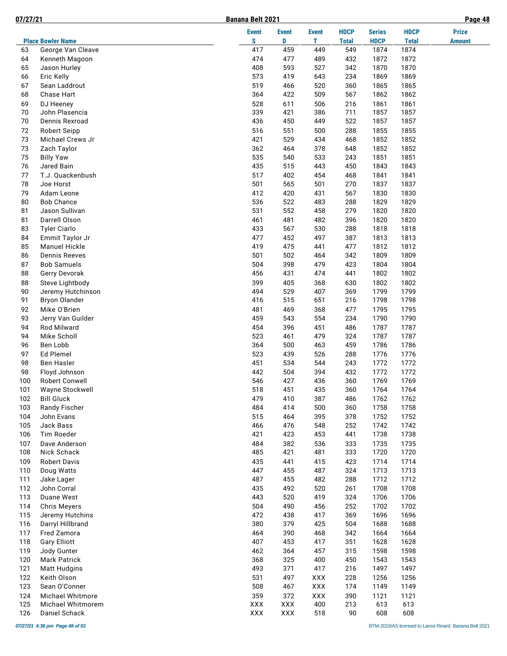**07/27/21 Banana Belt 2021 Page 48**

|--|

|     |                          | <b>Event</b> | <b>Event</b> | <b>Event</b> | <b>HDCP</b>  | <b>Series</b> | <b>HDCP</b>  | <b>Prize</b>  |
|-----|--------------------------|--------------|--------------|--------------|--------------|---------------|--------------|---------------|
|     | <b>Place Bowler Name</b> | S            | D            | т            | <b>Total</b> | <b>HDCP</b>   | <b>Total</b> | <b>Amount</b> |
| 63  | George Van Cleave        | 417          | 459          | 449          | 549          | 1874          | 1874         |               |
| 64  | Kenneth Magoon           | 474          | 477          | 489          | 432          | 1872          | 1872         |               |
| 65  | Jason Hurley             | 408          | 593          | 527          | 342          | 1870          | 1870         |               |
| 66  | Eric Kelly               | 573          | 419          | 643          | 234          | 1869          | 1869         |               |
| 67  | Sean Laddrout            | 519          | 466          | 520          | 360          | 1865          | 1865         |               |
| 68  | Chase Hart               | 364          | 422          | 509          | 567          | 1862          | 1862         |               |
| 69  | DJ Heeney                | 528          | 611          | 506          | 216          | 1861          | 1861         |               |
| 70  | John Plasencia           | 339          | 421          | 386          | 711          | 1857          | 1857         |               |
| 70  | Dennis Rexroad           | 436          | 450          | 449          | 522          | 1857          | 1857         |               |
| 72  | <b>Robert Seipp</b>      | 516          | 551          | 500          | 288          | 1855          | 1855         |               |
| 73  | Michael Crews Jr         | 421          | 529          | 434          | 468          | 1852          | 1852         |               |
| 73  | Zach Taylor              | 362          | 464          | 378          | 648          | 1852          | 1852         |               |
| 75  | <b>Billy Yaw</b>         | 535          | 540          | 533          | 243          | 1851          | 1851         |               |
| 76  | Jared Bain               | 435          | 515          | 443          | 450          | 1843          | 1843         |               |
| 77  | T.J. Quackenbush         | 517          | 402          | 454          | 468          | 1841          | 1841         |               |
| 78  | Joe Horst                | 501          | 565          | 501          | 270          | 1837          | 1837         |               |
| 79  | Adam Leone               | 412          | 420          | 431          | 567          | 1830          | 1830         |               |
| 80  | <b>Bob Chance</b>        | 536          | 522          | 483          | 288          | 1829          | 1829         |               |
| 81  | Jason Sullivan           | 531          | 552          | 458          | 279          | 1820          | 1820         |               |
| 81  | Darrell Olson            | 461          | 481          | 482          | 396          | 1820          | 1820         |               |
| 83  | <b>Tyler Ciarlo</b>      | 433          | 567          | 530          | 288          | 1818          | 1818         |               |
| 84  | Emmit Taylor Jr          | 477          | 452          | 497          | 387          | 1813          | 1813         |               |
| 85  | <b>Manuel Hickle</b>     | 419          | 475          | 441          | 477          | 1812          | 1812         |               |
| 86  | <b>Dennis Reeves</b>     | 501          | 502          | 464          | 342          | 1809          | 1809         |               |
| 87  | <b>Bob Samuels</b>       | 504          | 398          | 479          | 423          | 1804          | 1804         |               |
| 88  | Gerry Devorak            | 456          | 431          | 474          | 441          | 1802          | 1802         |               |
| 88  | Steve Lightbody          | 399          | 405          | 368          | 630          | 1802          | 1802         |               |
| 90  | Jeremy Hutchinson        | 494          | 529          | 407          | 369          | 1799          | 1799         |               |
| 91  | <b>Bryon Olander</b>     | 416          | 515          | 651          | 216          | 1798          | 1798         |               |
| 92  | Mike O'Brien             | 481          | 469          | 368          | 477          | 1795          | 1795         |               |
| 93  | Jerry Van Guilder        | 459          | 543          | 554          | 234          | 1790          | 1790         |               |
| 94  | Rod Milward              | 454          | 396          | 451          | 486          | 1787          | 1787         |               |
| 94  | Mike Scholl              | 523          | 461          | 479          | 324          | 1787          | 1787         |               |
| 96  | Ben Lobb                 | 364          | 500          | 463          | 459          | 1786          | 1786         |               |
| 97  | Ed Plemel                | 523          | 439          | 526          | 288          | 1776          | 1776         |               |
| 98  | <b>Ben Hasler</b>        | 451          | 534          | 544          | 243          | 1772          | 1772         |               |
| 98  | Floyd Johnson            | 442          | 504          | 394          | 432          | 1772          | 1772         |               |
| 100 | Robert Conwell           | 546          | 427          | 436          | 360          | 1769          | 1769         |               |
| 101 | Wayne Stockwell          | 518          | 451          | 435          | 360          | 1764          | 1764         |               |
| 102 | <b>Bill Gluck</b>        | 479          | 410          | 387          | 486          | 1762          | 1762         |               |
| 103 | Randy Fischer            | 484          | 414          | 500          | 360          | 1758          | 1758         |               |
| 104 | John Evans               | 515          | 464          | 395          | 378          | 1752          | 1752         |               |
| 105 | Jack Bass                | 466          | 476          | 548          | 252          | 1742          | 1742         |               |
| 106 | Tim Roeder               | 421          | 423          | 453          | 441          | 1738          | 1738         |               |
| 107 | Dave Anderson            | 484          | 382          | 536          | 333          | 1735          | 1735         |               |
| 108 | Nick Schack              | 485          | 421          | 481          | 333          | 1720          | 1720         |               |
| 109 | <b>Robert Davis</b>      | 435          | 441          | 415          | 423          | 1714          | 1714         |               |
| 110 | Doug Watts               | 447          | 455          | 487          | 324          | 1713          | 1713         |               |
| 111 | Jake Lager               | 487          | 455          | 482          | 288          | 1712          | 1712         |               |
| 112 | John Corral              | 435          | 492          | 520          | 261          | 1708          | 1708         |               |
| 113 | Duane West               | 443          | 520          | 419          | 324          | 1706          | 1706         |               |
| 114 | <b>Chris Meyers</b>      | 504          | 490          | 456          | 252          | 1702          | 1702         |               |
| 115 | Jeremy Hutchins          | 472          | 438          | 417          | 369          | 1696          | 1696         |               |
| 116 | Darryl Hillbrand         | 380          | 379          | 425          | 504          | 1688          | 1688         |               |
| 117 | Fred Zamora              | 464          | 390          | 468          | 342          | 1664          | 1664         |               |
| 118 | <b>Gary Elliott</b>      | 407          | 453          | 417          | 351          | 1628          | 1628         |               |
| 119 | Jody Gunter              | 462          | 364          | 457          | 315          | 1598          | 1598         |               |
| 120 | <b>Mark Patrick</b>      | 368          | 325          | 400          | 450          | 1543          | 1543         |               |
| 121 | <b>Matt Hudgins</b>      | 493          | 371          | 417          | 216          | 1497          | 1497         |               |
| 122 | Keith Olson              | 531          | 497          | <b>XXX</b>   | 228          | 1256          | 1256         |               |
| 123 | Sean O'Conner            | 508          | 467          | <b>XXX</b>   | 174          | 1149          | 1149         |               |
| 124 | Michael Whitmore         | 359          | 372          | <b>XXX</b>   | 390          | 1121          | 1121         |               |
| 125 | Michael Whitmorem        | XXX          | <b>XXX</b>   | 400          | 213          | 613           | 613          |               |
| 126 | Daniel Schack            | XXX          | XXX          | 518          | 90           | 608           | 608          |               |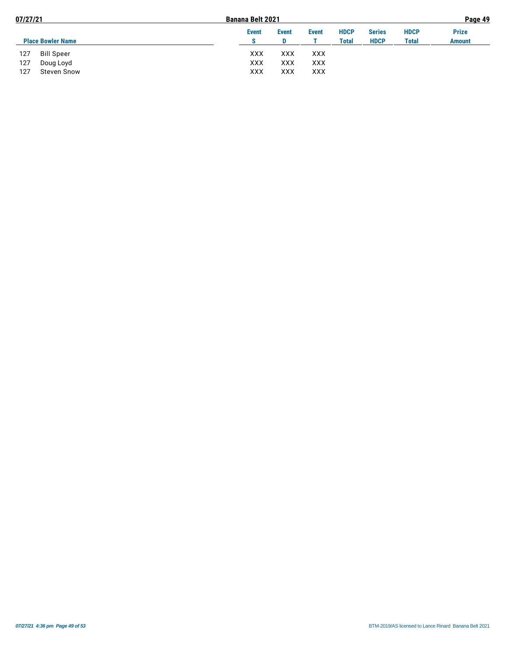| 07/27/21                  | <b>Banana Belt 2021</b> |              |              |             |               |              | Page 49       |
|---------------------------|-------------------------|--------------|--------------|-------------|---------------|--------------|---------------|
|                           | <b>Event</b>            | <b>Event</b> | <b>Event</b> | <b>HDCP</b> | <b>Series</b> | <b>HDCP</b>  | <b>Prize</b>  |
| <b>Place Bowler Name</b>  |                         |              |              | Total       | <b>HDCP</b>   | <b>Total</b> | <b>Amount</b> |
| <b>Bill Speer</b><br>127  | xxx                     | xxx          | xxx          |             |               |              |               |
| 127<br>Doug Loyd          | XXX                     | XXX          | XXX          |             |               |              |               |
| 127<br><b>Steven Snow</b> | XXX                     | xxx          | xxx          |             |               |              |               |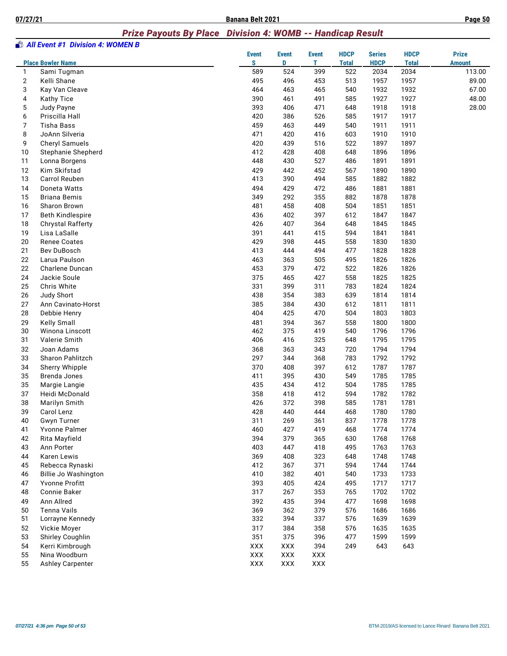#### *Prize Payouts By Place Division 4: WOMB -- Handicap Result*

|    | <b>All Event #1 Division 4: WOMEN B</b>  |                   |                   |                   |                             |                              |                             |                               |
|----|------------------------------------------|-------------------|-------------------|-------------------|-----------------------------|------------------------------|-----------------------------|-------------------------------|
|    | <b>Place Bowler Name</b>                 | <b>Event</b><br>s | <b>Event</b><br>D | <b>Event</b><br>T | <b>HDCP</b><br><b>Total</b> | <b>Series</b><br><b>HDCP</b> | <b>HDCP</b><br><b>Total</b> | <b>Prize</b><br><b>Amount</b> |
| 1  | Sami Tugman                              | 589               | 524               | 399               | 522                         | 2034                         | 2034                        | 113.00                        |
| 2  | Kelli Shane                              | 495               | 496               | 453               | 513                         | 1957                         | 1957                        | 89.00                         |
| 3  | Kay Van Cleave                           | 464               | 463               | 465               | 540                         | 1932                         | 1932                        | 67.00                         |
| 4  | Kathy Tice                               | 390               | 461               | 491               | 585                         | 1927                         | 1927                        | 48.00                         |
| 5  | Judy Payne                               | 393               | 406               | 471               | 648                         | 1918                         | 1918                        | 28.00                         |
| 6  | Priscilla Hall                           | 420               | 386               | 526               | 585                         | 1917                         | 1917                        |                               |
| 7  | <b>Tisha Bass</b>                        | 459               | 463               | 449               | 540                         | 1911                         | 1911                        |                               |
| 8  | JoAnn Silveria                           | 471               | 420               | 416               | 603                         | 1910                         | 1910                        |                               |
| 9  | Cheryl Samuels                           | 420               | 439               | 516               | 522                         | 1897                         | 1897                        |                               |
| 10 | <b>Stephanie Shepherd</b>                | 412               | 428               | 408               | 648                         | 1896                         | 1896                        |                               |
| 11 | Lonna Borgens                            | 448               | 430               | 527               | 486                         | 1891                         | 1891                        |                               |
| 12 | Kim Skifstad                             | 429               | 442               | 452               | 567                         | 1890                         | 1890                        |                               |
| 13 | Carrol Reuben                            | 413               | 390               | 494               | 585                         | 1882                         | 1882                        |                               |
| 14 | Doneta Watts                             | 494               | 429               | 472               | 486                         | 1881                         | 1881                        |                               |
| 15 | <b>Briana Bemis</b>                      | 349               | 292               | 355               | 882                         | 1878                         | 1878                        |                               |
| 16 | Sharon Brown                             | 481               | 458               | 408               | 504                         | 1851                         | 1851                        |                               |
| 17 | <b>Beth Kindlespire</b>                  | 436               | 402               | 397               | 612                         | 1847                         | 1847                        |                               |
| 18 |                                          | 426               | 407               | 364               | 648                         | 1845                         | 1845                        |                               |
|    | <b>Chrystal Rafferty</b><br>Lisa LaSalle |                   |                   |                   |                             |                              |                             |                               |
| 19 |                                          | 391               | 441               | 415               | 594                         | 1841                         | 1841                        |                               |
| 20 | <b>Renee Coates</b>                      | 429               | 398               | 445               | 558                         | 1830                         | 1830                        |                               |
| 21 | Bev DuBosch                              | 413               | 444               | 494               | 477                         | 1828                         | 1828                        |                               |
| 22 | Larua Paulson                            | 463               | 363               | 505               | 495                         | 1826                         | 1826                        |                               |
| 22 | Charlene Duncan                          | 453               | 379               | 472               | 522                         | 1826                         | 1826                        |                               |
| 24 | Jackie Soule                             | 375               | 465               | 427               | 558                         | 1825                         | 1825                        |                               |
| 25 | Chris White                              | 331               | 399               | 311               | 783                         | 1824                         | 1824                        |                               |
| 26 | Judy Short                               | 438               | 354               | 383               | 639                         | 1814                         | 1814                        |                               |
| 27 | Ann Cavinato-Horst                       | 385               | 384               | 430               | 612                         | 1811                         | 1811                        |                               |
| 28 | Debbie Henry                             | 404               | 425               | 470               | 504                         | 1803                         | 1803                        |                               |
| 29 | Kelly Small                              | 481               | 394               | 367               | 558                         | 1800                         | 1800                        |                               |
| 30 | Winona Linscott                          | 462               | 375               | 419               | 540                         | 1796                         | 1796                        |                               |
| 31 | Valerie Smith                            | 406               | 416               | 325               | 648                         | 1795                         | 1795                        |                               |
| 32 | Joan Adams                               | 368               | 363               | 343               | 720                         | 1794                         | 1794                        |                               |
| 33 | Sharon Pahlitzch                         | 297               | 344               | 368               | 783                         | 1792                         | 1792                        |                               |
| 34 | Sherry Whipple                           | 370               | 408               | 397               | 612                         | 1787                         | 1787                        |                               |
| 35 | Brenda Jones                             | 411               | 395               | 430               | 549                         | 1785                         | 1785                        |                               |
| 35 | Margie Langie                            | 435               | 434               | 412               | 504                         | 1785                         | 1785                        |                               |
| 37 | Heidi McDonald                           | 358               | 418               | 412               | 594                         | 1782                         | 1782                        |                               |
| 38 | Marilyn Smith                            | 426               | 372               | 398               | 585                         | 1781                         | 1781                        |                               |
| 39 | Carol Lenz                               | 428               | 440               | 444               | 468                         | 1780                         | 1780                        |                               |
| 40 | <b>Gwyn Turner</b>                       | 311               | 269               | 361               | 837                         | 1778                         | 1778                        |                               |
| 41 | Yvonne Palmer                            | 460               | 427               | 419               | 468                         | 1774                         | 1774                        |                               |
| 42 | Rita Mayfield                            | 394               | 379               | 365               | 630                         | 1768                         | 1768                        |                               |
| 43 | Ann Porter                               | 403               | 447               | 418               | 495                         | 1763                         | 1763                        |                               |
| 44 | Karen Lewis                              | 369               | 408               | 323               | 648                         | 1748                         | 1748                        |                               |
| 45 | Rebecca Rynaski                          | 412               | 367               | 371               | 594                         | 1744                         | 1744                        |                               |
| 46 | Billie Jo Washington                     | 410               | 382               | 401               | 540                         | 1733                         | 1733                        |                               |
| 47 | Yvonne Profitt                           | 393               | 405               | 424               | 495                         | 1717                         | 1717                        |                               |
| 48 | Connie Baker                             | 317               | 267               | 353               | 765                         | 1702                         | 1702                        |                               |
| 49 | Ann Allred                               | 392               | 435               | 394               | 477                         | 1698                         | 1698                        |                               |
| 50 | <b>Tenna Vails</b>                       | 369               | 362               | 379               | 576                         | 1686                         | 1686                        |                               |
| 51 | Lorrayne Kennedy                         | 332               | 394               | 337               | 576                         | 1639                         | 1639                        |                               |
| 52 | Vickie Moyer                             | 317               | 384               | 358               | 576                         | 1635                         | 1635                        |                               |
| 53 | Shirley Coughlin                         | 351               | 375               | 396               | 477                         | 1599                         | 1599                        |                               |
| 54 | Kerri Kimbrough                          | XXX               | XXX               | 394               | 249                         | 643                          | 643                         |                               |
| 55 | Nina Woodburn                            | XXX               | XXX               | XXX               |                             |                              |                             |                               |
| 55 | <b>Ashley Carpenter</b>                  | XXX               | XXX               | XXX               |                             |                              |                             |                               |
|    |                                          |                   |                   |                   |                             |                              |                             |                               |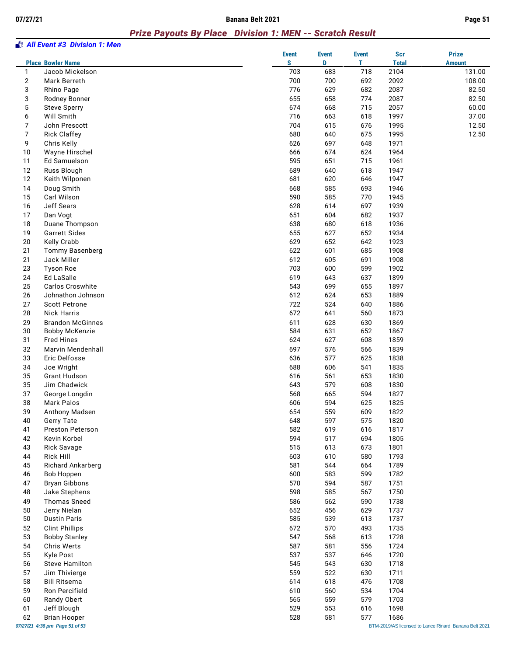# *Prize Payouts By Place Division 1: MEN -- Scratch Result*

|              | <b>State All Event #3 Division 1: Men</b> | <b>Event</b> | <b>Event</b> | <b>Event</b> | <b>Scr</b>   | <b>Prize</b>                                          |
|--------------|-------------------------------------------|--------------|--------------|--------------|--------------|-------------------------------------------------------|
|              | <b>Place Bowler Name</b>                  | S            | D            | T.           | <b>Total</b> | <b>Amount</b>                                         |
| $\mathbf{1}$ | Jacob Mickelson                           | 703          | 683          | 718          | 2104         | 131.00                                                |
| $\mathbf 2$  | Mark Berreth                              | 700          | 700          | 692          | 2092         | 108.00                                                |
| 3            | Rhino Page                                | 776          | 629          | 682          | 2087         | 82.50                                                 |
| 3            | Rodney Bonner                             | 655          | 658          | 774          | 2087         | 82.50                                                 |
| 5            | <b>Steve Sperry</b>                       | 674          | 668          | 715          | 2057         | 60.00                                                 |
| 6            | Will Smith                                | 716          | 663          | 618          | 1997         | 37.00                                                 |
| 7            | John Prescott                             | 704          | 615          | 676          | 1995         | 12.50                                                 |
| 7            | <b>Rick Claffey</b>                       | 680          | 640          | 675          | 1995         | 12.50                                                 |
| 9            | Chris Kelly                               | 626          | 697          | 648          | 1971         |                                                       |
| 10           | Wayne Hirschel                            | 666          | 674          | 624          | 1964         |                                                       |
| 11           | Ed Samuelson                              | 595          | 651          | 715          | 1961         |                                                       |
| 12<br>12     | Russ Blough<br>Keith Wilponen             | 689<br>681   | 640<br>620   | 618<br>646   | 1947<br>1947 |                                                       |
| 14           | Doug Smith                                | 668          | 585          | 693          | 1946         |                                                       |
| 15           | Carl Wilson                               | 590          | 585          | 770          | 1945         |                                                       |
| 16           | Jeff Sears                                | 628          | 614          | 697          | 1939         |                                                       |
| 17           | Dan Vogt                                  | 651          | 604          | 682          | 1937         |                                                       |
| 18           | Duane Thompson                            | 638          | 680          | 618          | 1936         |                                                       |
| 19           | <b>Garrett Sides</b>                      | 655          | 627          | 652          | 1934         |                                                       |
| 20           | Kelly Crabb                               | 629          | 652          | 642          | 1923         |                                                       |
| 21           | Tommy Basenberg                           | 622          | 601          | 685          | 1908         |                                                       |
| 21           | Jack Miller                               | 612          | 605          | 691          | 1908         |                                                       |
| 23           | <b>Tyson Roe</b>                          | 703          | 600          | 599          | 1902         |                                                       |
| 24           | Ed LaSalle                                | 619          | 643          | 637          | 1899         |                                                       |
| 25           | Carlos Croswhite                          | 543          | 699          | 655          | 1897         |                                                       |
| 26           | Johnathon Johnson                         | 612          | 624          | 653          | 1889         |                                                       |
| 27           | <b>Scott Petrone</b>                      | 722          | 524          | 640          | 1886         |                                                       |
| 28           | <b>Nick Harris</b>                        | 672          | 641          | 560          | 1873         |                                                       |
| 29           | <b>Brandon McGinnes</b>                   | 611          | 628          | 630          | 1869         |                                                       |
| 30           | <b>Bobby McKenzie</b>                     | 584          | 631          | 652          | 1867         |                                                       |
| 31           | <b>Fred Hines</b>                         | 624          | 627          | 608          | 1859         |                                                       |
| 32           | Marvin Mendenhall                         | 697          | 576          | 566          | 1839         |                                                       |
| 33           | Eric Delfosse                             | 636          | 577          | 625          | 1838         |                                                       |
| 34           | Joe Wright                                | 688          | 606          | 541          | 1835         |                                                       |
| 35           | <b>Grant Hudson</b>                       | 616          | 561          | 653          | 1830         |                                                       |
| 35           | Jim Chadwick                              | 643          | 579          | 608          | 1830         |                                                       |
| 37           | George Longdin                            | 568          | 665          | 594          | 1827         |                                                       |
| 38           | Mark Palos                                | 606          | 594          | 625          | 1825         |                                                       |
| 39           | Anthony Madsen                            | 654          | 559          | 609          | 1822         |                                                       |
| 40           | <b>Gerry Tate</b>                         | 648          | 597          | 575          | 1820         |                                                       |
| 41           | <b>Preston Peterson</b>                   | 582          | 619          | 616          | 1817         |                                                       |
| 42<br>43     | Kevin Korbel<br><b>Rick Savage</b>        | 594<br>515   | 517<br>613   | 694<br>673   | 1805<br>1801 |                                                       |
| 44           | <b>Rick Hill</b>                          | 603          | 610          | 580          | 1793         |                                                       |
| 45           | Richard Ankarberg                         | 581          | 544          | 664          | 1789         |                                                       |
| 46           | <b>Bob Hoppen</b>                         | 600          | 583          | 599          | 1782         |                                                       |
| 47           | <b>Bryan Gibbons</b>                      | 570          | 594          | 587          | 1751         |                                                       |
| 48           | Jake Stephens                             | 598          | 585          | 567          | 1750         |                                                       |
| 49           | <b>Thomas Sneed</b>                       | 586          | 562          | 590          | 1738         |                                                       |
| 50           | Jerry Nielan                              | 652          | 456          | 629          | 1737         |                                                       |
| 50           | <b>Dustin Paris</b>                       | 585          | 539          | 613          | 1737         |                                                       |
| 52           | <b>Clint Phillips</b>                     | 672          | 570          | 493          | 1735         |                                                       |
| 53           | <b>Bobby Stanley</b>                      | 547          | 568          | 613          | 1728         |                                                       |
| 54           | Chris Werts                               | 587          | 581          | 556          | 1724         |                                                       |
| 55           | <b>Kyle Post</b>                          | 537          | 537          | 646          | 1720         |                                                       |
| 56           | Steve Hamilton                            | 545          | 543          | 630          | 1718         |                                                       |
| 57           | Jim Thivierge                             | 559          | 522          | 630          | 1711         |                                                       |
| 58           | <b>Bill Ritsema</b>                       | 614          | 618          | 476          | 1708         |                                                       |
| 59           | Ron Percifield                            | 610          | 560          | 534          | 1704         |                                                       |
| 60           | Randy Obert                               | 565          | 559          | 579          | 1703         |                                                       |
| 61           | Jeff Blough                               | 529          | 553          | 616          | 1698         |                                                       |
| 62           | <b>Brian Hooper</b>                       | 528          | 581          | 577          | 1686         |                                                       |
|              | 07/27/21 4:36 pm Page 51 of 53            |              |              |              |              | BTM-2019/AS licensed to Lance Rinard Banana Belt 2021 |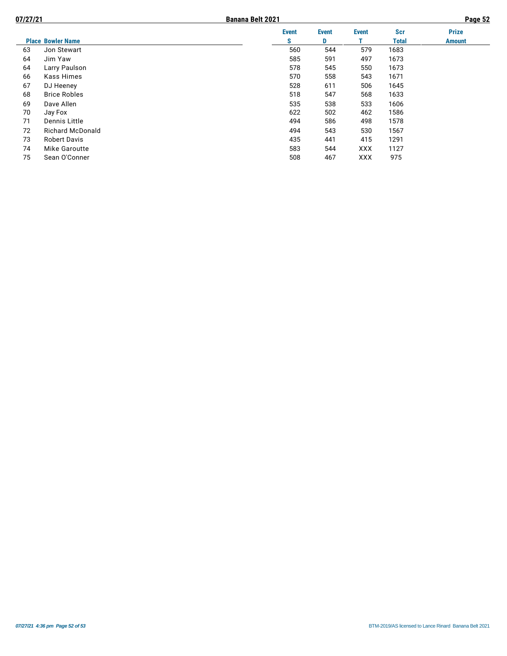| 07/27/21 |                          | <b>Banana Belt 2021</b> |              |              |              |              | Page 52       |
|----------|--------------------------|-------------------------|--------------|--------------|--------------|--------------|---------------|
|          |                          |                         | <b>Event</b> | <b>Event</b> | <b>Event</b> | <b>Scr</b>   | <b>Prize</b>  |
|          | <b>Place Bowler Name</b> |                         | s            | D            |              | <b>Total</b> | <b>Amount</b> |
| 63       | Jon Stewart              |                         | 560          | 544          | 579          | 1683         |               |
| 64       | Jim Yaw                  |                         | 585          | 591          | 497          | 1673         |               |
| 64       | Larry Paulson            |                         | 578          | 545          | 550          | 1673         |               |
| 66       | Kass Himes               |                         | 570          | 558          | 543          | 1671         |               |
| 67       | DJ Heeney                |                         | 528          | 611          | 506          | 1645         |               |
| 68       | <b>Brice Robles</b>      |                         | 518          | 547          | 568          | 1633         |               |
| 69       | Dave Allen               |                         | 535          | 538          | 533          | 1606         |               |
| 70       | Jay Fox                  |                         | 622          | 502          | 462          | 1586         |               |
| 71       | Dennis Little            |                         | 494          | 586          | 498          | 1578         |               |
| 72       | <b>Richard McDonald</b>  |                         | 494          | 543          | 530          | 1567         |               |
| 73       | <b>Robert Davis</b>      |                         | 435          | 441          | 415          | 1291         |               |
| 74       | Mike Garoutte            |                         | 583          | 544          | <b>XXX</b>   | 1127         |               |
| 75       | Sean O'Conner            |                         | 508          | 467          | <b>XXX</b>   | 975          |               |